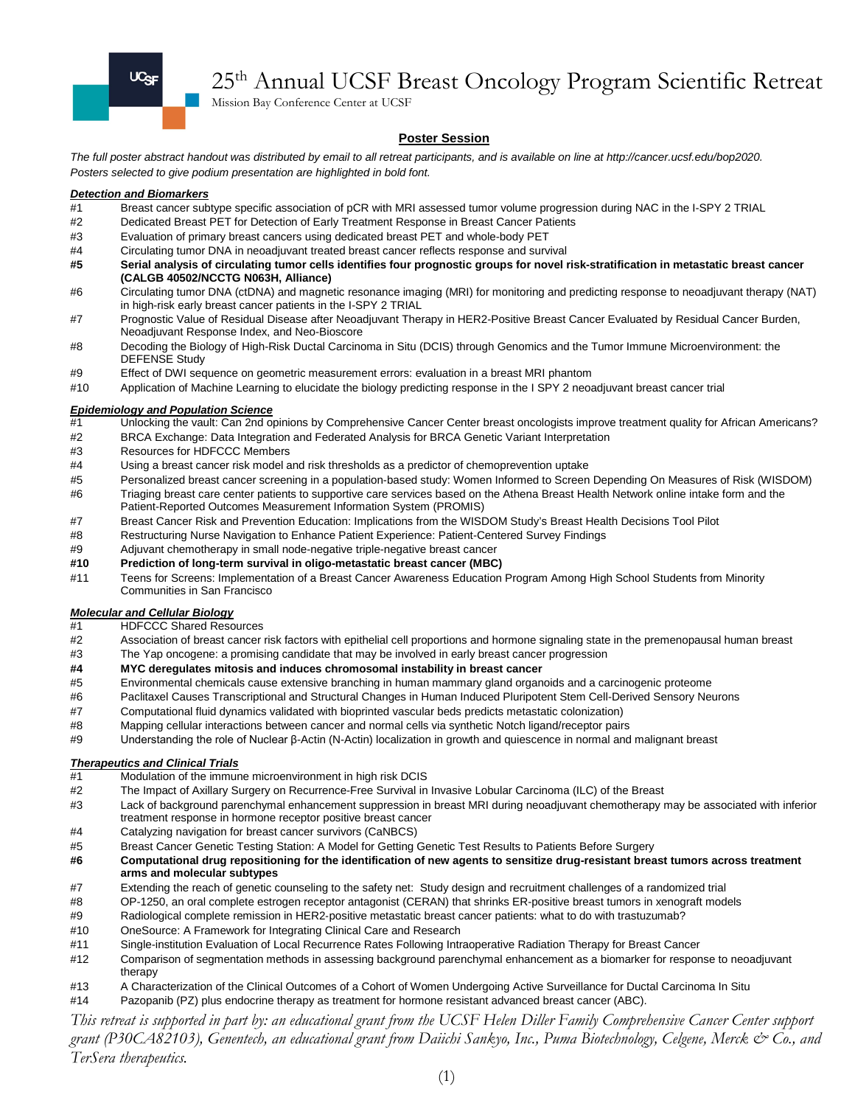

# 25th Annual UCSF Breast Oncology Program Scientific Retreat

Mission Bay Conference Center at UCSF

#### **Poster Session**

*The full poster abstract handout was distributed by email to all retreat participants, and is available on line at http://cancer.ucsf.edu/bop2020. Posters selected to give podium presentation are highlighted in bold font.*

#### *Detection and Biomarkers*

- #1 Breast cancer subtype specific association of pCR with MRI assessed tumor volume progression during NAC in the I-SPY 2 TRIAL
- #2 Dedicated Breast PET for Detection of Early Treatment Response in Breast Cancer Patients
- #3 Evaluation of primary breast cancers using dedicated breast PET and whole-body PET
- #4 Circulating tumor DNA in neoadjuvant treated breast cancer reflects response and survival
- **#5 Serial analysis of circulating tumor cells identifies four prognostic groups for novel risk-stratification in metastatic breast cancer (CALGB 40502/NCCTG N063H, Alliance)**
- #6 Circulating tumor DNA (ctDNA) and magnetic resonance imaging (MRI) for monitoring and predicting response to neoadjuvant therapy (NAT) in high-risk early breast cancer patients in the I-SPY 2 TRIAL
- #7 Prognostic Value of Residual Disease after Neoadjuvant Therapy in HER2-Positive Breast Cancer Evaluated by Residual Cancer Burden, Neoadjuvant Response Index, and Neo-Bioscore
- #8 Decoding the Biology of High-Risk Ductal Carcinoma in Situ (DCIS) through Genomics and the Tumor Immune Microenvironment: the DEFENSE Study
- #9 Effect of DWI sequence on geometric measurement errors: evaluation in a breast MRI phantom
- #10 Application of Machine Learning to elucidate the biology predicting response in the I SPY 2 neoadjuvant breast cancer trial

#### *Epidemiology and Population Science*

- #1 Unlocking the vault: Can 2nd opinions by Comprehensive Cancer Center breast oncologists improve treatment quality for African Americans?
- #2 BRCA Exchange: Data Integration and Federated Analysis for BRCA Genetic Variant Interpretation
- #3 Resources for HDFCCC Members
- #4 Using a breast cancer risk model and risk thresholds as a predictor of chemoprevention uptake
- #5 Personalized breast cancer screening in a population-based study: Women Informed to Screen Depending On Measures of Risk (WISDOM) #6 Triaging breast care center patients to supportive care services based on the Athena Breast Health Network online intake form and the
- Patient-Reported Outcomes Measurement Information System (PROMIS)
- #7 Breast Cancer Risk and Prevention Education: Implications from the WISDOM Study's Breast Health Decisions Tool Pilot
- #8 Restructuring Nurse Navigation to Enhance Patient Experience: Patient-Centered Survey Findings
- #9 Adjuvant chemotherapy in small node-negative triple-negative breast cancer
- **#10 Prediction of long-term survival in oligo-metastatic breast cancer (MBC)**
- #11 Teens for Screens: Implementation of a Breast Cancer Awareness Education Program Among High School Students from Minority Communities in San Francisco

## *Molecular and Cellular Biology*

- **HDFCCC Shared Resources**
- #2 Association of breast cancer risk factors with epithelial cell proportions and hormone signaling state in the premenopausal human breast
- #3 The Yap oncogene: a promising candidate that may be involved in early breast cancer progression
- **#4 MYC deregulates mitosis and induces chromosomal instability in breast cancer**
- #5 Environmental chemicals cause extensive branching in human mammary gland organoids and a carcinogenic proteome
- #6 Paclitaxel Causes Transcriptional and Structural Changes in Human Induced Pluripotent Stem Cell-Derived Sensory Neurons
- #7 Computational fluid dynamics validated with bioprinted vascular beds predicts metastatic colonization)
- #8 Mapping cellular interactions between cancer and normal cells via synthetic Notch ligand/receptor pairs
- #9 Understanding the role of Nuclear β-Actin (N-Actin) localization in growth and quiescence in normal and malignant breast

#### *Therapeutics and Clinical Trials*

- #1 Modulation of the immune microenvironment in high risk DCIS
- #2 The Impact of Axillary Surgery on Recurrence-Free Survival in Invasive Lobular Carcinoma (ILC) of the Breast
- Lack of background parenchymal enhancement suppression in breast MRI during neoadjuvant chemotherapy may be associated with inferior treatment response in hormone receptor positive breast cancer
- #4 Catalyzing navigation for breast cancer survivors (CaNBCS)
- #5 Breast Cancer Genetic Testing Station: A Model for Getting Genetic Test Results to Patients Before Surgery
- **#6 Computational drug repositioning for the identification of new agents to sensitize drug-resistant breast tumors across treatment arms and molecular subtypes**
- #7 Extending the reach of genetic counseling to the safety net: Study design and recruitment challenges of a randomized trial
- #8 OP-1250, an oral complete estrogen receptor antagonist (CERAN) that shrinks ER-positive breast tumors in xenograft models
- #9 Radiological complete remission in HER2-positive metastatic breast cancer patients: what to do with trastuzumab?<br>#10 OneSource: A Framework for Integrating Clinical Care and Research
- OneSource: A Framework for Integrating Clinical Care and Research
- #11 Single-institution Evaluation of Local Recurrence Rates Following Intraoperative Radiation Therapy for Breast Cancer
- #12 Comparison of segmentation methods in assessing background parenchymal enhancement as a biomarker for response to neoadjuvant therapy
- #13 A Characterization of the Clinical Outcomes of a Cohort of Women Undergoing Active Surveillance for Ductal Carcinoma In Situ
- #14 Pazopanib (PZ) plus endocrine therapy as treatment for hormone resistant advanced breast cancer (ABC).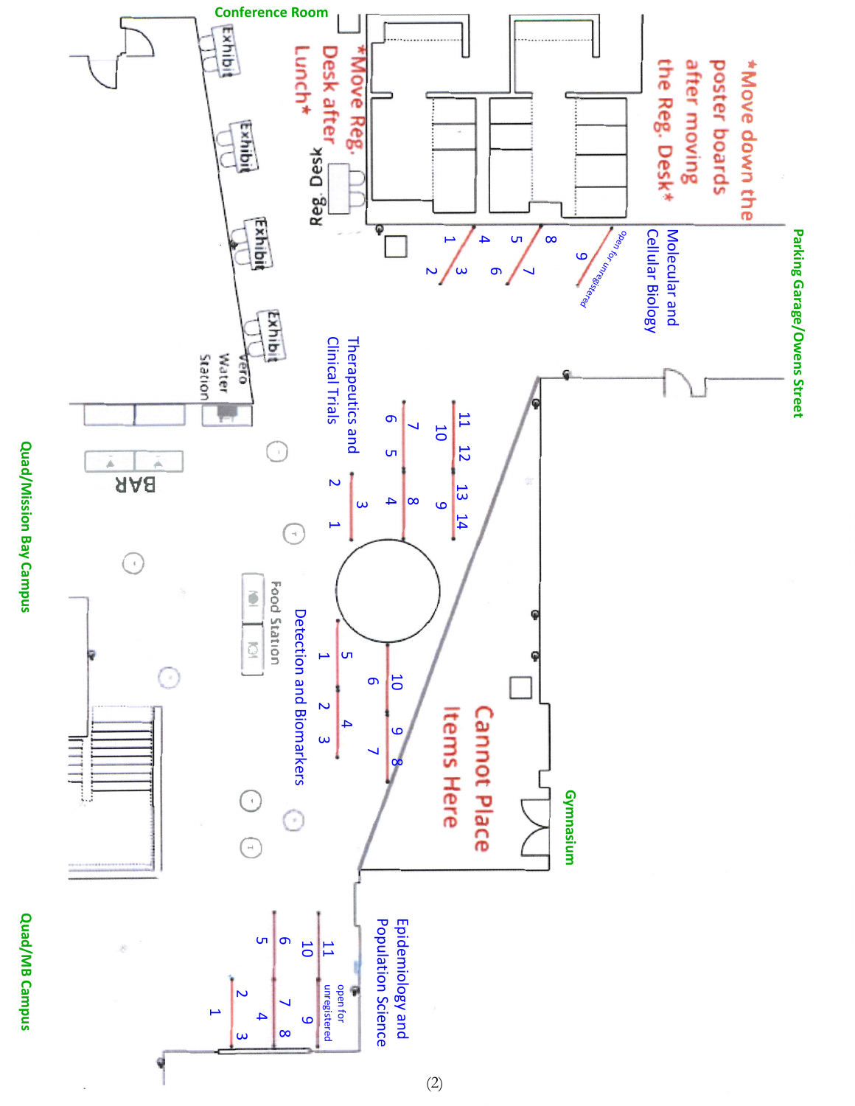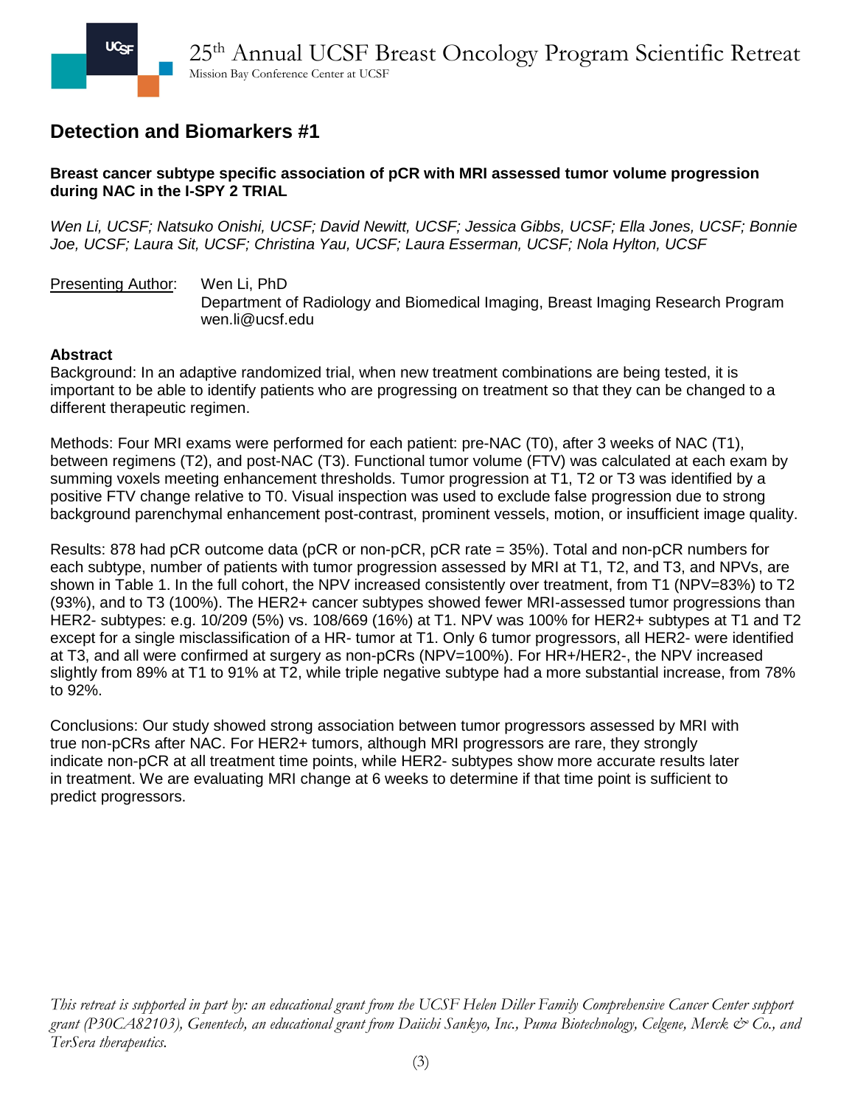### **Breast cancer subtype specific association of pCR with MRI assessed tumor volume progression during NAC in the I-SPY 2 TRIAL**

*Wen Li, UCSF; Natsuko Onishi, UCSF; David Newitt, UCSF; Jessica Gibbs, UCSF; Ella Jones, UCSF; Bonnie Joe, UCSF; Laura Sit, UCSF; Christina Yau, UCSF; Laura Esserman, UCSF; Nola Hylton, UCSF*

Presenting Author: Wen Li, PhD Department of Radiology and Biomedical Imaging, Breast Imaging Research Program wen.li@ucsf.edu

### **Abstract**

Background: In an adaptive randomized trial, when new treatment combinations are being tested, it is important to be able to identify patients who are progressing on treatment so that they can be changed to a different therapeutic regimen.

Methods: Four MRI exams were performed for each patient: pre-NAC (T0), after 3 weeks of NAC (T1), between regimens (T2), and post-NAC (T3). Functional tumor volume (FTV) was calculated at each exam by summing voxels meeting enhancement thresholds. Tumor progression at T1, T2 or T3 was identified by a positive FTV change relative to T0. Visual inspection was used to exclude false progression due to strong background parenchymal enhancement post-contrast, prominent vessels, motion, or insufficient image quality.

Results: 878 had pCR outcome data (pCR or non-pCR, pCR rate = 35%). Total and non-pCR numbers for each subtype, number of patients with tumor progression assessed by MRI at T1, T2, and T3, and NPVs, are shown in Table 1. In the full cohort, the NPV increased consistently over treatment, from T1 (NPV=83%) to T2 (93%), and to T3 (100%). The HER2+ cancer subtypes showed fewer MRI-assessed tumor progressions than HER2- subtypes: e.g. 10/209 (5%) vs. 108/669 (16%) at T1. NPV was 100% for HER2+ subtypes at T1 and T2 except for a single misclassification of a HR- tumor at T1. Only 6 tumor progressors, all HER2- were identified at T3, and all were confirmed at surgery as non-pCRs (NPV=100%). For HR+/HER2-, the NPV increased slightly from 89% at T1 to 91% at T2, while triple negative subtype had a more substantial increase, from 78% to 92%.

Conclusions: Our study showed strong association between tumor progressors assessed by MRI with true non-pCRs after NAC. For HER2+ tumors, although MRI progressors are rare, they strongly indicate non-pCR at all treatment time points, while HER2- subtypes show more accurate results later in treatment. We are evaluating MRI change at 6 weeks to determine if that time point is sufficient to predict progressors.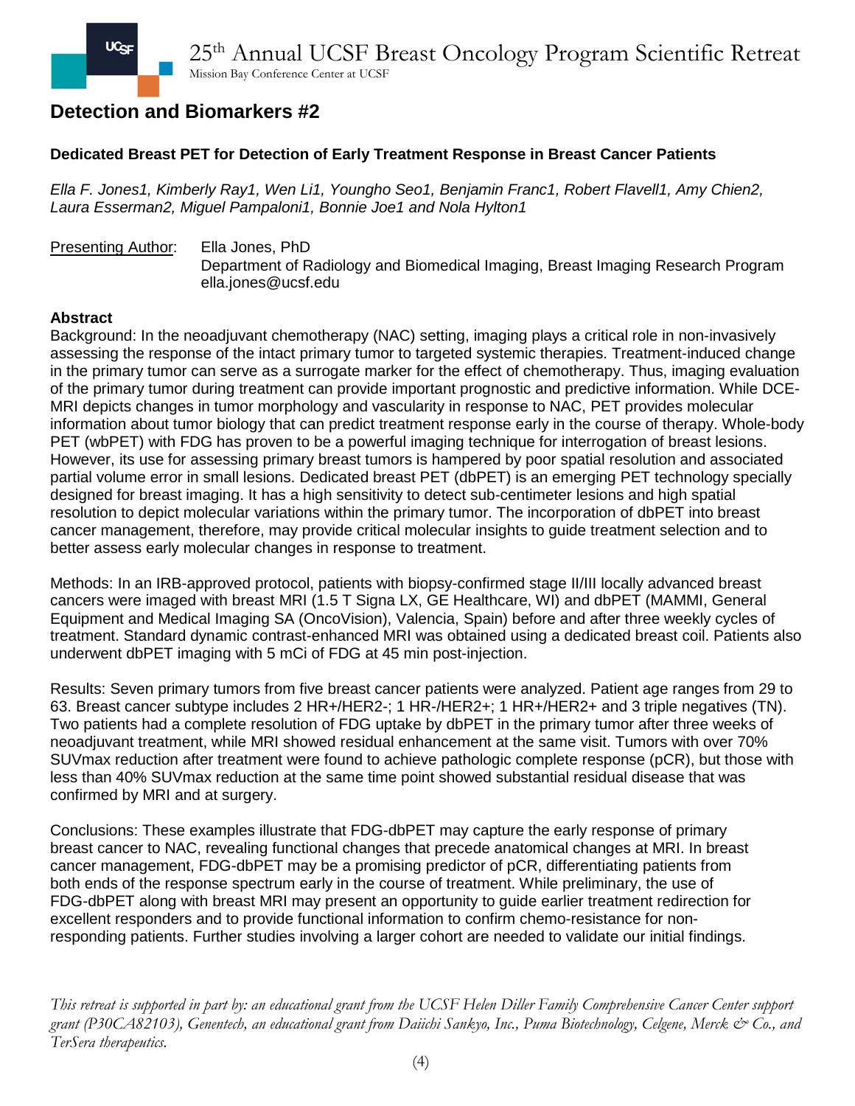### **Dedicated Breast PET for Detection of Early Treatment Response in Breast Cancer Patients**

*Ella F. Jones1, Kimberly Ray1, Wen Li1, Youngho Seo1, Benjamin Franc1, Robert Flavell1, Amy Chien2, Laura Esserman2, Miguel Pampaloni1, Bonnie Joe1 and Nola Hylton1*

### Presenting Author: Ella Jones, PhD Department of Radiology and Biomedical Imaging, Breast Imaging Research Program ella.jones@ucsf.edu

#### **Abstract**

Background: In the neoadjuvant chemotherapy (NAC) setting, imaging plays a critical role in non-invasively assessing the response of the intact primary tumor to targeted systemic therapies. Treatment-induced change in the primary tumor can serve as a surrogate marker for the effect of chemotherapy. Thus, imaging evaluation of the primary tumor during treatment can provide important prognostic and predictive information. While DCE-MRI depicts changes in tumor morphology and vascularity in response to NAC, PET provides molecular information about tumor biology that can predict treatment response early in the course of therapy. Whole-body PET (wbPET) with FDG has proven to be a powerful imaging technique for interrogation of breast lesions. However, its use for assessing primary breast tumors is hampered by poor spatial resolution and associated partial volume error in small lesions. Dedicated breast PET (dbPET) is an emerging PET technology specially designed for breast imaging. It has a high sensitivity to detect sub-centimeter lesions and high spatial resolution to depict molecular variations within the primary tumor. The incorporation of dbPET into breast cancer management, therefore, may provide critical molecular insights to guide treatment selection and to better assess early molecular changes in response to treatment.

Methods: In an IRB-approved protocol, patients with biopsy-confirmed stage II/III locally advanced breast cancers were imaged with breast MRI (1.5 T Signa LX, GE Healthcare, WI) and dbPET (MAMMI, General Equipment and Medical Imaging SA (OncoVision), Valencia, Spain) before and after three weekly cycles of treatment. Standard dynamic contrast-enhanced MRI was obtained using a dedicated breast coil. Patients also underwent dbPET imaging with 5 mCi of FDG at 45 min post-injection.

Results: Seven primary tumors from five breast cancer patients were analyzed. Patient age ranges from 29 to 63. Breast cancer subtype includes 2 HR+/HER2-; 1 HR-/HER2+; 1 HR+/HER2+ and 3 triple negatives (TN). Two patients had a complete resolution of FDG uptake by dbPET in the primary tumor after three weeks of neoadjuvant treatment, while MRI showed residual enhancement at the same visit. Tumors with over 70% SUVmax reduction after treatment were found to achieve pathologic complete response (pCR), but those with less than 40% SUVmax reduction at the same time point showed substantial residual disease that was confirmed by MRI and at surgery.

Conclusions: These examples illustrate that FDG-dbPET may capture the early response of primary breast cancer to NAC, revealing functional changes that precede anatomical changes at MRI. In breast cancer management, FDG-dbPET may be a promising predictor of pCR, differentiating patients from both ends of the response spectrum early in the course of treatment. While preliminary, the use of FDG-dbPET along with breast MRI may present an opportunity to guide earlier treatment redirection for excellent responders and to provide functional information to confirm chemo-resistance for nonresponding patients. Further studies involving a larger cohort are needed to validate our initial findings.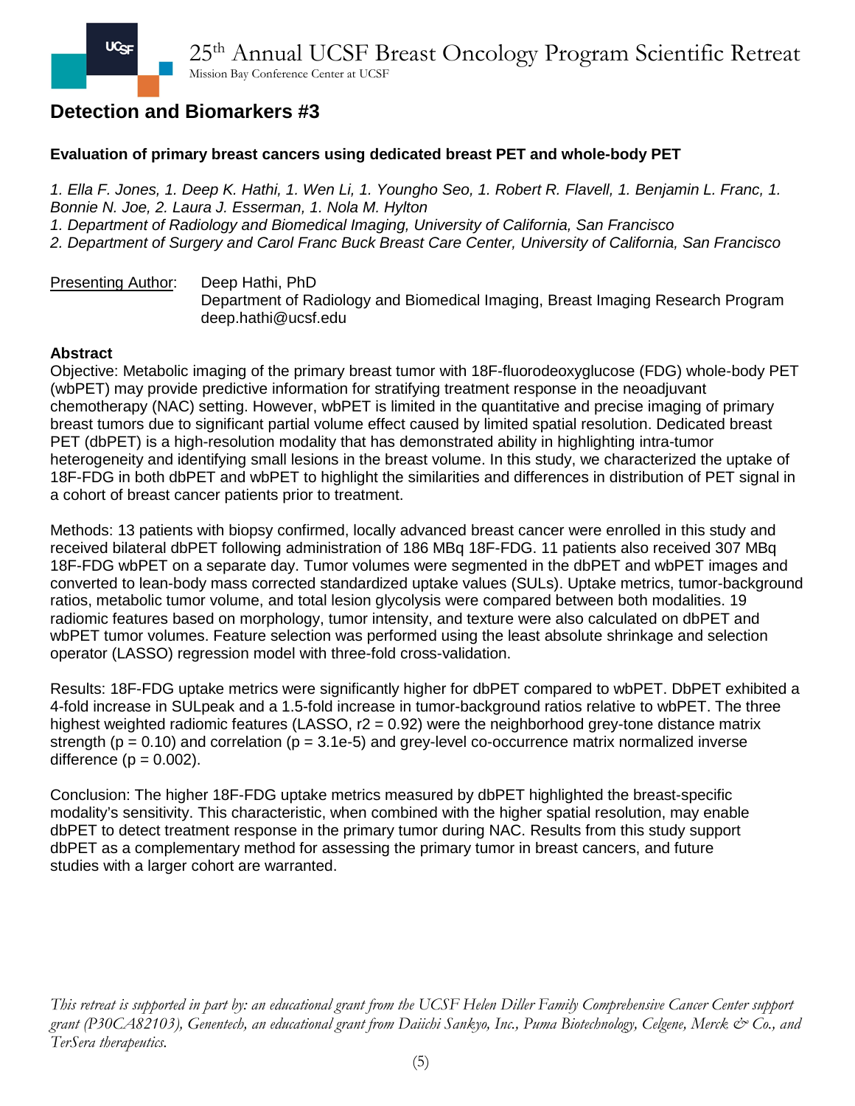### **Evaluation of primary breast cancers using dedicated breast PET and whole-body PET**

*1. Ella F. Jones, 1. Deep K. Hathi, 1. Wen Li, 1. Youngho Seo, 1. Robert R. Flavell, 1. Benjamin L. Franc, 1. Bonnie N. Joe, 2. Laura J. Esserman, 1. Nola M. Hylton 1. Department of Radiology and Biomedical Imaging, University of California, San Francisco 2. Department of Surgery and Carol Franc Buck Breast Care Center, University of California, San Francisco*

Presenting Author: Deep Hathi, PhD Department of Radiology and Biomedical Imaging, Breast Imaging Research Program deep.hathi@ucsf.edu

#### **Abstract**

Objective: Metabolic imaging of the primary breast tumor with 18F-fluorodeoxyglucose (FDG) whole-body PET (wbPET) may provide predictive information for stratifying treatment response in the neoadjuvant chemotherapy (NAC) setting. However, wbPET is limited in the quantitative and precise imaging of primary breast tumors due to significant partial volume effect caused by limited spatial resolution. Dedicated breast PET (dbPET) is a high-resolution modality that has demonstrated ability in highlighting intra-tumor heterogeneity and identifying small lesions in the breast volume. In this study, we characterized the uptake of 18F-FDG in both dbPET and wbPET to highlight the similarities and differences in distribution of PET signal in a cohort of breast cancer patients prior to treatment.

Methods: 13 patients with biopsy confirmed, locally advanced breast cancer were enrolled in this study and received bilateral dbPET following administration of 186 MBq 18F-FDG. 11 patients also received 307 MBq 18F-FDG wbPET on a separate day. Tumor volumes were segmented in the dbPET and wbPET images and converted to lean-body mass corrected standardized uptake values (SULs). Uptake metrics, tumor-background ratios, metabolic tumor volume, and total lesion glycolysis were compared between both modalities. 19 radiomic features based on morphology, tumor intensity, and texture were also calculated on dbPET and wbPET tumor volumes. Feature selection was performed using the least absolute shrinkage and selection operator (LASSO) regression model with three-fold cross-validation.

Results: 18F-FDG uptake metrics were significantly higher for dbPET compared to wbPET. DbPET exhibited a 4-fold increase in SULpeak and a 1.5-fold increase in tumor-background ratios relative to wbPET. The three highest weighted radiomic features (LASSO,  $r2 = 0.92$ ) were the neighborhood grey-tone distance matrix strength ( $p = 0.10$ ) and correlation ( $p = 3.1e-5$ ) and grey-level co-occurrence matrix normalized inverse difference  $(p = 0.002)$ .

Conclusion: The higher 18F-FDG uptake metrics measured by dbPET highlighted the breast-specific modality's sensitivity. This characteristic, when combined with the higher spatial resolution, may enable dbPET to detect treatment response in the primary tumor during NAC. Results from this study support dbPET as a complementary method for assessing the primary tumor in breast cancers, and future studies with a larger cohort are warranted.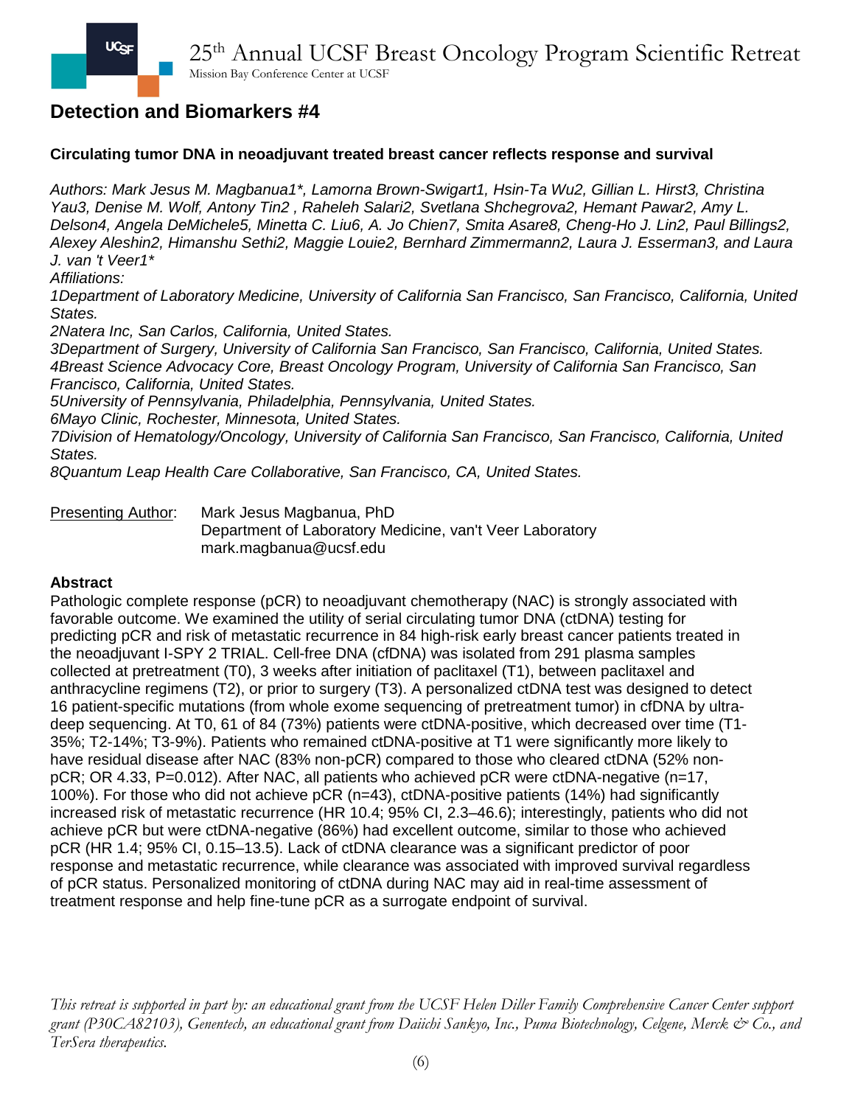## **Circulating tumor DNA in neoadjuvant treated breast cancer reflects response and survival**

*Authors: Mark Jesus M. Magbanua1\*, Lamorna Brown-Swigart1, Hsin-Ta Wu2, Gillian L. Hirst3, Christina Yau3, Denise M. Wolf, Antony Tin2 , Raheleh Salari2, Svetlana Shchegrova2, Hemant Pawar2, Amy L. Delson4, Angela DeMichele5, Minetta C. Liu6, A. Jo Chien7, Smita Asare8, Cheng-Ho J. Lin2, Paul Billings2, Alexey Aleshin2, Himanshu Sethi2, Maggie Louie2, Bernhard Zimmermann2, Laura J. Esserman3, and Laura J. van 't Veer1\**

*Affiliations:*

*1Department of Laboratory Medicine, University of California San Francisco, San Francisco, California, United States.*

*2Natera Inc, San Carlos, California, United States.*

*3Department of Surgery, University of California San Francisco, San Francisco, California, United States. 4Breast Science Advocacy Core, Breast Oncology Program, University of California San Francisco, San Francisco, California, United States.*

*5University of Pennsylvania, Philadelphia, Pennsylvania, United States.*

*6Mayo Clinic, Rochester, Minnesota, United States.*

*7Division of Hematology/Oncology, University of California San Francisco, San Francisco, California, United States.*

*8Quantum Leap Health Care Collaborative, San Francisco, CA, United States.*

Presenting Author: Mark Jesus Magbanua, PhD Department of Laboratory Medicine, van't Veer Laboratory mark.magbanua@ucsf.edu

### **Abstract**

Pathologic complete response (pCR) to neoadjuvant chemotherapy (NAC) is strongly associated with favorable outcome. We examined the utility of serial circulating tumor DNA (ctDNA) testing for predicting pCR and risk of metastatic recurrence in 84 high-risk early breast cancer patients treated in the neoadjuvant I-SPY 2 TRIAL. Cell-free DNA (cfDNA) was isolated from 291 plasma samples collected at pretreatment (T0), 3 weeks after initiation of paclitaxel (T1), between paclitaxel and anthracycline regimens (T2), or prior to surgery (T3). A personalized ctDNA test was designed to detect 16 patient-specific mutations (from whole exome sequencing of pretreatment tumor) in cfDNA by ultradeep sequencing. At T0, 61 of 84 (73%) patients were ctDNA-positive, which decreased over time (T1- 35%; T2-14%; T3-9%). Patients who remained ctDNA-positive at T1 were significantly more likely to have residual disease after NAC (83% non-pCR) compared to those who cleared ctDNA (52% nonpCR; OR 4.33, P=0.012). After NAC, all patients who achieved pCR were ctDNA-negative (n=17, 100%). For those who did not achieve pCR (n=43), ctDNA-positive patients (14%) had significantly increased risk of metastatic recurrence (HR 10.4; 95% CI, 2.3–46.6); interestingly, patients who did not achieve pCR but were ctDNA-negative (86%) had excellent outcome, similar to those who achieved pCR (HR 1.4; 95% CI, 0.15–13.5). Lack of ctDNA clearance was a significant predictor of poor response and metastatic recurrence, while clearance was associated with improved survival regardless of pCR status. Personalized monitoring of ctDNA during NAC may aid in real-time assessment of treatment response and help fine-tune pCR as a surrogate endpoint of survival.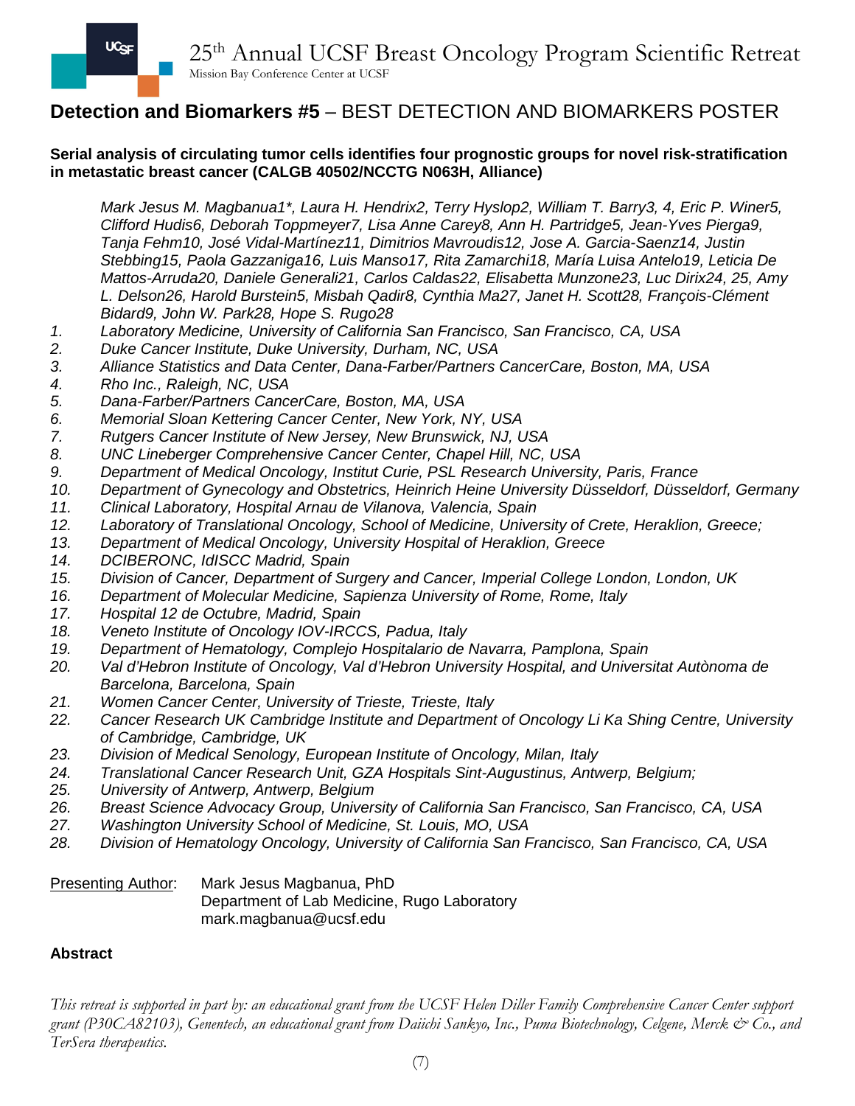## **Detection and Biomarkers #5** – BEST DETECTION AND BIOMARKERS POSTER

### **Serial analysis of circulating tumor cells identifies four prognostic groups for novel risk-stratification in metastatic breast cancer (CALGB 40502/NCCTG N063H, Alliance)**

*Mark Jesus M. Magbanua1\*, Laura H. Hendrix2, Terry Hyslop2, William T. Barry3, 4, Eric P. Winer5, Clifford Hudis6, Deborah Toppmeyer7, Lisa Anne Carey8, Ann H. Partridge5, Jean-Yves Pierga9, Tanja Fehm10, José Vidal-Martínez11, Dimitrios Mavroudis12, Jose A. Garcia-Saenz14, Justin Stebbing15, Paola Gazzaniga16, Luis Manso17, Rita Zamarchi18, María Luisa Antelo19, Leticia De Mattos-Arruda20, Daniele Generali21, Carlos Caldas22, Elisabetta Munzone23, Luc Dirix24, 25, Amy L. Delson26, Harold Burstein5, Misbah Qadir8, Cynthia Ma27, Janet H. Scott28, François-Clément Bidard9, John W. Park28, Hope S. Rugo28*

- *1. Laboratory Medicine, University of California San Francisco, San Francisco, CA, USA*
- *2. Duke Cancer Institute, Duke University, Durham, NC, USA*
- *3. Alliance Statistics and Data Center, Dana-Farber/Partners CancerCare, Boston, MA, USA*
- *4. Rho Inc., Raleigh, NC, USA*
- *5. Dana-Farber/Partners CancerCare, Boston, MA, USA*
- *6. Memorial Sloan Kettering Cancer Center, New York, NY, USA*
- *7. Rutgers Cancer Institute of New Jersey, New Brunswick, NJ, USA*
- *8. UNC Lineberger Comprehensive Cancer Center, Chapel Hill, NC, USA*
- *9. Department of Medical Oncology, Institut Curie, PSL Research University, Paris, France*
- *10. Department of Gynecology and Obstetrics, Heinrich Heine University Düsseldorf, Düsseldorf, Germany*
- *11. Clinical Laboratory, Hospital Arnau de Vilanova, Valencia, Spain*
- *12. Laboratory of Translational Oncology, School of Medicine, University of Crete, Heraklion, Greece;*
- *13. Department of Medical Oncology, University Hospital of Heraklion, Greece*
- *14. DCIBERONC, IdISCC Madrid, Spain*
- *15. Division of Cancer, Department of Surgery and Cancer, Imperial College London, London, UK*
- *16. Department of Molecular Medicine, Sapienza University of Rome, Rome, Italy*
- *17. Hospital 12 de Octubre, Madrid, Spain*
- *18. Veneto Institute of Oncology IOV-IRCCS, Padua, Italy*
- *19. Department of Hematology, Complejo Hospitalario de Navarra, Pamplona, Spain*
- *20. Val d'Hebron Institute of Oncology, Val d'Hebron University Hospital, and Universitat Autònoma de Barcelona, Barcelona, Spain*
- *21. Women Cancer Center, University of Trieste, Trieste, Italy*
- *22. Cancer Research UK Cambridge Institute and Department of Oncology Li Ka Shing Centre, University of Cambridge, Cambridge, UK*
- *23. Division of Medical Senology, European Institute of Oncology, Milan, Italy*
- *24. Translational Cancer Research Unit, GZA Hospitals Sint-Augustinus, Antwerp, Belgium;*
- *25. University of Antwerp, Antwerp, Belgium*
- *26. Breast Science Advocacy Group, University of California San Francisco, San Francisco, CA, USA*
- *27. Washington University School of Medicine, St. Louis, MO, USA*
- *28. Division of Hematology Oncology, University of California San Francisco, San Francisco, CA, USA*

| <b>Presenting Author:</b> | Mark Jesus Magbanua, PhD                    |
|---------------------------|---------------------------------------------|
|                           | Department of Lab Medicine, Rugo Laboratory |
|                           | mark.magbanua@ucsf.edu                      |

### **Abstract**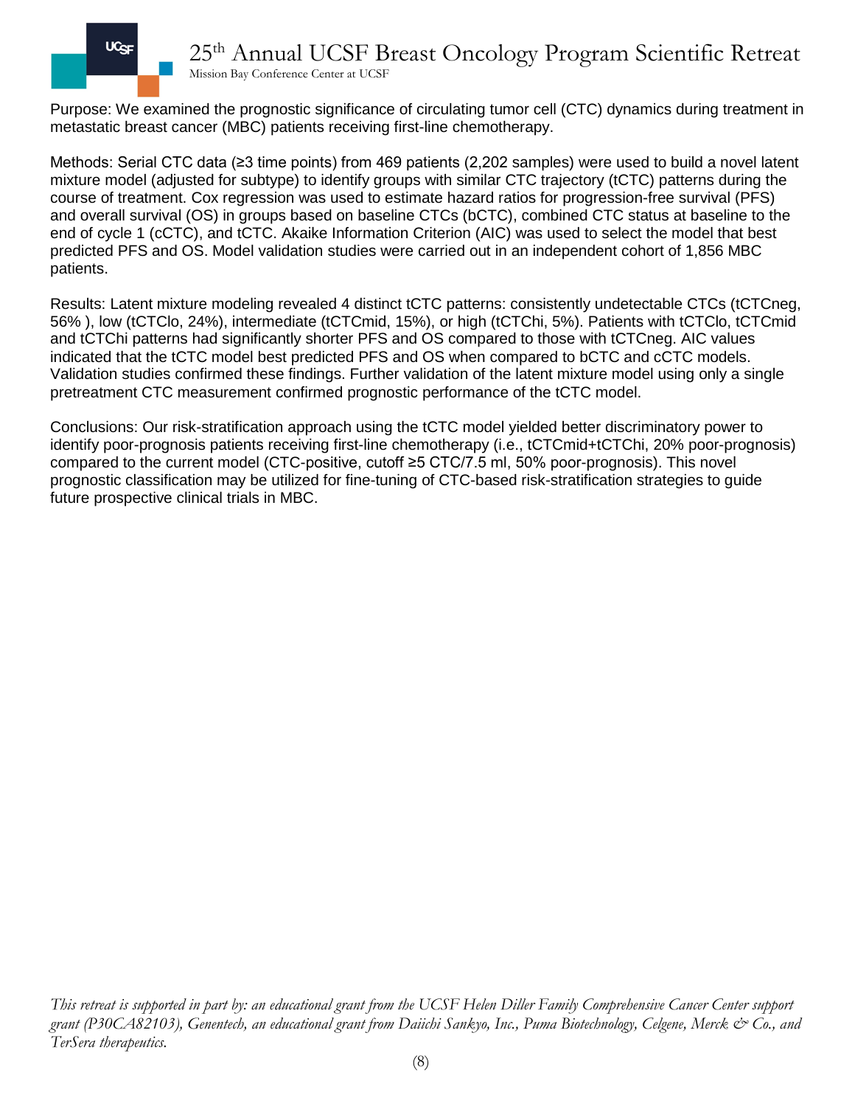

# 25th Annual UCSF Breast Oncology Program Scientific Retreat

Mission Bay Conference Center at UCSF

Purpose: We examined the prognostic significance of circulating tumor cell (CTC) dynamics during treatment in metastatic breast cancer (MBC) patients receiving first-line chemotherapy.

Methods: Serial CTC data (≥3 time points) from 469 patients (2,202 samples) were used to build a novel latent mixture model (adjusted for subtype) to identify groups with similar CTC trajectory (tCTC) patterns during the course of treatment. Cox regression was used to estimate hazard ratios for progression-free survival (PFS) and overall survival (OS) in groups based on baseline CTCs (bCTC), combined CTC status at baseline to the end of cycle 1 (cCTC), and tCTC. Akaike Information Criterion (AIC) was used to select the model that best predicted PFS and OS. Model validation studies were carried out in an independent cohort of 1,856 MBC patients.

Results: Latent mixture modeling revealed 4 distinct tCTC patterns: consistently undetectable CTCs (tCTCneg, 56% ), low (tCTClo, 24%), intermediate (tCTCmid, 15%), or high (tCTChi, 5%). Patients with tCTClo, tCTCmid and tCTChi patterns had significantly shorter PFS and OS compared to those with tCTCneg. AIC values indicated that the tCTC model best predicted PFS and OS when compared to bCTC and cCTC models. Validation studies confirmed these findings. Further validation of the latent mixture model using only a single pretreatment CTC measurement confirmed prognostic performance of the tCTC model.

Conclusions: Our risk-stratification approach using the tCTC model yielded better discriminatory power to identify poor-prognosis patients receiving first-line chemotherapy (i.e., tCTCmid+tCTChi, 20% poor-prognosis) compared to the current model (CTC-positive, cutoff ≥5 CTC/7.5 ml, 50% poor-prognosis). This novel prognostic classification may be utilized for fine-tuning of CTC-based risk-stratification strategies to guide future prospective clinical trials in MBC.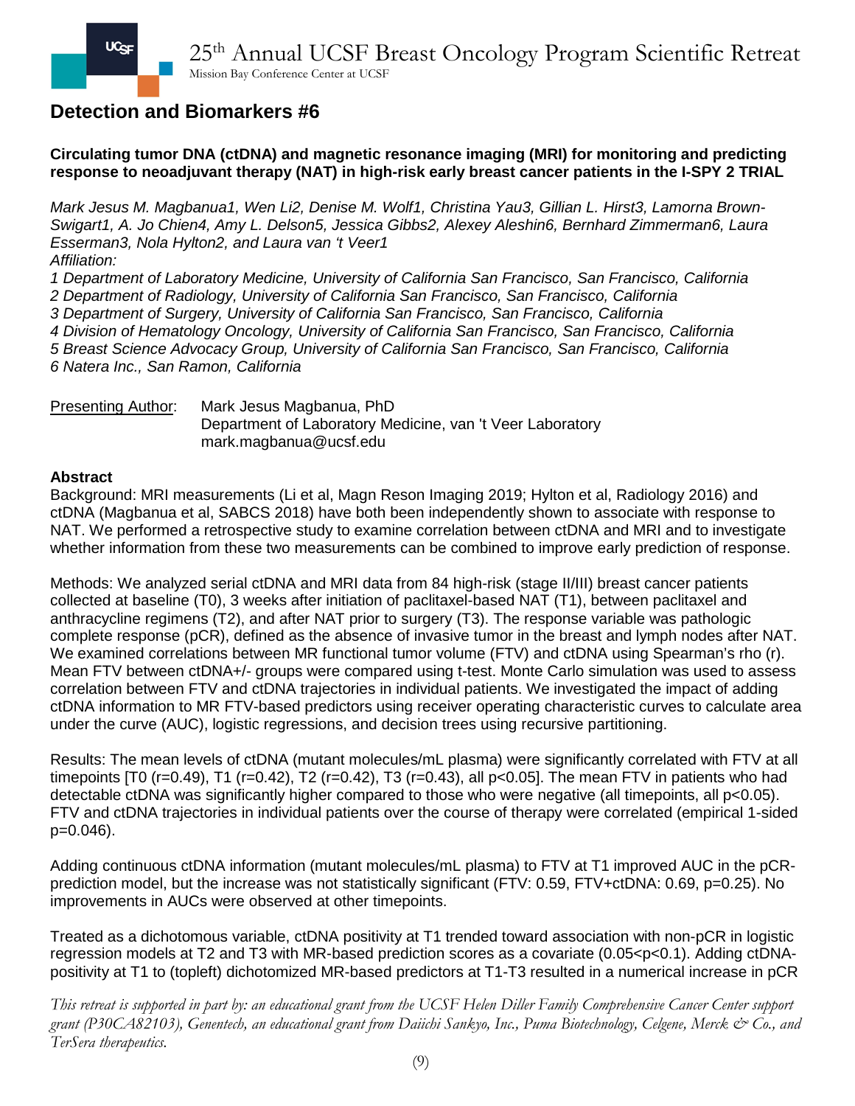**Circulating tumor DNA (ctDNA) and magnetic resonance imaging (MRI) for monitoring and predicting response to neoadjuvant therapy (NAT) in high-risk early breast cancer patients in the I-SPY 2 TRIAL**

*Mark Jesus M. Magbanua1, Wen Li2, Denise M. Wolf1, Christina Yau3, Gillian L. Hirst3, Lamorna Brown-Swigart1, A. Jo Chien4, Amy L. Delson5, Jessica Gibbs2, Alexey Aleshin6, Bernhard Zimmerman6, Laura Esserman3, Nola Hylton2, and Laura van 't Veer1 Affiliation:*

*1 Department of Laboratory Medicine, University of California San Francisco, San Francisco, California 2 Department of Radiology, University of California San Francisco, San Francisco, California 3 Department of Surgery, University of California San Francisco, San Francisco, California 4 Division of Hematology Oncology, University of California San Francisco, San Francisco, California 5 Breast Science Advocacy Group, University of California San Francisco, San Francisco, California 6 Natera Inc., San Ramon, California*

Presenting Author: Mark Jesus Magbanua, PhD Department of Laboratory Medicine, van 't Veer Laboratory mark.magbanua@ucsf.edu

### **Abstract**

Background: MRI measurements (Li et al, Magn Reson Imaging 2019; Hylton et al, Radiology 2016) and ctDNA (Magbanua et al, SABCS 2018) have both been independently shown to associate with response to NAT. We performed a retrospective study to examine correlation between ctDNA and MRI and to investigate whether information from these two measurements can be combined to improve early prediction of response.

Methods: We analyzed serial ctDNA and MRI data from 84 high-risk (stage II/III) breast cancer patients collected at baseline (T0), 3 weeks after initiation of paclitaxel-based NAT (T1), between paclitaxel and anthracycline regimens (T2), and after NAT prior to surgery (T3). The response variable was pathologic complete response (pCR), defined as the absence of invasive tumor in the breast and lymph nodes after NAT. We examined correlations between MR functional tumor volume (FTV) and ctDNA using Spearman's rho (r). Mean FTV between ctDNA+/- groups were compared using t-test. Monte Carlo simulation was used to assess correlation between FTV and ctDNA trajectories in individual patients. We investigated the impact of adding ctDNA information to MR FTV-based predictors using receiver operating characteristic curves to calculate area under the curve (AUC), logistic regressions, and decision trees using recursive partitioning.

Results: The mean levels of ctDNA (mutant molecules/mL plasma) were significantly correlated with FTV at all timepoints  $[T0 (r=0.49), T1 (r=0.42), T2 (r=0.42), T3 (r=0.43),$  all p<0.05]. The mean FTV in patients who had detectable ctDNA was significantly higher compared to those who were negative (all timepoints, all p<0.05). FTV and ctDNA trajectories in individual patients over the course of therapy were correlated (empirical 1-sided p=0.046).

Adding continuous ctDNA information (mutant molecules/mL plasma) to FTV at T1 improved AUC in the pCRprediction model, but the increase was not statistically significant (FTV: 0.59, FTV+ctDNA: 0.69, p=0.25). No improvements in AUCs were observed at other timepoints.

Treated as a dichotomous variable, ctDNA positivity at T1 trended toward association with non-pCR in logistic regression models at T2 and T3 with MR-based prediction scores as a covariate (0.05<p<0.1). Adding ctDNApositivity at T1 to (topleft) dichotomized MR-based predictors at T1-T3 resulted in a numerical increase in pCR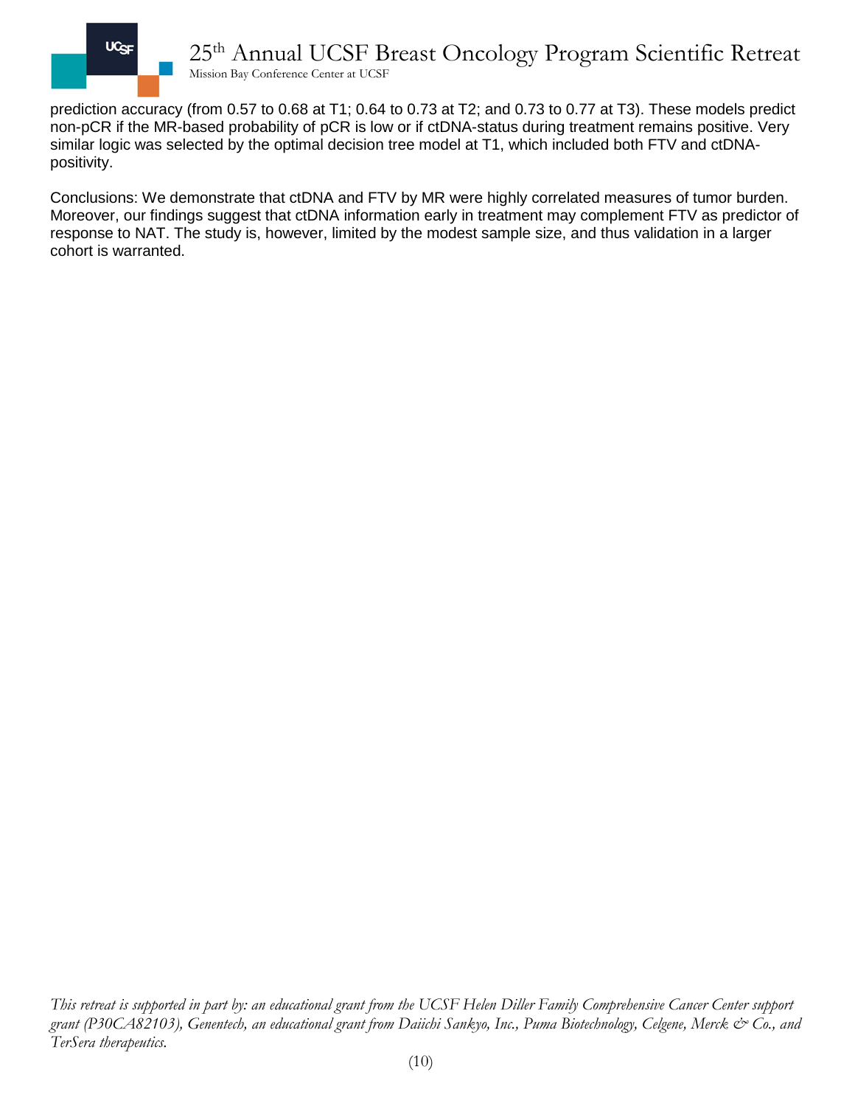

prediction accuracy (from 0.57 to 0.68 at T1; 0.64 to 0.73 at T2; and 0.73 to 0.77 at T3). These models predict non-pCR if the MR-based probability of pCR is low or if ctDNA-status during treatment remains positive. Very similar logic was selected by the optimal decision tree model at T1, which included both FTV and ctDNApositivity.

Conclusions: We demonstrate that ctDNA and FTV by MR were highly correlated measures of tumor burden. Moreover, our findings suggest that ctDNA information early in treatment may complement FTV as predictor of response to NAT. The study is, however, limited by the modest sample size, and thus validation in a larger cohort is warranted.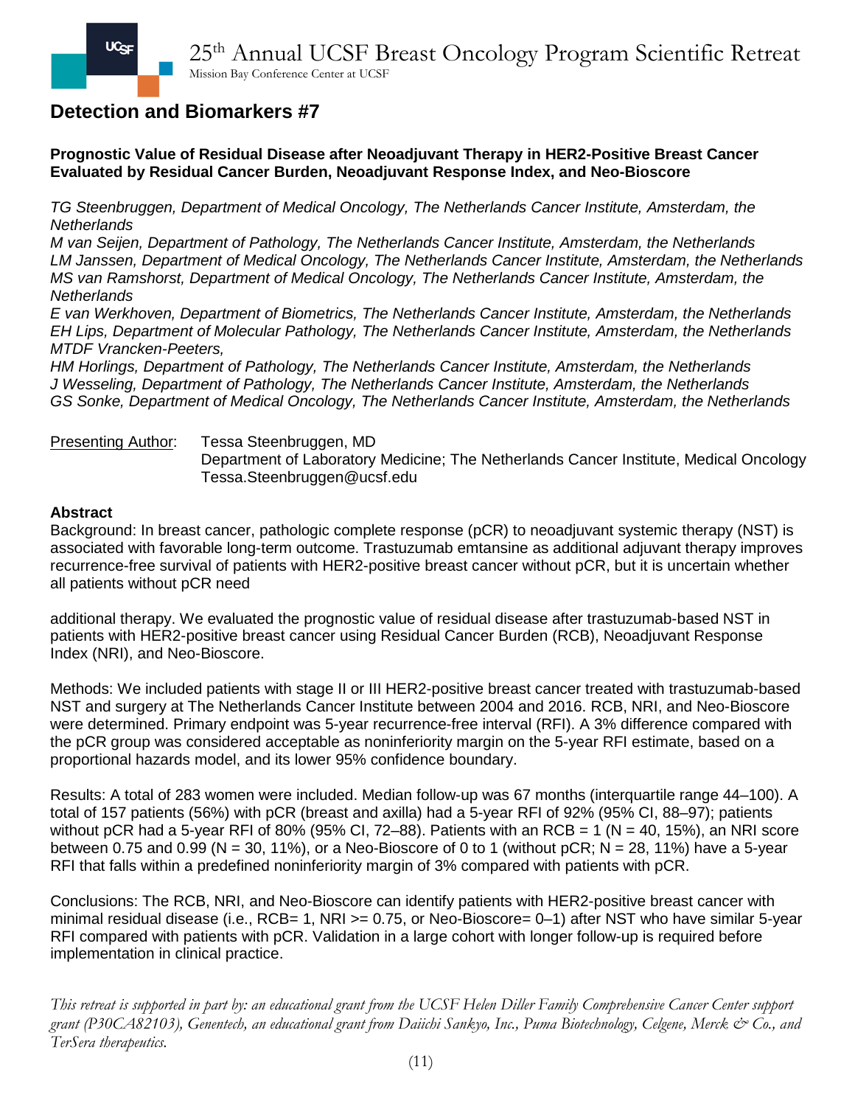**Prognostic Value of Residual Disease after Neoadjuvant Therapy in HER2-Positive Breast Cancer Evaluated by Residual Cancer Burden, Neoadjuvant Response Index, and Neo-Bioscore**

*TG Steenbruggen, Department of Medical Oncology, The Netherlands Cancer Institute, Amsterdam, the Netherlands*

*M van Seijen, Department of Pathology, The Netherlands Cancer Institute, Amsterdam, the Netherlands LM Janssen, Department of Medical Oncology, The Netherlands Cancer Institute, Amsterdam, the Netherlands MS van Ramshorst, Department of Medical Oncology, The Netherlands Cancer Institute, Amsterdam, the Netherlands*

*E van Werkhoven, Department of Biometrics, The Netherlands Cancer Institute, Amsterdam, the Netherlands EH Lips, Department of Molecular Pathology, The Netherlands Cancer Institute, Amsterdam, the Netherlands MTDF Vrancken-Peeters,* 

*HM Horlings, Department of Pathology, The Netherlands Cancer Institute, Amsterdam, the Netherlands J Wesseling, Department of Pathology, The Netherlands Cancer Institute, Amsterdam, the Netherlands GS Sonke, Department of Medical Oncology, The Netherlands Cancer Institute, Amsterdam, the Netherlands*

Presenting Author: Tessa Steenbruggen, MD

Department of Laboratory Medicine; The Netherlands Cancer Institute, Medical Oncology Tessa.Steenbruggen@ucsf.edu

### **Abstract**

Background: In breast cancer, pathologic complete response (pCR) to neoadjuvant systemic therapy (NST) is associated with favorable long-term outcome. Trastuzumab emtansine as additional adjuvant therapy improves recurrence-free survival of patients with HER2-positive breast cancer without pCR, but it is uncertain whether all patients without pCR need

additional therapy. We evaluated the prognostic value of residual disease after trastuzumab-based NST in patients with HER2-positive breast cancer using Residual Cancer Burden (RCB), Neoadjuvant Response Index (NRI), and Neo-Bioscore.

Methods: We included patients with stage II or III HER2-positive breast cancer treated with trastuzumab-based NST and surgery at The Netherlands Cancer Institute between 2004 and 2016. RCB, NRI, and Neo-Bioscore were determined. Primary endpoint was 5-year recurrence-free interval (RFI). A 3% difference compared with the pCR group was considered acceptable as noninferiority margin on the 5-year RFI estimate, based on a proportional hazards model, and its lower 95% confidence boundary.

Results: A total of 283 women were included. Median follow-up was 67 months (interquartile range 44–100). A total of 157 patients (56%) with pCR (breast and axilla) had a 5-year RFI of 92% (95% CI, 88–97); patients without pCR had a 5-year RFI of 80% (95% CI, 72–88). Patients with an RCB = 1 (N = 40, 15%), an NRI score between 0.75 and 0.99 (N = 30, 11%), or a Neo-Bioscore of 0 to 1 (without pCR; N = 28, 11%) have a 5-year RFI that falls within a predefined noninferiority margin of 3% compared with patients with pCR.

Conclusions: The RCB, NRI, and Neo-Bioscore can identify patients with HER2-positive breast cancer with minimal residual disease (i.e., RCB= 1, NRI >= 0.75, or Neo-Bioscore= 0–1) after NST who have similar 5-year RFI compared with patients with pCR. Validation in a large cohort with longer follow-up is required before implementation in clinical practice.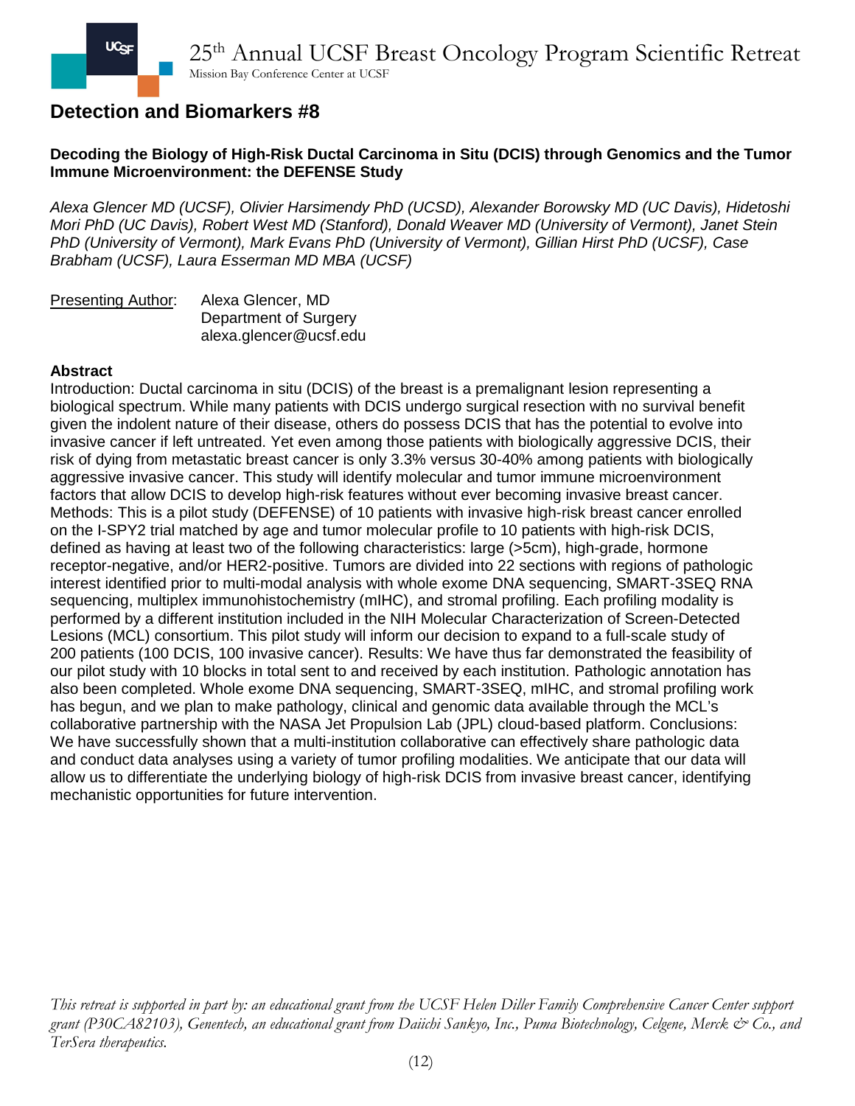### **Decoding the Biology of High-Risk Ductal Carcinoma in Situ (DCIS) through Genomics and the Tumor Immune Microenvironment: the DEFENSE Study**

*Alexa Glencer MD (UCSF), Olivier Harsimendy PhD (UCSD), Alexander Borowsky MD (UC Davis), Hidetoshi Mori PhD (UC Davis), Robert West MD (Stanford), Donald Weaver MD (University of Vermont), Janet Stein PhD (University of Vermont), Mark Evans PhD (University of Vermont), Gillian Hirst PhD (UCSF), Case Brabham (UCSF), Laura Esserman MD MBA (UCSF)*

| <b>Presenting Author:</b> | Alexa Glencer, MD      |
|---------------------------|------------------------|
|                           | Department of Surgery  |
|                           | alexa.glencer@ucsf.edu |

#### **Abstract**

Introduction: Ductal carcinoma in situ (DCIS) of the breast is a premalignant lesion representing a biological spectrum. While many patients with DCIS undergo surgical resection with no survival benefit given the indolent nature of their disease, others do possess DCIS that has the potential to evolve into invasive cancer if left untreated. Yet even among those patients with biologically aggressive DCIS, their risk of dying from metastatic breast cancer is only 3.3% versus 30-40% among patients with biologically aggressive invasive cancer. This study will identify molecular and tumor immune microenvironment factors that allow DCIS to develop high-risk features without ever becoming invasive breast cancer. Methods: This is a pilot study (DEFENSE) of 10 patients with invasive high-risk breast cancer enrolled on the I-SPY2 trial matched by age and tumor molecular profile to 10 patients with high-risk DCIS, defined as having at least two of the following characteristics: large (>5cm), high-grade, hormone receptor-negative, and/or HER2-positive. Tumors are divided into 22 sections with regions of pathologic interest identified prior to multi-modal analysis with whole exome DNA sequencing, SMART-3SEQ RNA sequencing, multiplex immunohistochemistry (mIHC), and stromal profiling. Each profiling modality is performed by a different institution included in the NIH Molecular Characterization of Screen-Detected Lesions (MCL) consortium. This pilot study will inform our decision to expand to a full-scale study of 200 patients (100 DCIS, 100 invasive cancer). Results: We have thus far demonstrated the feasibility of our pilot study with 10 blocks in total sent to and received by each institution. Pathologic annotation has also been completed. Whole exome DNA sequencing, SMART-3SEQ, mIHC, and stromal profiling work has begun, and we plan to make pathology, clinical and genomic data available through the MCL's collaborative partnership with the NASA Jet Propulsion Lab (JPL) cloud-based platform. Conclusions: We have successfully shown that a multi-institution collaborative can effectively share pathologic data and conduct data analyses using a variety of tumor profiling modalities. We anticipate that our data will allow us to differentiate the underlying biology of high-risk DCIS from invasive breast cancer, identifying mechanistic opportunities for future intervention.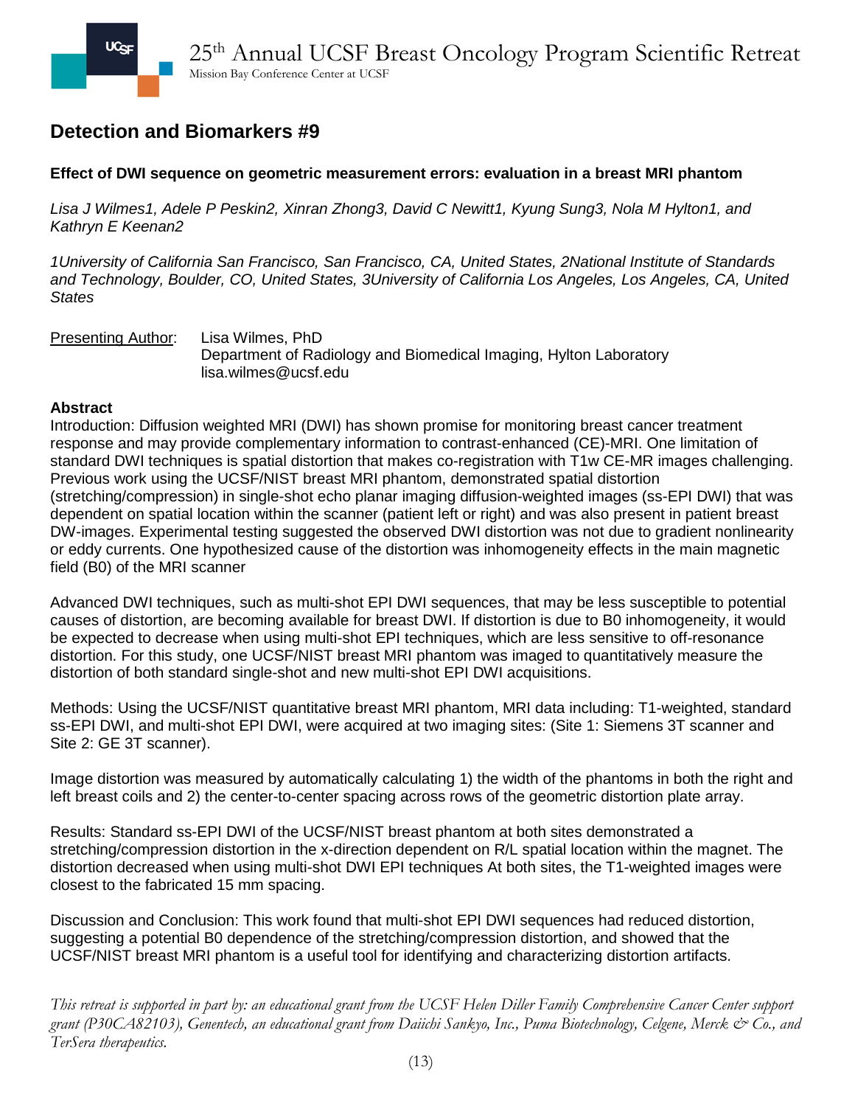## **Effect of DWI sequence on geometric measurement errors: evaluation in a breast MRI phantom**

*Lisa J Wilmes1, Adele P Peskin2, Xinran Zhong3, David C Newitt1, Kyung Sung3, Nola M Hylton1, and Kathryn E Keenan2*

*1University of California San Francisco, San Francisco, CA, United States, 2National Institute of Standards and Technology, Boulder, CO, United States, 3University of California Los Angeles, Los Angeles, CA, United States*

Presenting Author: Lisa Wilmes, PhD Department of Radiology and Biomedical Imaging, Hylton Laboratory lisa.wilmes@ucsf.edu

#### **Abstract**

Introduction: Diffusion weighted MRI (DWI) has shown promise for monitoring breast cancer treatment response and may provide complementary information to contrast-enhanced (CE)-MRI. One limitation of standard DWI techniques is spatial distortion that makes co-registration with T1w CE-MR images challenging. Previous work using the UCSF/NIST breast MRI phantom, demonstrated spatial distortion (stretching/compression) in single-shot echo planar imaging diffusion-weighted images (ss-EPI DWI) that was dependent on spatial location within the scanner (patient left or right) and was also present in patient breast DW-images. Experimental testing suggested the observed DWI distortion was not due to gradient nonlinearity or eddy currents. One hypothesized cause of the distortion was inhomogeneity effects in the main magnetic field (B0) of the MRI scanner

Advanced DWI techniques, such as multi-shot EPI DWI sequences, that may be less susceptible to potential causes of distortion, are becoming available for breast DWI. If distortion is due to B0 inhomogeneity, it would be expected to decrease when using multi-shot EPI techniques, which are less sensitive to off-resonance distortion. For this study, one UCSF/NIST breast MRI phantom was imaged to quantitatively measure the distortion of both standard single-shot and new multi-shot EPI DWI acquisitions.

Methods: Using the UCSF/NIST quantitative breast MRI phantom, MRI data including: T1-weighted, standard ss-EPI DWI, and multi-shot EPI DWI, were acquired at two imaging sites: (Site 1: Siemens 3T scanner and Site 2: GE 3T scanner).

Image distortion was measured by automatically calculating 1) the width of the phantoms in both the right and left breast coils and 2) the center-to-center spacing across rows of the geometric distortion plate array.

Results: Standard ss-EPI DWI of the UCSF/NIST breast phantom at both sites demonstrated a stretching/compression distortion in the x-direction dependent on R/L spatial location within the magnet. The distortion decreased when using multi-shot DWI EPI techniques At both sites, the T1-weighted images were closest to the fabricated 15 mm spacing.

Discussion and Conclusion: This work found that multi-shot EPI DWI sequences had reduced distortion, suggesting a potential B0 dependence of the stretching/compression distortion, and showed that the UCSF/NIST breast MRI phantom is a useful tool for identifying and characterizing distortion artifacts.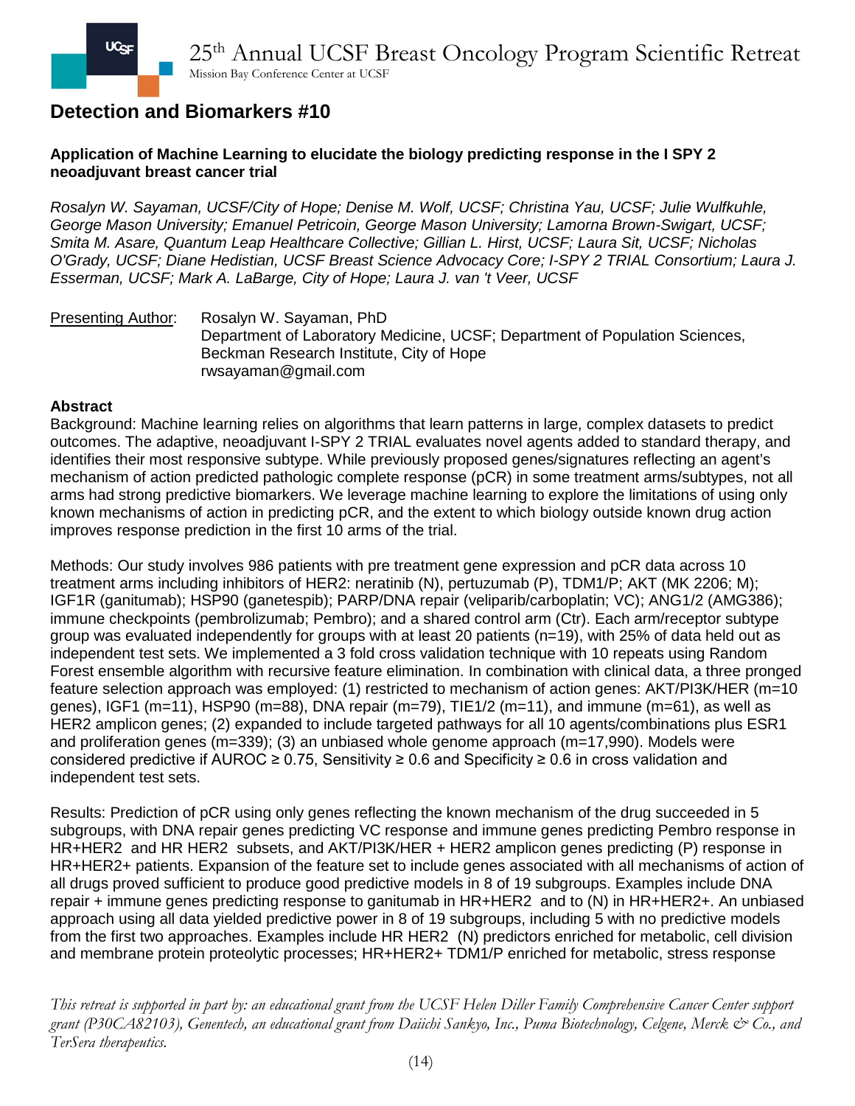### **Application of Machine Learning to elucidate the biology predicting response in the I SPY 2 neoadjuvant breast cancer trial**

*Rosalyn W. Sayaman, UCSF/City of Hope; Denise M. Wolf, UCSF; Christina Yau, UCSF; Julie Wulfkuhle, George Mason University; Emanuel Petricoin, George Mason University; Lamorna Brown-Swigart, UCSF; Smita M. Asare, Quantum Leap Healthcare Collective; Gillian L. Hirst, UCSF; Laura Sit, UCSF; Nicholas O'Grady, UCSF; Diane Hedistian, UCSF Breast Science Advocacy Core; I-SPY 2 TRIAL Consortium; Laura J. Esserman, UCSF; Mark A. LaBarge, City of Hope; Laura J. van 't Veer, UCSF*

Presenting Author: Rosalyn W. Sayaman, PhD Department of Laboratory Medicine, UCSF; Department of Population Sciences, Beckman Research Institute, City of Hope rwsayaman@gmail.com

#### **Abstract**

Background: Machine learning relies on algorithms that learn patterns in large, complex datasets to predict outcomes. The adaptive, neoadjuvant I-SPY 2 TRIAL evaluates novel agents added to standard therapy, and identifies their most responsive subtype. While previously proposed genes/signatures reflecting an agent's mechanism of action predicted pathologic complete response (pCR) in some treatment arms/subtypes, not all arms had strong predictive biomarkers. We leverage machine learning to explore the limitations of using only known mechanisms of action in predicting pCR, and the extent to which biology outside known drug action improves response prediction in the first 10 arms of the trial.

Methods: Our study involves 986 patients with pre treatment gene expression and pCR data across 10 treatment arms including inhibitors of HER2: neratinib (N), pertuzumab (P), TDM1/P; AKT (MK 2206; M); IGF1R (ganitumab); HSP90 (ganetespib); PARP/DNA repair (veliparib/carboplatin; VC); ANG1/2 (AMG386); immune checkpoints (pembrolizumab; Pembro); and a shared control arm (Ctr). Each arm/receptor subtype group was evaluated independently for groups with at least 20 patients (n=19), with 25% of data held out as independent test sets. We implemented a 3 fold cross validation technique with 10 repeats using Random Forest ensemble algorithm with recursive feature elimination. In combination with clinical data, a three pronged feature selection approach was employed: (1) restricted to mechanism of action genes: AKT/PI3K/HER (m=10 genes), IGF1 (m=11), HSP90 (m=88), DNA repair (m=79), TIE1/2 (m=11), and immune (m=61), as well as HER2 amplicon genes; (2) expanded to include targeted pathways for all 10 agents/combinations plus ESR1 and proliferation genes (m=339); (3) an unbiased whole genome approach (m=17,990). Models were considered predictive if AUROC  $\geq$  0.75, Sensitivity  $\geq$  0.6 and Specificity  $\geq$  0.6 in cross validation and independent test sets.

Results: Prediction of pCR using only genes reflecting the known mechanism of the drug succeeded in 5 subgroups, with DNA repair genes predicting VC response and immune genes predicting Pembro response in HR+HER2 and HR HER2 subsets, and AKT/PI3K/HER + HER2 amplicon genes predicting (P) response in HR+HER2+ patients. Expansion of the feature set to include genes associated with all mechanisms of action of all drugs proved sufficient to produce good predictive models in 8 of 19 subgroups. Examples include DNA repair + immune genes predicting response to ganitumab in HR+HER2 and to (N) in HR+HER2+. An unbiased approach using all data yielded predictive power in 8 of 19 subgroups, including 5 with no predictive models from the first two approaches. Examples include HR HER2 (N) predictors enriched for metabolic, cell division and membrane protein proteolytic processes; HR+HER2+ TDM1/P enriched for metabolic, stress response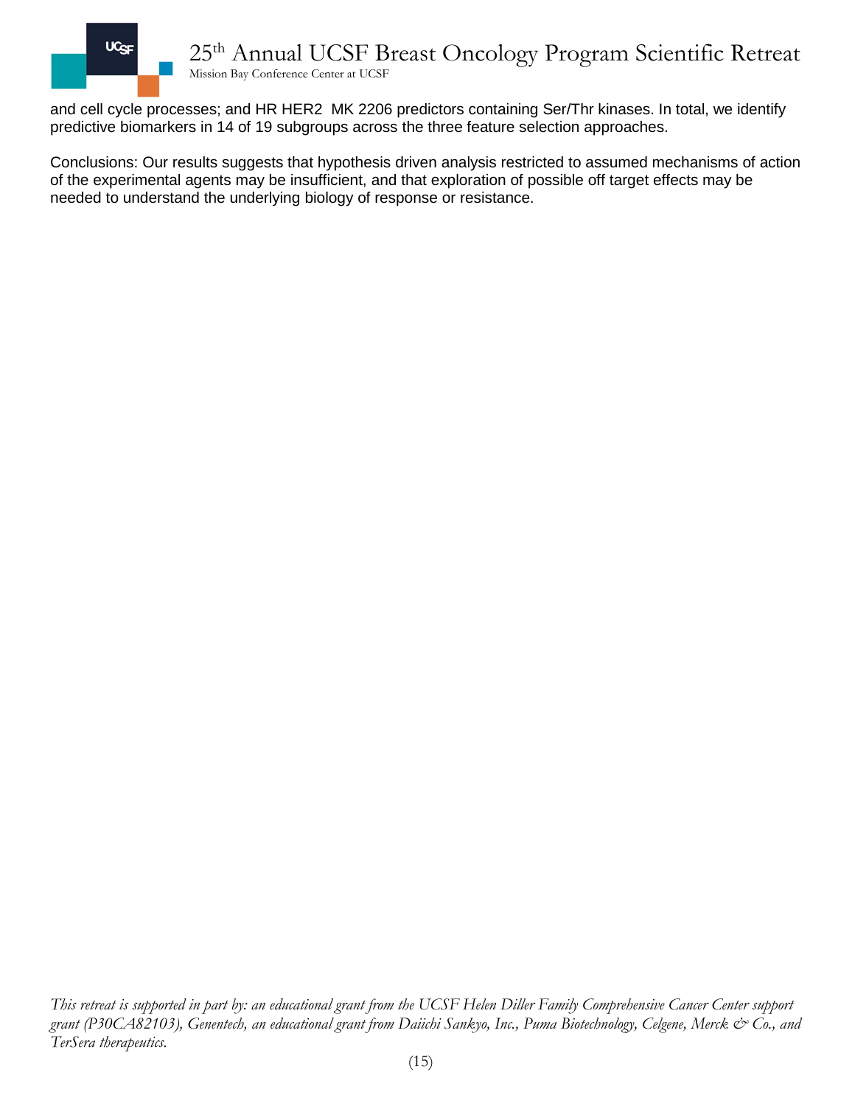

and cell cycle processes; and HR HER2 MK 2206 predictors containing Ser/Thr kinases. In total, we identify predictive biomarkers in 14 of 19 subgroups across the three feature selection approaches.

Conclusions: Our results suggests that hypothesis driven analysis restricted to assumed mechanisms of action of the experimental agents may be insufficient, and that exploration of possible off target effects may be needed to understand the underlying biology of response or resistance.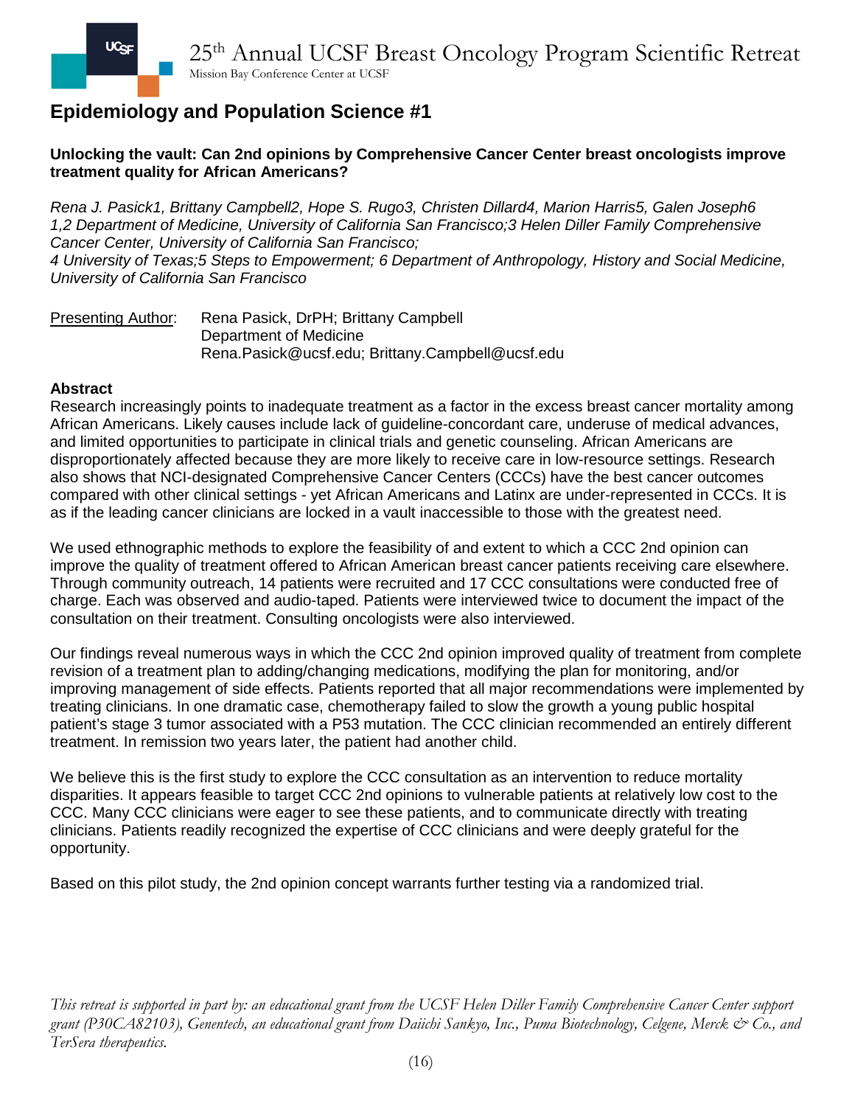## **Unlocking the vault: Can 2nd opinions by Comprehensive Cancer Center breast oncologists improve treatment quality for African Americans?**

*Rena J. Pasick1, Brittany Campbell2, Hope S. Rugo3, Christen Dillard4, Marion Harris5, Galen Joseph6 1,2 Department of Medicine, University of California San Francisco;3 Helen Diller Family Comprehensive Cancer Center, University of California San Francisco; 4 University of Texas;5 Steps to Empowerment; 6 Department of Anthropology, History and Social Medicine, University of California San Francisco*

Presenting Author: Rena Pasick, DrPH; Brittany Campbell Department of Medicine Rena.Pasick@ucsf.edu; Brittany.Campbell@ucsf.edu

### **Abstract**

Research increasingly points to inadequate treatment as a factor in the excess breast cancer mortality among African Americans. Likely causes include lack of guideline-concordant care, underuse of medical advances, and limited opportunities to participate in clinical trials and genetic counseling. African Americans are disproportionately affected because they are more likely to receive care in low-resource settings. Research also shows that NCI-designated Comprehensive Cancer Centers (CCCs) have the best cancer outcomes compared with other clinical settings - yet African Americans and Latinx are under-represented in CCCs. It is as if the leading cancer clinicians are locked in a vault inaccessible to those with the greatest need.

We used ethnographic methods to explore the feasibility of and extent to which a CCC 2nd opinion can improve the quality of treatment offered to African American breast cancer patients receiving care elsewhere. Through community outreach, 14 patients were recruited and 17 CCC consultations were conducted free of charge. Each was observed and audio-taped. Patients were interviewed twice to document the impact of the consultation on their treatment. Consulting oncologists were also interviewed.

Our findings reveal numerous ways in which the CCC 2nd opinion improved quality of treatment from complete revision of a treatment plan to adding/changing medications, modifying the plan for monitoring, and/or improving management of side effects. Patients reported that all major recommendations were implemented by treating clinicians. In one dramatic case, chemotherapy failed to slow the growth a young public hospital patient's stage 3 tumor associated with a P53 mutation. The CCC clinician recommended an entirely different treatment. In remission two years later, the patient had another child.

We believe this is the first study to explore the CCC consultation as an intervention to reduce mortality disparities. It appears feasible to target CCC 2nd opinions to vulnerable patients at relatively low cost to the CCC. Many CCC clinicians were eager to see these patients, and to communicate directly with treating clinicians. Patients readily recognized the expertise of CCC clinicians and were deeply grateful for the opportunity.

Based on this pilot study, the 2nd opinion concept warrants further testing via a randomized trial.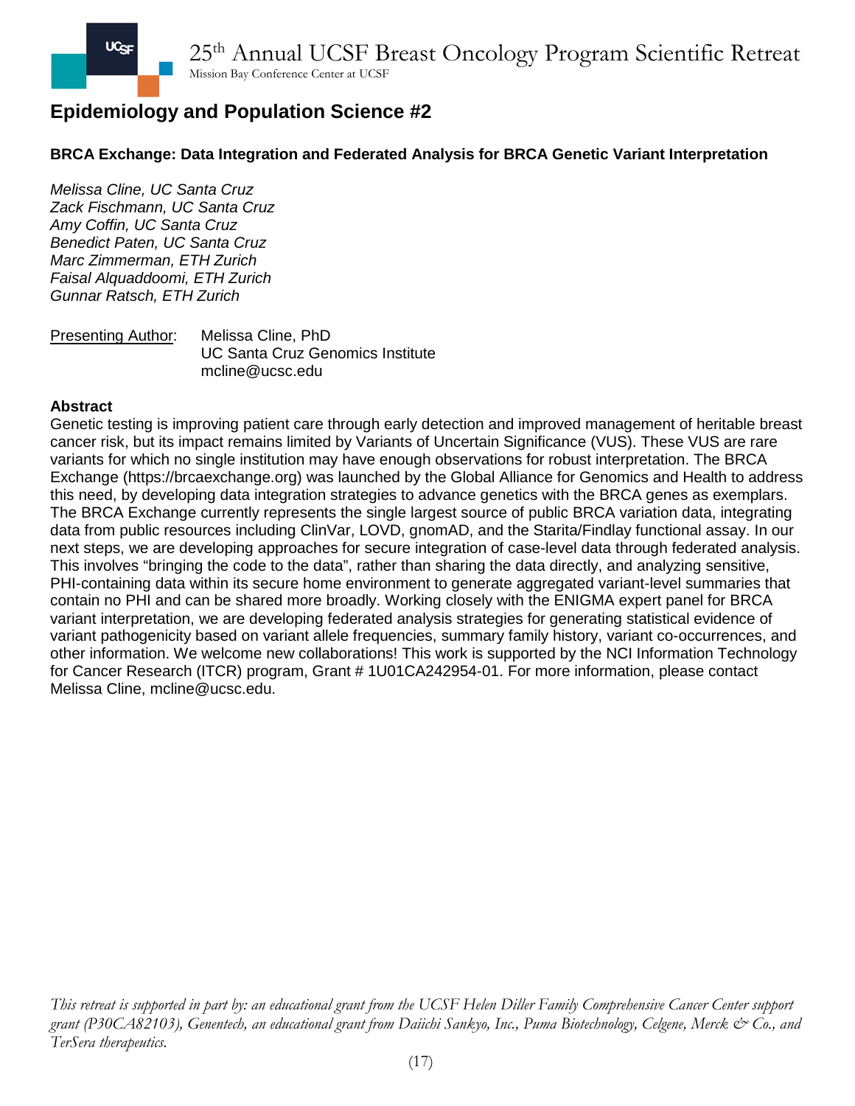## **BRCA Exchange: Data Integration and Federated Analysis for BRCA Genetic Variant Interpretation**

*Melissa Cline, UC Santa Cruz Zack Fischmann, UC Santa Cruz Amy Coffin, UC Santa Cruz Benedict Paten, UC Santa Cruz Marc Zimmerman, ETH Zurich Faisal Alquaddoomi, ETH Zurich Gunnar Ratsch, ETH Zurich*

Presenting Author: Melissa Cline, PhD UC Santa Cruz Genomics Institute mcline@ucsc.edu

#### **Abstract**

Genetic testing is improving patient care through early detection and improved management of heritable breast cancer risk, but its impact remains limited by Variants of Uncertain Significance (VUS). These VUS are rare variants for which no single institution may have enough observations for robust interpretation. The BRCA Exchange (https://brcaexchange.org) was launched by the Global Alliance for Genomics and Health to address this need, by developing data integration strategies to advance genetics with the BRCA genes as exemplars. The BRCA Exchange currently represents the single largest source of public BRCA variation data, integrating data from public resources including ClinVar, LOVD, gnomAD, and the Starita/Findlay functional assay. In our next steps, we are developing approaches for secure integration of case-level data through federated analysis. This involves "bringing the code to the data", rather than sharing the data directly, and analyzing sensitive, PHI-containing data within its secure home environment to generate aggregated variant-level summaries that contain no PHI and can be shared more broadly. Working closely with the ENIGMA expert panel for BRCA variant interpretation, we are developing federated analysis strategies for generating statistical evidence of variant pathogenicity based on variant allele frequencies, summary family history, variant co-occurrences, and other information. We welcome new collaborations! This work is supported by the NCI Information Technology for Cancer Research (ITCR) program, Grant # 1U01CA242954-01. For more information, please contact Melissa Cline, mcline@ucsc.edu.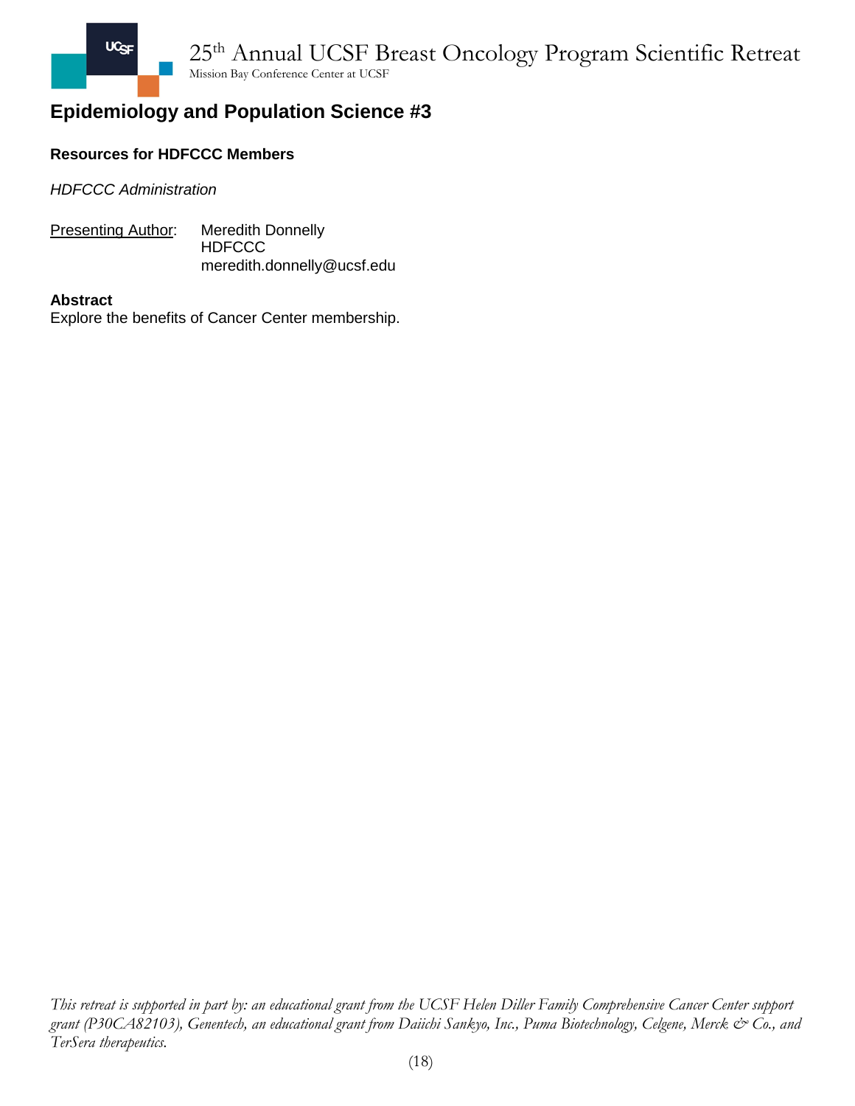

## **Resources for HDFCCC Members**

*HDFCCC Administration*

**Presenting Author:** Meredith Donnelly **HDFCCC** meredith.donnelly@ucsf.edu

#### **Abstract**

Explore the benefits of Cancer Center membership.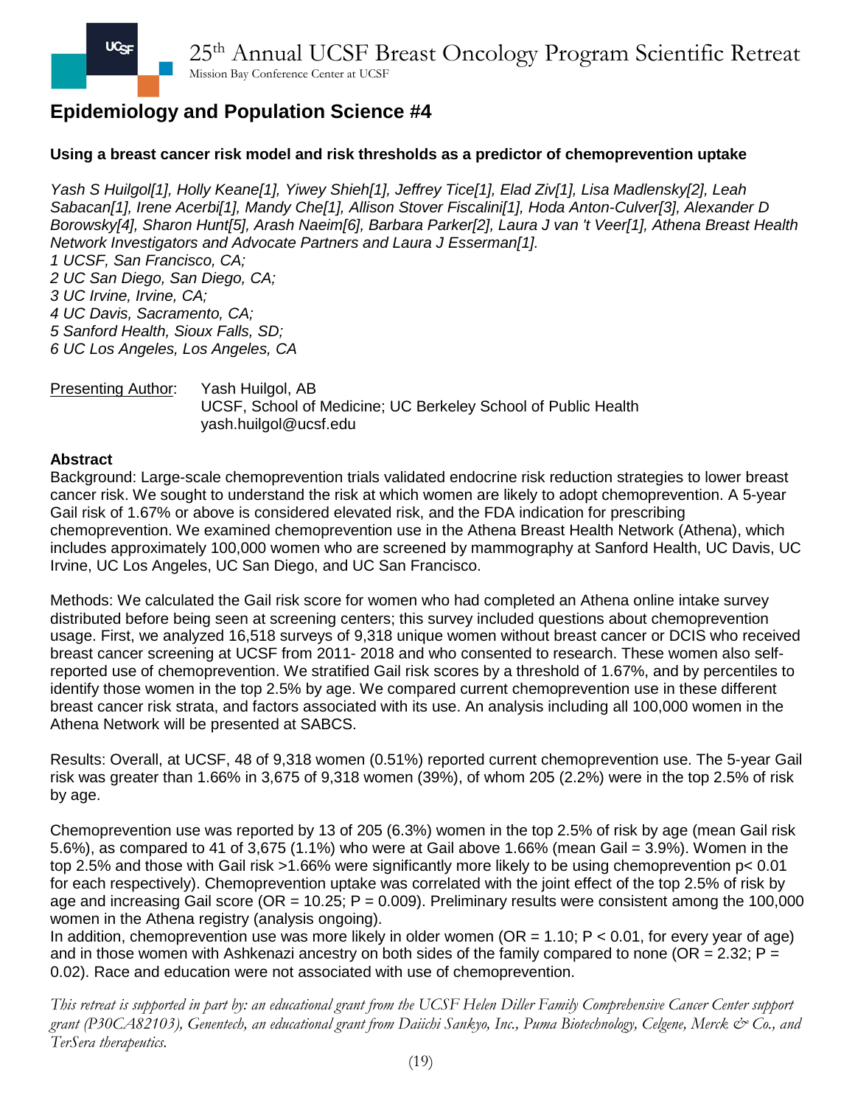## **Using a breast cancer risk model and risk thresholds as a predictor of chemoprevention uptake**

*Yash S Huilgol[1], Holly Keane[1], Yiwey Shieh[1], Jeffrey Tice[1], Elad Ziv[1], Lisa Madlensky[2], Leah Sabacan[1], Irene Acerbi[1], Mandy Che[1], Allison Stover Fiscalini[1], Hoda Anton-Culver[3], Alexander D Borowsky[4], Sharon Hunt[5], Arash Naeim[6], Barbara Parker[2], Laura J van 't Veer[1], Athena Breast Health Network Investigators and Advocate Partners and Laura J Esserman[1]. 1 UCSF, San Francisco, CA; 2 UC San Diego, San Diego, CA; 3 UC Irvine, Irvine, CA; 4 UC Davis, Sacramento, CA; 5 Sanford Health, Sioux Falls, SD; 6 UC Los Angeles, Los Angeles, CA*

#### Presenting Author: Yash Huilgol, AB UCSF, School of Medicine; UC Berkeley School of Public Health yash.huilgol@ucsf.edu

#### **Abstract**

Background: Large-scale chemoprevention trials validated endocrine risk reduction strategies to lower breast cancer risk. We sought to understand the risk at which women are likely to adopt chemoprevention. A 5-year Gail risk of 1.67% or above is considered elevated risk, and the FDA indication for prescribing chemoprevention. We examined chemoprevention use in the Athena Breast Health Network (Athena), which includes approximately 100,000 women who are screened by mammography at Sanford Health, UC Davis, UC Irvine, UC Los Angeles, UC San Diego, and UC San Francisco.

Methods: We calculated the Gail risk score for women who had completed an Athena online intake survey distributed before being seen at screening centers; this survey included questions about chemoprevention usage. First, we analyzed 16,518 surveys of 9,318 unique women without breast cancer or DCIS who received breast cancer screening at UCSF from 2011- 2018 and who consented to research. These women also selfreported use of chemoprevention. We stratified Gail risk scores by a threshold of 1.67%, and by percentiles to identify those women in the top 2.5% by age. We compared current chemoprevention use in these different breast cancer risk strata, and factors associated with its use. An analysis including all 100,000 women in the Athena Network will be presented at SABCS.

Results: Overall, at UCSF, 48 of 9,318 women (0.51%) reported current chemoprevention use. The 5-year Gail risk was greater than 1.66% in 3,675 of 9,318 women (39%), of whom 205 (2.2%) were in the top 2.5% of risk by age.

Chemoprevention use was reported by 13 of 205 (6.3%) women in the top 2.5% of risk by age (mean Gail risk 5.6%), as compared to 41 of 3,675 (1.1%) who were at Gail above 1.66% (mean Gail = 3.9%). Women in the top 2.5% and those with Gail risk >1.66% were significantly more likely to be using chemoprevention p< 0.01 for each respectively). Chemoprevention uptake was correlated with the joint effect of the top 2.5% of risk by age and increasing Gail score ( $OR = 10.25$ ;  $P = 0.009$ ). Preliminary results were consistent among the 100,000 women in the Athena registry (analysis ongoing).

In addition, chemoprevention use was more likely in older women (OR = 1.10;  $P < 0.01$ , for every year of age) and in those women with Ashkenazi ancestry on both sides of the family compared to none (OR = 2.32;  $P =$ 0.02). Race and education were not associated with use of chemoprevention.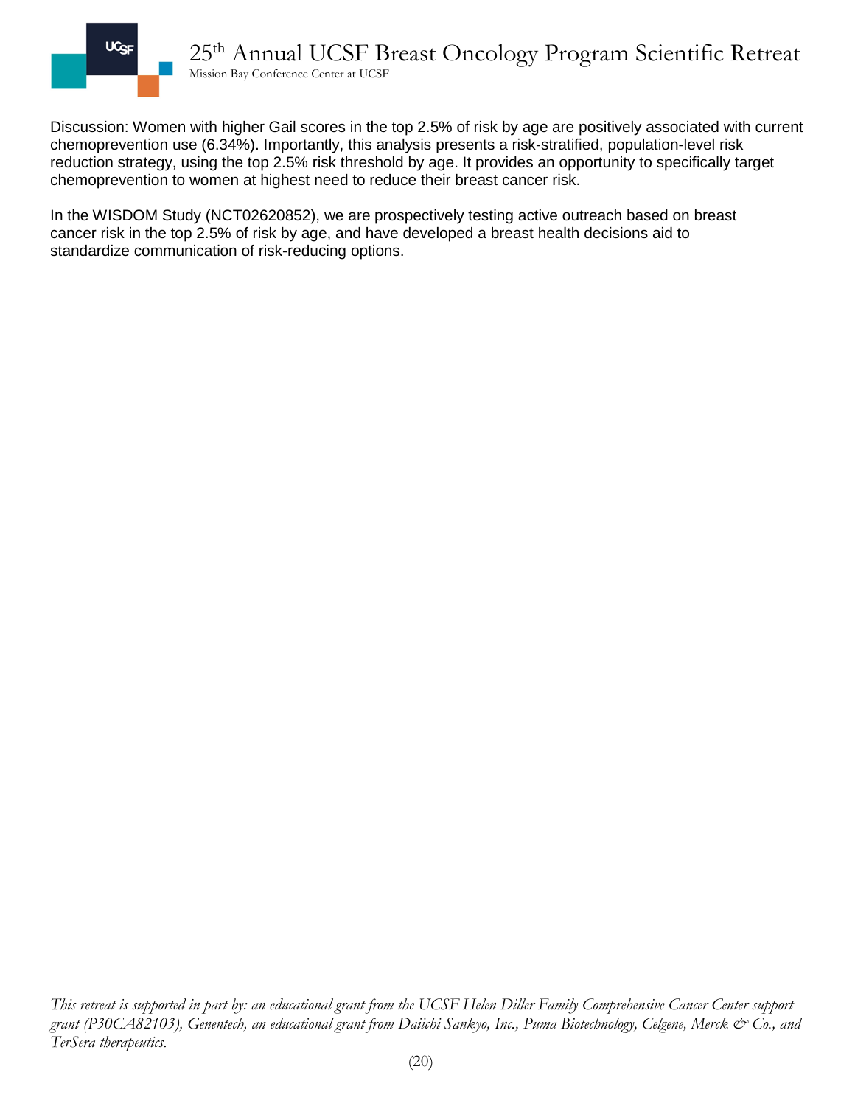

Discussion: Women with higher Gail scores in the top 2.5% of risk by age are positively associated with current chemoprevention use (6.34%). Importantly, this analysis presents a risk-stratified, population-level risk reduction strategy, using the top 2.5% risk threshold by age. It provides an opportunity to specifically target chemoprevention to women at highest need to reduce their breast cancer risk.

In the WISDOM Study (NCT02620852), we are prospectively testing active outreach based on breast cancer risk in the top 2.5% of risk by age, and have developed a breast health decisions aid to standardize communication of risk-reducing options.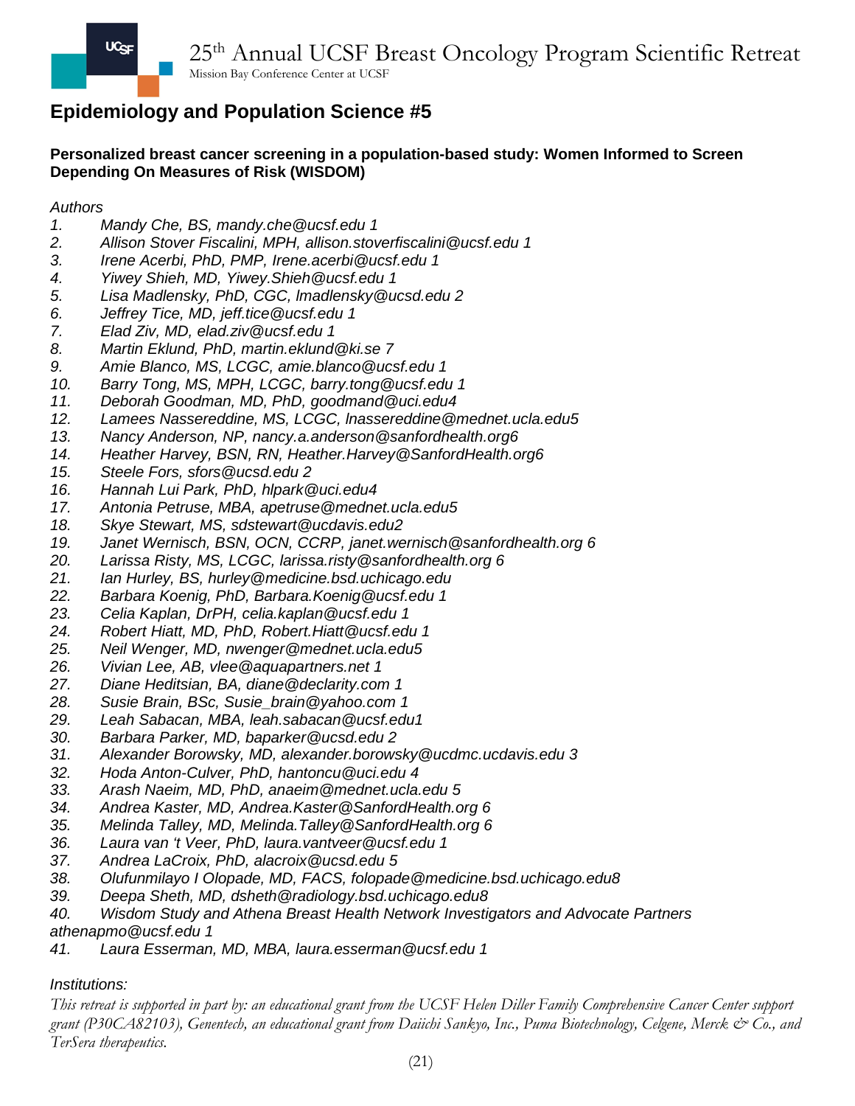**Personalized breast cancer screening in a population-based study: Women Informed to Screen Depending On Measures of Risk (WISDOM)**

### *Authors*

- *1. Mandy Che, BS, mandy.che@ucsf.edu 1*
- *2. Allison Stover Fiscalini, MPH, allison.stoverfiscalini@ucsf.edu 1*
- *3. Irene Acerbi, PhD, PMP, Irene.acerbi@ucsf.edu 1*
- *4. Yiwey Shieh, MD, Yiwey.Shieh@ucsf.edu 1*
- *5. Lisa Madlensky, PhD, CGC, lmadlensky@ucsd.edu 2*
- *6. Jeffrey Tice, MD, jeff.tice@ucsf.edu 1*
- *7. Elad Ziv, MD, elad.ziv@ucsf.edu 1*
- *8. Martin Eklund, PhD, martin.eklund@ki.se 7*
- *9. Amie Blanco, MS, LCGC, amie.blanco@ucsf.edu 1*
- *10. Barry Tong, MS, MPH, LCGC, barry.tong@ucsf.edu 1*
- *11. Deborah Goodman, MD, PhD, goodmand@uci.edu4*
- *12. Lamees Nassereddine, MS, LCGC, lnassereddine@mednet.ucla.edu5*
- *13. Nancy Anderson, NP, nancy.a.anderson@sanfordhealth.org6*
- *14. Heather Harvey, BSN, RN, Heather.Harvey@SanfordHealth.org6*
- *15. Steele Fors, sfors@ucsd.edu 2*
- *16. Hannah Lui Park, PhD, hlpark@uci.edu4*
- *17. Antonia Petruse, MBA, apetruse@mednet.ucla.edu5*
- *18. Skye Stewart, MS, sdstewart@ucdavis.edu2*
- *19. Janet Wernisch, BSN, OCN, CCRP, janet.wernisch@sanfordhealth.org 6*
- *20. Larissa Risty, MS, LCGC, larissa.risty@sanfordhealth.org 6*
- *21. Ian Hurley, BS, hurley@medicine.bsd.uchicago.edu*
- *22. Barbara Koenig, PhD, Barbara.Koenig@ucsf.edu 1*
- *23. Celia Kaplan, DrPH, celia.kaplan@ucsf.edu 1*
- *24. Robert Hiatt, MD, PhD, Robert.Hiatt@ucsf.edu 1*
- *25. Neil Wenger, MD, nwenger@mednet.ucla.edu5*
- *26. Vivian Lee, AB, vlee@aquapartners.net 1*
- *27. Diane Heditsian, BA, diane@declarity.com 1*
- *28. Susie Brain, BSc, Susie\_brain@yahoo.com 1*
- *29. Leah Sabacan, MBA, leah.sabacan@ucsf.edu1*
- *30. Barbara Parker, MD, baparker@ucsd.edu 2*
- *31. Alexander Borowsky, MD, alexander.borowsky@ucdmc.ucdavis.edu 3*
- *32. Hoda Anton-Culver, PhD, hantoncu@uci.edu 4*
- *33. Arash Naeim, MD, PhD, anaeim@mednet.ucla.edu 5*
- *34. Andrea Kaster, MD, Andrea.Kaster@SanfordHealth.org 6*
- *35. Melinda Talley, MD, Melinda.Talley@SanfordHealth.org 6*
- *36. Laura van 't Veer, PhD, laura.vantveer@ucsf.edu 1*
- *37. Andrea LaCroix, PhD, alacroix@ucsd.edu 5*
- *38. Olufunmilayo I Olopade, MD, FACS, folopade@medicine.bsd.uchicago.edu8*
- *39. Deepa Sheth, MD, dsheth@radiology.bsd.uchicago.edu8*
- *40. Wisdom Study and Athena Breast Health Network Investigators and Advocate Partners athenapmo@ucsf.edu 1*
- *41. Laura Esserman, MD, MBA, laura.esserman@ucsf.edu 1*

#### *Institutions:*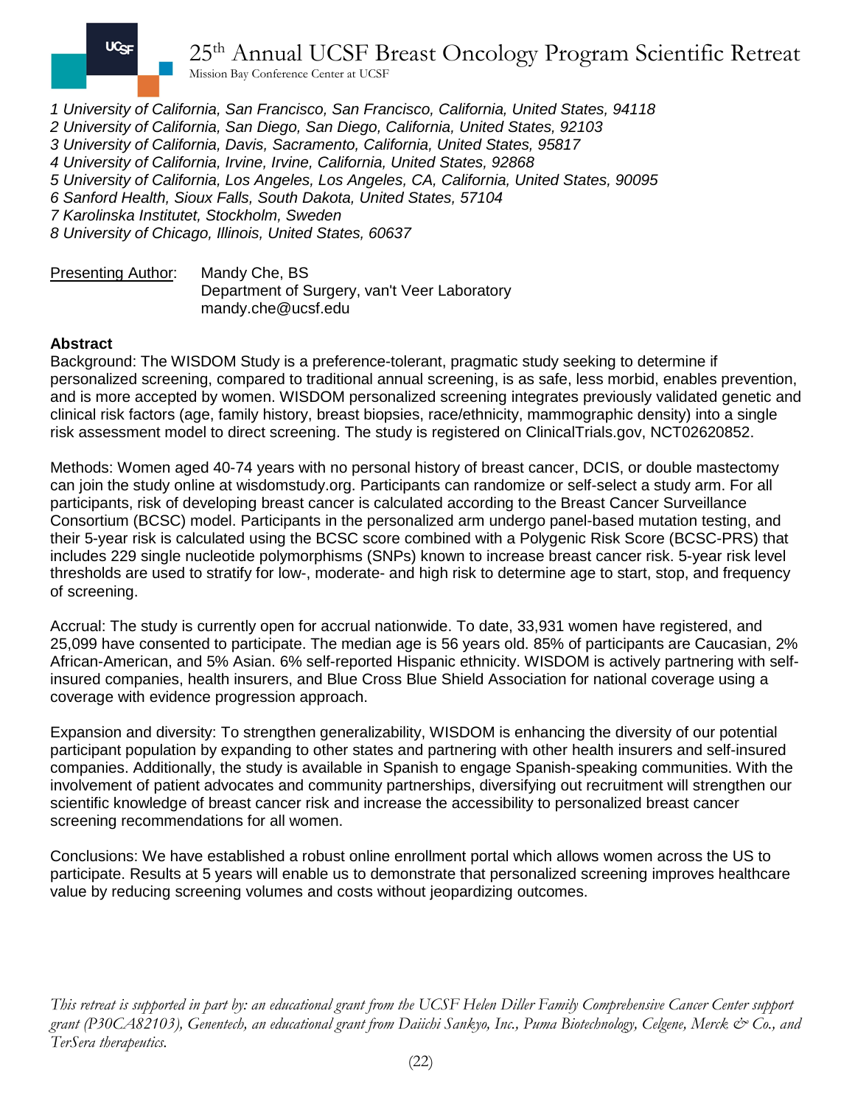

25th Annual UCSF Breast Oncology Program Scientific Retreat

Mission Bay Conference Center at UCSF

*1 University of California, San Francisco, San Francisco, California, United States, 94118 2 University of California, San Diego, San Diego, California, United States, 92103 3 University of California, Davis, Sacramento, California, United States, 95817 4 University of California, Irvine, Irvine, California, United States, 92868 5 University of California, Los Angeles, Los Angeles, CA, California, United States, 90095 6 Sanford Health, Sioux Falls, South Dakota, United States, 57104 7 Karolinska Institutet, Stockholm, Sweden 8 University of Chicago, Illinois, United States, 60637*

Presenting Author: Mandy Che, BS Department of Surgery, van't Veer Laboratory mandy.che@ucsf.edu

#### **Abstract**

Background: The WISDOM Study is a preference-tolerant, pragmatic study seeking to determine if personalized screening, compared to traditional annual screening, is as safe, less morbid, enables prevention, and is more accepted by women. WISDOM personalized screening integrates previously validated genetic and clinical risk factors (age, family history, breast biopsies, race/ethnicity, mammographic density) into a single risk assessment model to direct screening. The study is registered on ClinicalTrials.gov, NCT02620852.

Methods: Women aged 40-74 years with no personal history of breast cancer, DCIS, or double mastectomy can join the study online at wisdomstudy.org. Participants can randomize or self-select a study arm. For all participants, risk of developing breast cancer is calculated according to the Breast Cancer Surveillance Consortium (BCSC) model. Participants in the personalized arm undergo panel-based mutation testing, and their 5-year risk is calculated using the BCSC score combined with a Polygenic Risk Score (BCSC-PRS) that includes 229 single nucleotide polymorphisms (SNPs) known to increase breast cancer risk. 5-year risk level thresholds are used to stratify for low-, moderate- and high risk to determine age to start, stop, and frequency of screening.

Accrual: The study is currently open for accrual nationwide. To date, 33,931 women have registered, and 25,099 have consented to participate. The median age is 56 years old. 85% of participants are Caucasian, 2% African-American, and 5% Asian. 6% self-reported Hispanic ethnicity. WISDOM is actively partnering with selfinsured companies, health insurers, and Blue Cross Blue Shield Association for national coverage using a coverage with evidence progression approach.

Expansion and diversity: To strengthen generalizability, WISDOM is enhancing the diversity of our potential participant population by expanding to other states and partnering with other health insurers and self-insured companies. Additionally, the study is available in Spanish to engage Spanish-speaking communities. With the involvement of patient advocates and community partnerships, diversifying out recruitment will strengthen our scientific knowledge of breast cancer risk and increase the accessibility to personalized breast cancer screening recommendations for all women.

Conclusions: We have established a robust online enrollment portal which allows women across the US to participate. Results at 5 years will enable us to demonstrate that personalized screening improves healthcare value by reducing screening volumes and costs without jeopardizing outcomes.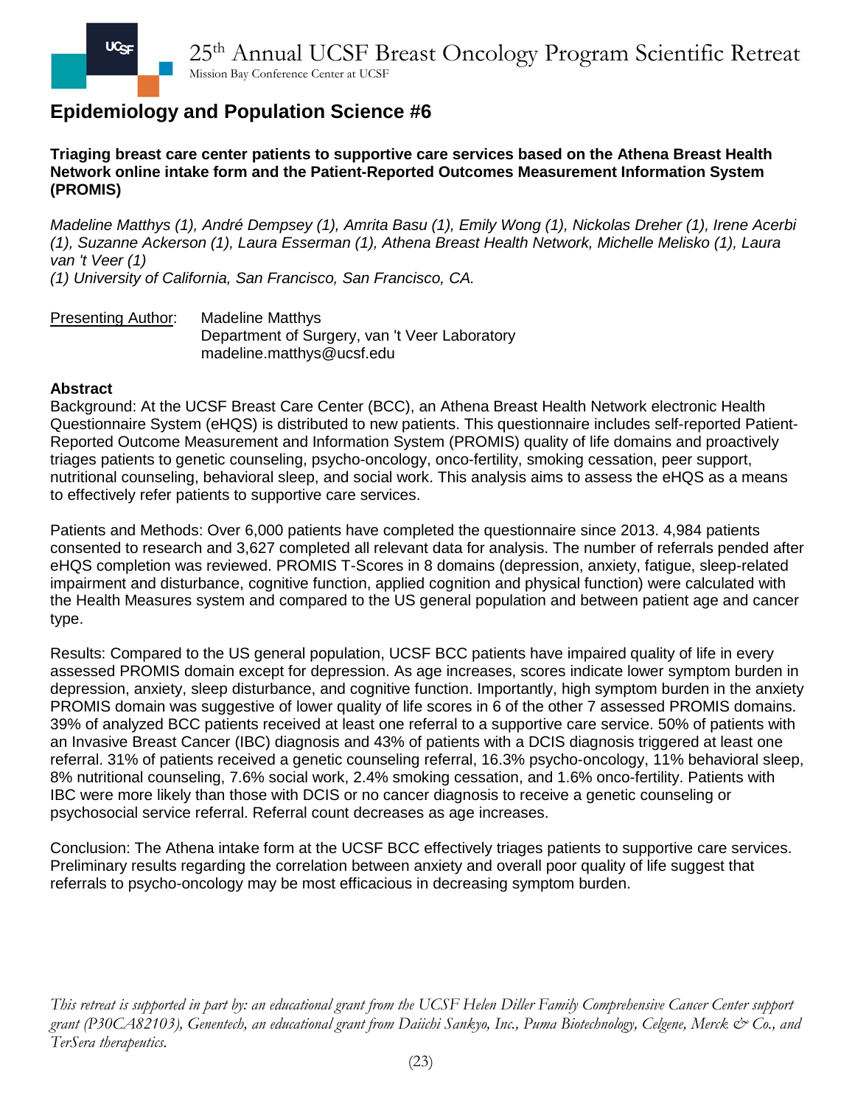**Triaging breast care center patients to supportive care services based on the Athena Breast Health Network online intake form and the Patient-Reported Outcomes Measurement Information System (PROMIS)**

*Madeline Matthys (1), André Dempsey (1), Amrita Basu (1), Emily Wong (1), Nickolas Dreher (1), Irene Acerbi (1), Suzanne Ackerson (1), Laura Esserman (1), Athena Breast Health Network, Michelle Melisko (1), Laura van 't Veer (1)*

*(1) University of California, San Francisco, San Francisco, CA.* 

Presenting Author: Madeline Matthys Department of Surgery, van 't Veer Laboratory madeline.matthys@ucsf.edu

### **Abstract**

Background: At the UCSF Breast Care Center (BCC), an Athena Breast Health Network electronic Health Questionnaire System (eHQS) is distributed to new patients. This questionnaire includes self-reported Patient-Reported Outcome Measurement and Information System (PROMIS) quality of life domains and proactively triages patients to genetic counseling, psycho-oncology, onco-fertility, smoking cessation, peer support, nutritional counseling, behavioral sleep, and social work. This analysis aims to assess the eHQS as a means to effectively refer patients to supportive care services.

Patients and Methods: Over 6,000 patients have completed the questionnaire since 2013. 4,984 patients consented to research and 3,627 completed all relevant data for analysis. The number of referrals pended after eHQS completion was reviewed. PROMIS T-Scores in 8 domains (depression, anxiety, fatigue, sleep-related impairment and disturbance, cognitive function, applied cognition and physical function) were calculated with the Health Measures system and compared to the US general population and between patient age and cancer type.

Results: Compared to the US general population, UCSF BCC patients have impaired quality of life in every assessed PROMIS domain except for depression. As age increases, scores indicate lower symptom burden in depression, anxiety, sleep disturbance, and cognitive function. Importantly, high symptom burden in the anxiety PROMIS domain was suggestive of lower quality of life scores in 6 of the other 7 assessed PROMIS domains. 39% of analyzed BCC patients received at least one referral to a supportive care service. 50% of patients with an Invasive Breast Cancer (IBC) diagnosis and 43% of patients with a DCIS diagnosis triggered at least one referral. 31% of patients received a genetic counseling referral, 16.3% psycho-oncology, 11% behavioral sleep, 8% nutritional counseling, 7.6% social work, 2.4% smoking cessation, and 1.6% onco-fertility. Patients with IBC were more likely than those with DCIS or no cancer diagnosis to receive a genetic counseling or psychosocial service referral. Referral count decreases as age increases.

Conclusion: The Athena intake form at the UCSF BCC effectively triages patients to supportive care services. Preliminary results regarding the correlation between anxiety and overall poor quality of life suggest that referrals to psycho-oncology may be most efficacious in decreasing symptom burden.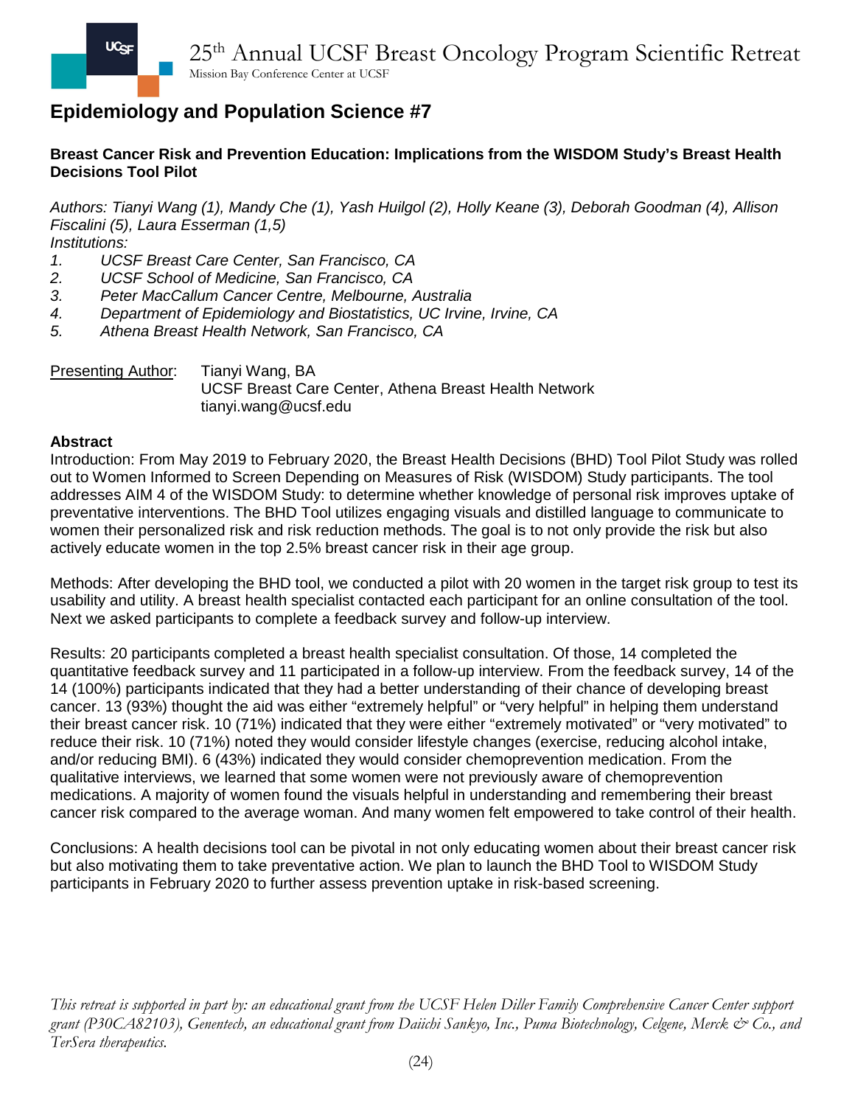### **Breast Cancer Risk and Prevention Education: Implications from the WISDOM Study's Breast Health Decisions Tool Pilot**

*Authors: Tianyi Wang (1), Mandy Che (1), Yash Huilgol (2), Holly Keane (3), Deborah Goodman (4), Allison Fiscalini (5), Laura Esserman (1,5)*

*Institutions:* 

- *1. UCSF Breast Care Center, San Francisco, CA*
- *2. UCSF School of Medicine, San Francisco, CA*
- *3. Peter MacCallum Cancer Centre, Melbourne, Australia*
- *4. Department of Epidemiology and Biostatistics, UC Irvine, Irvine, CA*
- *5. Athena Breast Health Network, San Francisco, CA*

Presenting Author: Tianyi Wang, BA UCSF Breast Care Center, Athena Breast Health Network tianyi.wang@ucsf.edu

#### **Abstract**

Introduction: From May 2019 to February 2020, the Breast Health Decisions (BHD) Tool Pilot Study was rolled out to Women Informed to Screen Depending on Measures of Risk (WISDOM) Study participants. The tool addresses AIM 4 of the WISDOM Study: to determine whether knowledge of personal risk improves uptake of preventative interventions. The BHD Tool utilizes engaging visuals and distilled language to communicate to women their personalized risk and risk reduction methods. The goal is to not only provide the risk but also actively educate women in the top 2.5% breast cancer risk in their age group.

Methods: After developing the BHD tool, we conducted a pilot with 20 women in the target risk group to test its usability and utility. A breast health specialist contacted each participant for an online consultation of the tool. Next we asked participants to complete a feedback survey and follow-up interview.

Results: 20 participants completed a breast health specialist consultation. Of those, 14 completed the quantitative feedback survey and 11 participated in a follow-up interview. From the feedback survey, 14 of the 14 (100%) participants indicated that they had a better understanding of their chance of developing breast cancer. 13 (93%) thought the aid was either "extremely helpful" or "very helpful" in helping them understand their breast cancer risk. 10 (71%) indicated that they were either "extremely motivated" or "very motivated" to reduce their risk. 10 (71%) noted they would consider lifestyle changes (exercise, reducing alcohol intake, and/or reducing BMI). 6 (43%) indicated they would consider chemoprevention medication. From the qualitative interviews, we learned that some women were not previously aware of chemoprevention medications. A majority of women found the visuals helpful in understanding and remembering their breast cancer risk compared to the average woman. And many women felt empowered to take control of their health.

Conclusions: A health decisions tool can be pivotal in not only educating women about their breast cancer risk but also motivating them to take preventative action. We plan to launch the BHD Tool to WISDOM Study participants in February 2020 to further assess prevention uptake in risk-based screening.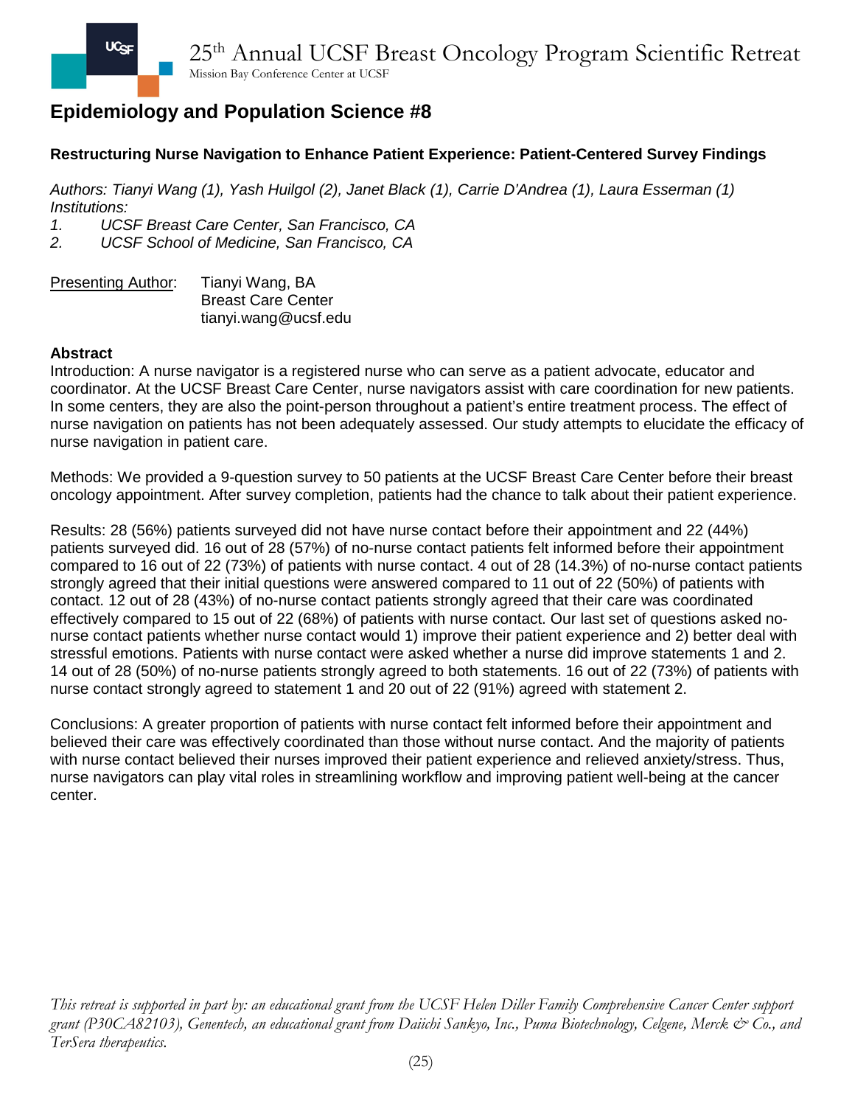## **Restructuring Nurse Navigation to Enhance Patient Experience: Patient-Centered Survey Findings**

*Authors: Tianyi Wang (1), Yash Huilgol (2), Janet Black (1), Carrie D'Andrea (1), Laura Esserman (1) Institutions:* 

*1. UCSF Breast Care Center, San Francisco, CA*

*2. UCSF School of Medicine, San Francisco, CA*

| <b>Presenting Author:</b> | Tianyi Wang, BA           |
|---------------------------|---------------------------|
|                           | <b>Breast Care Center</b> |
|                           | tianyi.wang@ucsf.edu      |

### **Abstract**

Introduction: A nurse navigator is a registered nurse who can serve as a patient advocate, educator and coordinator. At the UCSF Breast Care Center, nurse navigators assist with care coordination for new patients. In some centers, they are also the point-person throughout a patient's entire treatment process. The effect of nurse navigation on patients has not been adequately assessed. Our study attempts to elucidate the efficacy of nurse navigation in patient care.

Methods: We provided a 9-question survey to 50 patients at the UCSF Breast Care Center before their breast oncology appointment. After survey completion, patients had the chance to talk about their patient experience.

Results: 28 (56%) patients surveyed did not have nurse contact before their appointment and 22 (44%) patients surveyed did. 16 out of 28 (57%) of no-nurse contact patients felt informed before their appointment compared to 16 out of 22 (73%) of patients with nurse contact. 4 out of 28 (14.3%) of no-nurse contact patients strongly agreed that their initial questions were answered compared to 11 out of 22 (50%) of patients with contact. 12 out of 28 (43%) of no-nurse contact patients strongly agreed that their care was coordinated effectively compared to 15 out of 22 (68%) of patients with nurse contact. Our last set of questions asked nonurse contact patients whether nurse contact would 1) improve their patient experience and 2) better deal with stressful emotions. Patients with nurse contact were asked whether a nurse did improve statements 1 and 2. 14 out of 28 (50%) of no-nurse patients strongly agreed to both statements. 16 out of 22 (73%) of patients with nurse contact strongly agreed to statement 1 and 20 out of 22 (91%) agreed with statement 2.

Conclusions: A greater proportion of patients with nurse contact felt informed before their appointment and believed their care was effectively coordinated than those without nurse contact. And the majority of patients with nurse contact believed their nurses improved their patient experience and relieved anxiety/stress. Thus, nurse navigators can play vital roles in streamlining workflow and improving patient well-being at the cancer center.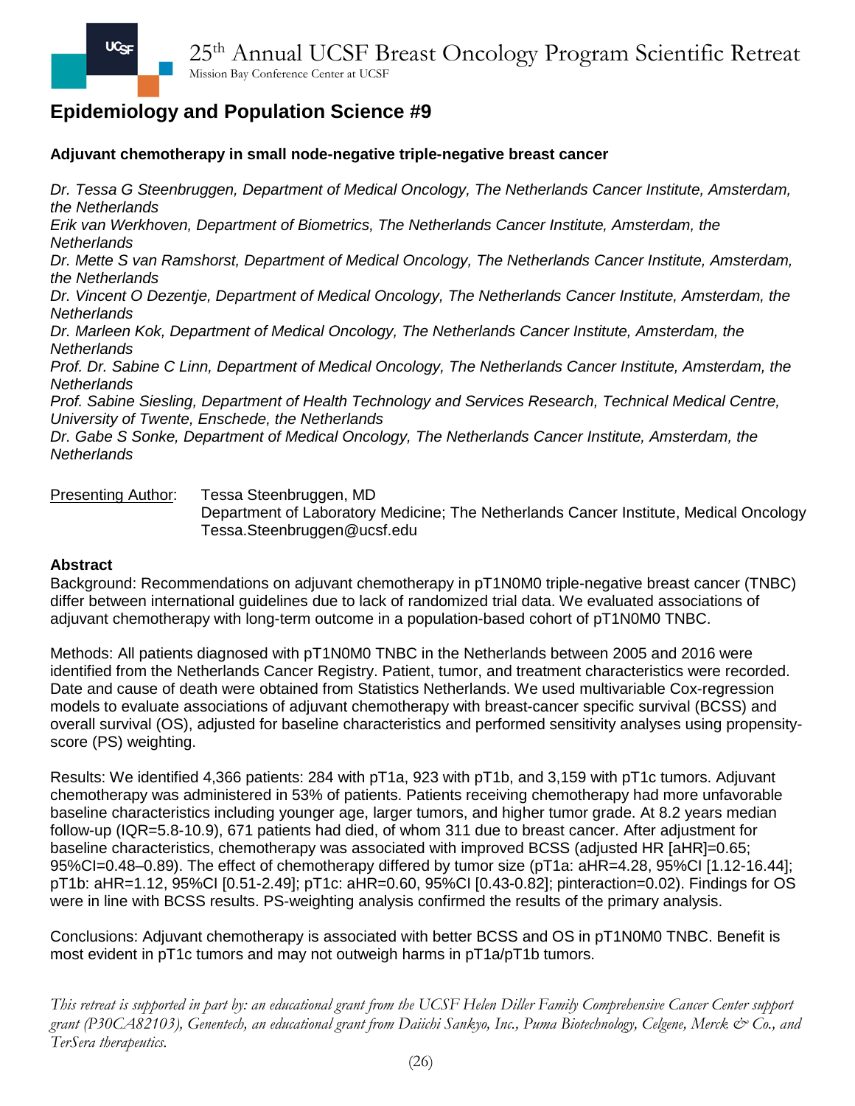## **Adjuvant chemotherapy in small node-negative triple-negative breast cancer**

*Dr. Tessa G Steenbruggen, Department of Medical Oncology, The Netherlands Cancer Institute, Amsterdam, the Netherlands*

*Erik van Werkhoven, Department of Biometrics, The Netherlands Cancer Institute, Amsterdam, the Netherlands* 

*Dr. Mette S van Ramshorst, Department of Medical Oncology, The Netherlands Cancer Institute, Amsterdam, the Netherlands*

*Dr. Vincent O Dezentje, Department of Medical Oncology, The Netherlands Cancer Institute, Amsterdam, the Netherlands*

*Dr. Marleen Kok, Department of Medical Oncology, The Netherlands Cancer Institute, Amsterdam, the Netherlands*

*Prof. Dr. Sabine C Linn, Department of Medical Oncology, The Netherlands Cancer Institute, Amsterdam, the Netherlands*

*Prof. Sabine Siesling, Department of Health Technology and Services Research, Technical Medical Centre, University of Twente, Enschede, the Netherlands*

*Dr. Gabe S Sonke, Department of Medical Oncology, The Netherlands Cancer Institute, Amsterdam, the Netherlands*

Presenting Author: Tessa Steenbruggen, MD

Department of Laboratory Medicine; The Netherlands Cancer Institute, Medical Oncology Tessa.Steenbruggen@ucsf.edu

#### **Abstract**

Background: Recommendations on adjuvant chemotherapy in pT1N0M0 triple-negative breast cancer (TNBC) differ between international guidelines due to lack of randomized trial data. We evaluated associations of adjuvant chemotherapy with long-term outcome in a population-based cohort of pT1N0M0 TNBC.

Methods: All patients diagnosed with pT1N0M0 TNBC in the Netherlands between 2005 and 2016 were identified from the Netherlands Cancer Registry. Patient, tumor, and treatment characteristics were recorded. Date and cause of death were obtained from Statistics Netherlands. We used multivariable Cox-regression models to evaluate associations of adjuvant chemotherapy with breast-cancer specific survival (BCSS) and overall survival (OS), adjusted for baseline characteristics and performed sensitivity analyses using propensityscore (PS) weighting.

Results: We identified 4,366 patients: 284 with pT1a, 923 with pT1b, and 3,159 with pT1c tumors. Adjuvant chemotherapy was administered in 53% of patients. Patients receiving chemotherapy had more unfavorable baseline characteristics including younger age, larger tumors, and higher tumor grade. At 8.2 years median follow-up (IQR=5.8-10.9), 671 patients had died, of whom 311 due to breast cancer. After adjustment for baseline characteristics, chemotherapy was associated with improved BCSS (adjusted HR [aHR]=0.65; 95%CI=0.48–0.89). The effect of chemotherapy differed by tumor size (pT1a: aHR=4.28, 95%CI [1.12-16.44]; pT1b: aHR=1.12, 95%CI [0.51-2.49]; pT1c: aHR=0.60, 95%CI [0.43-0.82]; pinteraction=0.02). Findings for OS were in line with BCSS results. PS-weighting analysis confirmed the results of the primary analysis.

Conclusions: Adjuvant chemotherapy is associated with better BCSS and OS in pT1N0M0 TNBC. Benefit is most evident in pT1c tumors and may not outweigh harms in pT1a/pT1b tumors.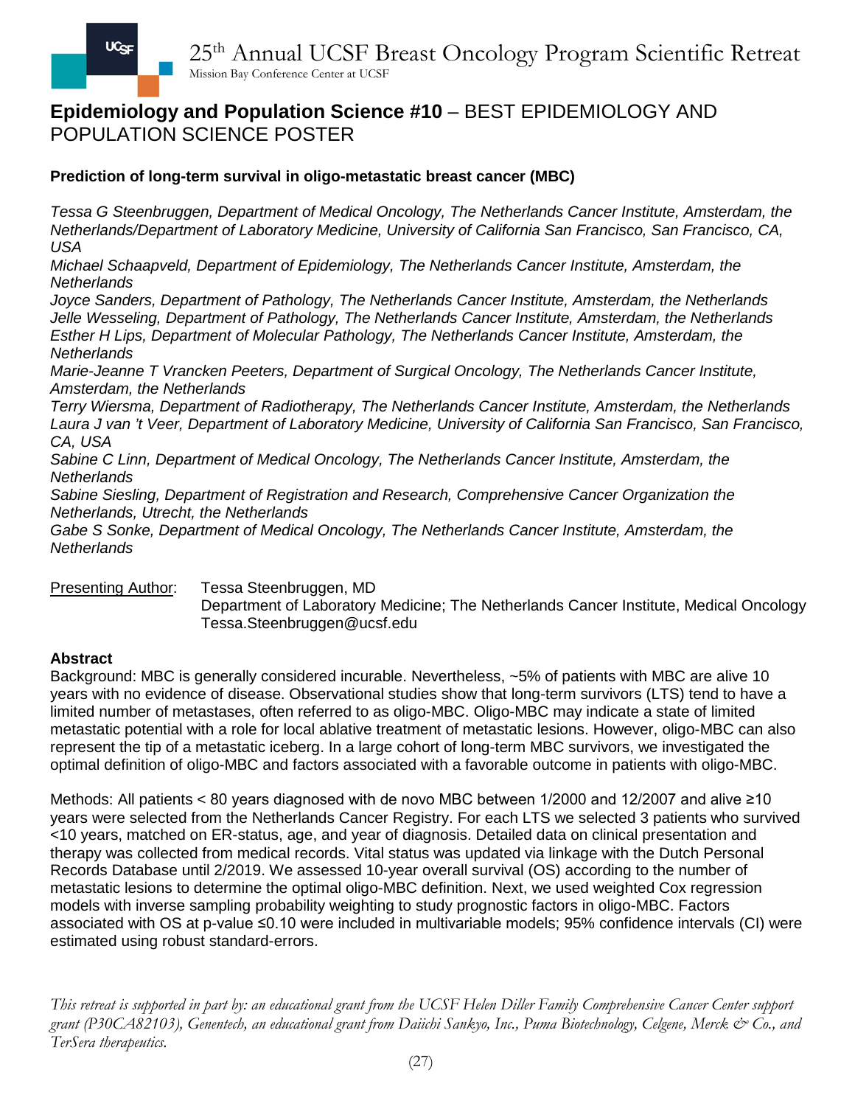## **Epidemiology and Population Science #10** – BEST EPIDEMIOLOGY AND POPULATION SCIENCE POSTER

## **Prediction of long-term survival in oligo-metastatic breast cancer (MBC)**

*Tessa G Steenbruggen, Department of Medical Oncology, The Netherlands Cancer Institute, Amsterdam, the Netherlands/Department of Laboratory Medicine, University of California San Francisco, San Francisco, CA, USA*

*Michael Schaapveld, Department of Epidemiology, The Netherlands Cancer Institute, Amsterdam, the Netherlands*

*Joyce Sanders, Department of Pathology, The Netherlands Cancer Institute, Amsterdam, the Netherlands Jelle Wesseling, Department of Pathology, The Netherlands Cancer Institute, Amsterdam, the Netherlands Esther H Lips, Department of Molecular Pathology, The Netherlands Cancer Institute, Amsterdam, the Netherlands*

*Marie-Jeanne T Vrancken Peeters, Department of Surgical Oncology, The Netherlands Cancer Institute, Amsterdam, the Netherlands*

*Terry Wiersma, Department of Radiotherapy, The Netherlands Cancer Institute, Amsterdam, the Netherlands Laura J van 't Veer, Department of Laboratory Medicine, University of California San Francisco, San Francisco, CA, USA*

*Sabine C Linn, Department of Medical Oncology, The Netherlands Cancer Institute, Amsterdam, the Netherlands*

*Sabine Siesling, Department of Registration and Research, Comprehensive Cancer Organization the Netherlands, Utrecht, the Netherlands*

*Gabe S Sonke, Department of Medical Oncology, The Netherlands Cancer Institute, Amsterdam, the Netherlands*

Presenting Author: Tessa Steenbruggen, MD

Department of Laboratory Medicine; The Netherlands Cancer Institute, Medical Oncology Tessa.Steenbruggen@ucsf.edu

#### **Abstract**

Background: MBC is generally considered incurable. Nevertheless, ~5% of patients with MBC are alive 10 years with no evidence of disease. Observational studies show that long-term survivors (LTS) tend to have a limited number of metastases, often referred to as oligo-MBC. Oligo-MBC may indicate a state of limited metastatic potential with a role for local ablative treatment of metastatic lesions. However, oligo-MBC can also represent the tip of a metastatic iceberg. In a large cohort of long-term MBC survivors, we investigated the optimal definition of oligo-MBC and factors associated with a favorable outcome in patients with oligo-MBC.

Methods: All patients < 80 years diagnosed with de novo MBC between 1/2000 and 12/2007 and alive ≥10 years were selected from the Netherlands Cancer Registry. For each LTS we selected 3 patients who survived <10 years, matched on ER-status, age, and year of diagnosis. Detailed data on clinical presentation and therapy was collected from medical records. Vital status was updated via linkage with the Dutch Personal Records Database until 2/2019. We assessed 10-year overall survival (OS) according to the number of metastatic lesions to determine the optimal oligo-MBC definition. Next, we used weighted Cox regression models with inverse sampling probability weighting to study prognostic factors in oligo-MBC. Factors associated with OS at p-value ≤0.10 were included in multivariable models; 95% confidence intervals (CI) were estimated using robust standard-errors.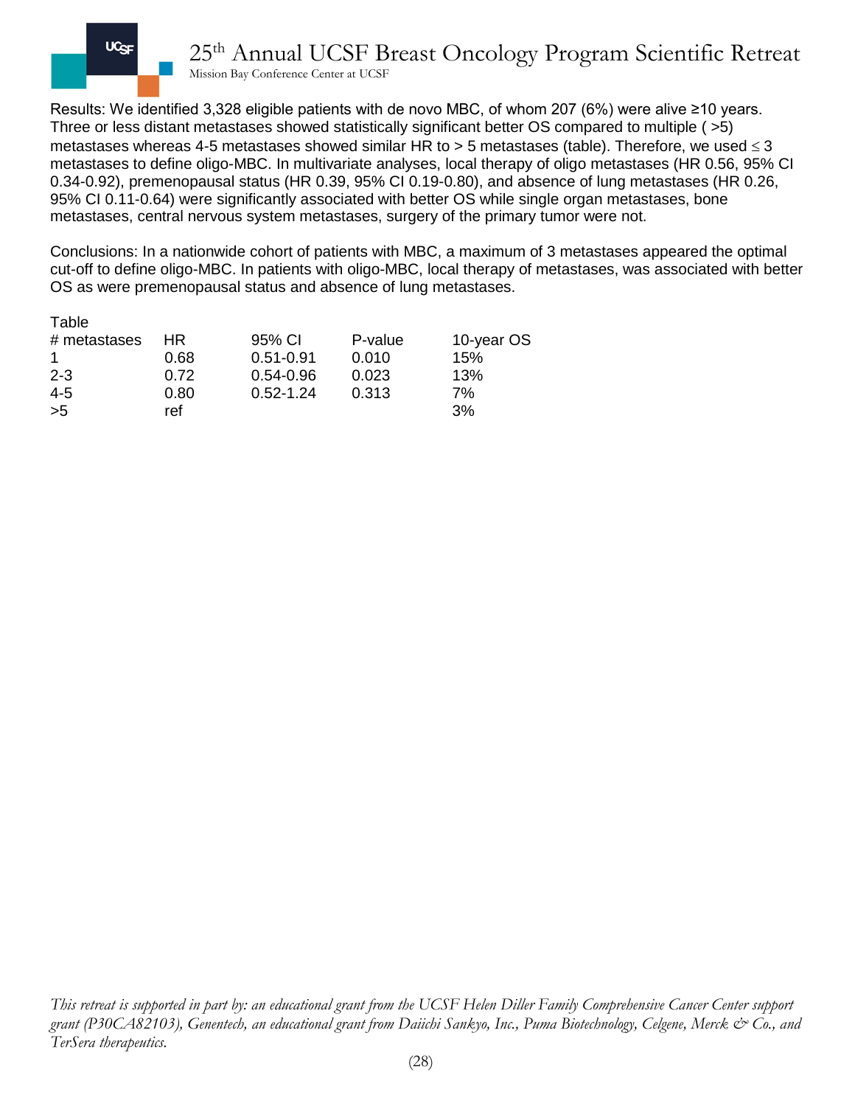

Results: We identified 3,328 eligible patients with de novo MBC, of whom 207 (6%) were alive ≥10 years. Three or less distant metastases showed statistically significant better OS compared to multiple ( >5) metastases whereas 4-5 metastases showed similar HR to > 5 metastases (table). Therefore, we used  $\leq$  3 metastases to define oligo-MBC. In multivariate analyses, local therapy of oligo metastases (HR 0.56, 95% CI 0.34-0.92), premenopausal status (HR 0.39, 95% CI 0.19-0.80), and absence of lung metastases (HR 0.26, 95% CI 0.11-0.64) were significantly associated with better OS while single organ metastases, bone metastases, central nervous system metastases, surgery of the primary tumor were not.

Conclusions: In a nationwide cohort of patients with MBC, a maximum of 3 metastases appeared the optimal cut-off to define oligo-MBC. In patients with oligo-MBC, local therapy of metastases, was associated with better OS as were premenopausal status and absence of lung metastases.

| Table        |      |               |         |            |
|--------------|------|---------------|---------|------------|
| # metastases | HR.  | 95% CI        | P-value | 10-year OS |
|              | 0.68 | $0.51 - 0.91$ | 0.010   | 15%        |
| $2 - 3$      | 0.72 | $0.54 - 0.96$ | 0.023   | 13%        |
| $4 - 5$      | 0.80 | $0.52 - 1.24$ | 0.313   | 7%         |
| >5           | ref  |               |         | 3%         |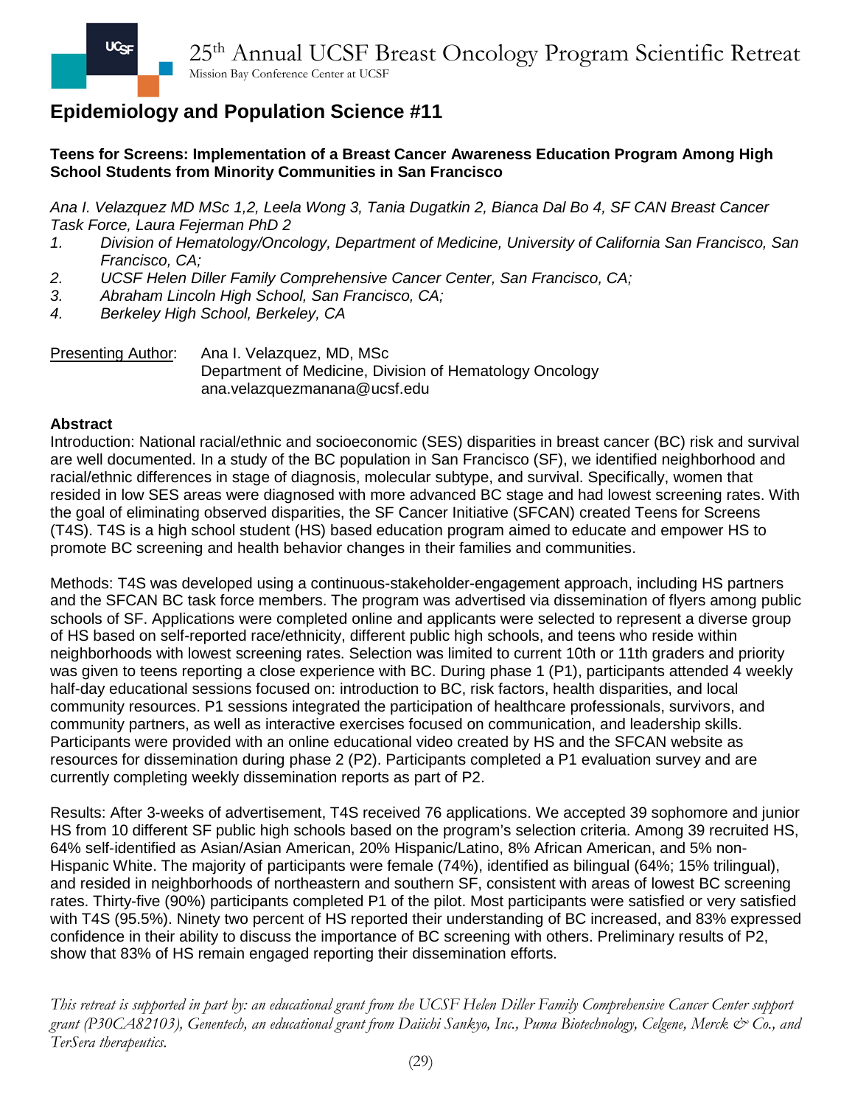## **Teens for Screens: Implementation of a Breast Cancer Awareness Education Program Among High School Students from Minority Communities in San Francisco**

*Ana I. Velazquez MD MSc 1,2, Leela Wong 3, Tania Dugatkin 2, Bianca Dal Bo 4, SF CAN Breast Cancer Task Force, Laura Fejerman PhD 2*

- *1. Division of Hematology/Oncology, Department of Medicine, University of California San Francisco, San Francisco, CA;*
- *2. UCSF Helen Diller Family Comprehensive Cancer Center, San Francisco, CA;*
- *3. Abraham Lincoln High School, San Francisco, CA;*
- *4. Berkeley High School, Berkeley, CA*

Presenting Author: Ana I. Velazquez, MD, MSc Department of Medicine, Division of Hematology Oncology ana.velazquezmanana@ucsf.edu

### **Abstract**

Introduction: National racial/ethnic and socioeconomic (SES) disparities in breast cancer (BC) risk and survival are well documented. In a study of the BC population in San Francisco (SF), we identified neighborhood and racial/ethnic differences in stage of diagnosis, molecular subtype, and survival. Specifically, women that resided in low SES areas were diagnosed with more advanced BC stage and had lowest screening rates. With the goal of eliminating observed disparities, the SF Cancer Initiative (SFCAN) created Teens for Screens (T4S). T4S is a high school student (HS) based education program aimed to educate and empower HS to promote BC screening and health behavior changes in their families and communities.

Methods: T4S was developed using a continuous-stakeholder-engagement approach, including HS partners and the SFCAN BC task force members. The program was advertised via dissemination of flyers among public schools of SF. Applications were completed online and applicants were selected to represent a diverse group of HS based on self-reported race/ethnicity, different public high schools, and teens who reside within neighborhoods with lowest screening rates. Selection was limited to current 10th or 11th graders and priority was given to teens reporting a close experience with BC. During phase 1 (P1), participants attended 4 weekly half-day educational sessions focused on: introduction to BC, risk factors, health disparities, and local community resources. P1 sessions integrated the participation of healthcare professionals, survivors, and community partners, as well as interactive exercises focused on communication, and leadership skills. Participants were provided with an online educational video created by HS and the SFCAN website as resources for dissemination during phase 2 (P2). Participants completed a P1 evaluation survey and are currently completing weekly dissemination reports as part of P2.

Results: After 3-weeks of advertisement, T4S received 76 applications. We accepted 39 sophomore and junior HS from 10 different SF public high schools based on the program's selection criteria. Among 39 recruited HS, 64% self-identified as Asian/Asian American, 20% Hispanic/Latino, 8% African American, and 5% non-Hispanic White. The majority of participants were female (74%), identified as bilingual (64%; 15% trilingual), and resided in neighborhoods of northeastern and southern SF, consistent with areas of lowest BC screening rates. Thirty-five (90%) participants completed P1 of the pilot. Most participants were satisfied or very satisfied with T4S (95.5%). Ninety two percent of HS reported their understanding of BC increased, and 83% expressed confidence in their ability to discuss the importance of BC screening with others. Preliminary results of P2, show that 83% of HS remain engaged reporting their dissemination efforts.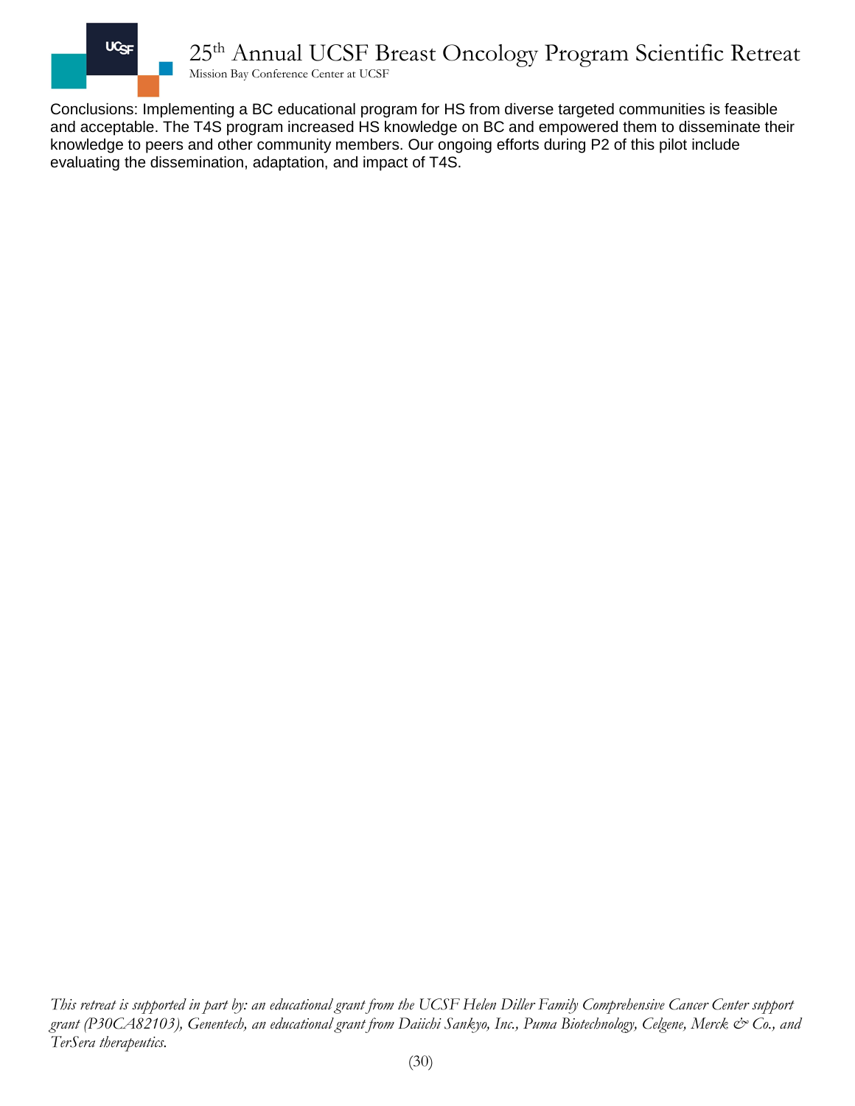

Conclusions: Implementing a BC educational program for HS from diverse targeted communities is feasible and acceptable. The T4S program increased HS knowledge on BC and empowered them to disseminate their knowledge to peers and other community members. Our ongoing efforts during P2 of this pilot include evaluating the dissemination, adaptation, and impact of T4S.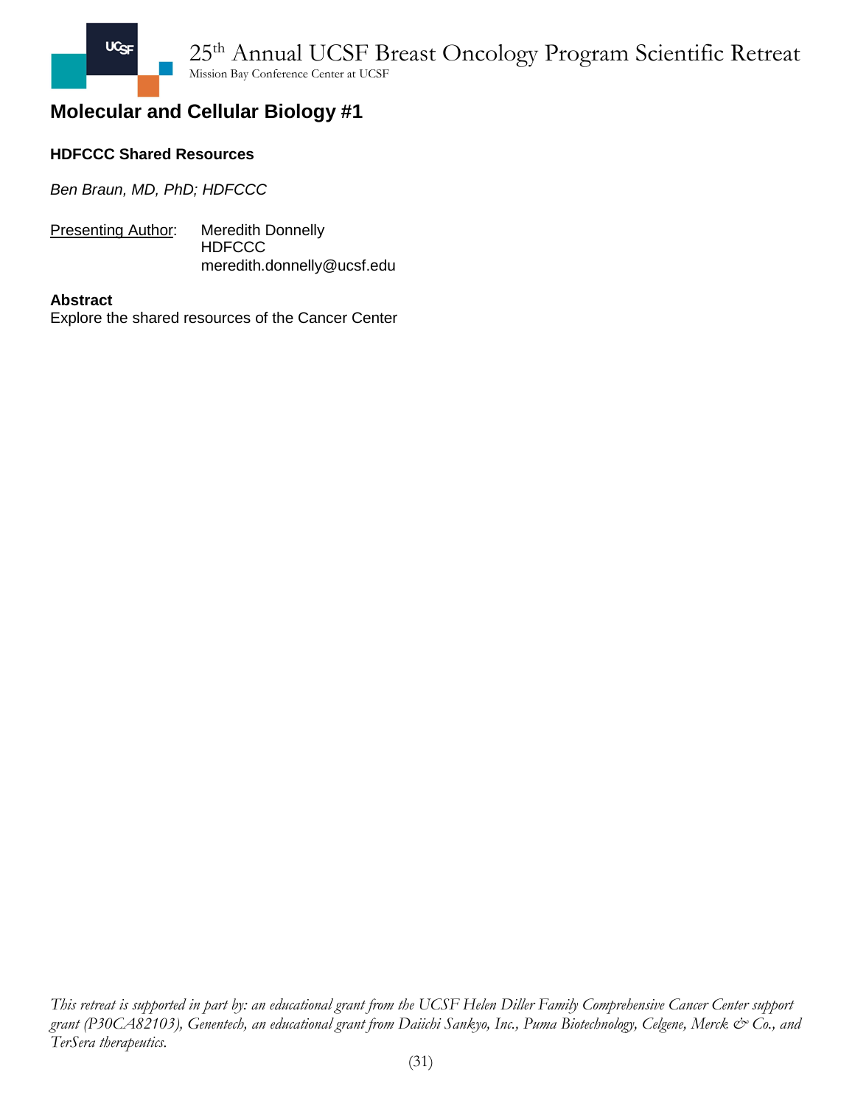

### **HDFCCC Shared Resources**

*Ben Braun, MD, PhD; HDFCCC*

**Presenting Author:** Meredith Donnelly **HDFCCC** meredith.donnelly@ucsf.edu

#### **Abstract**

Explore the shared resources of the Cancer Center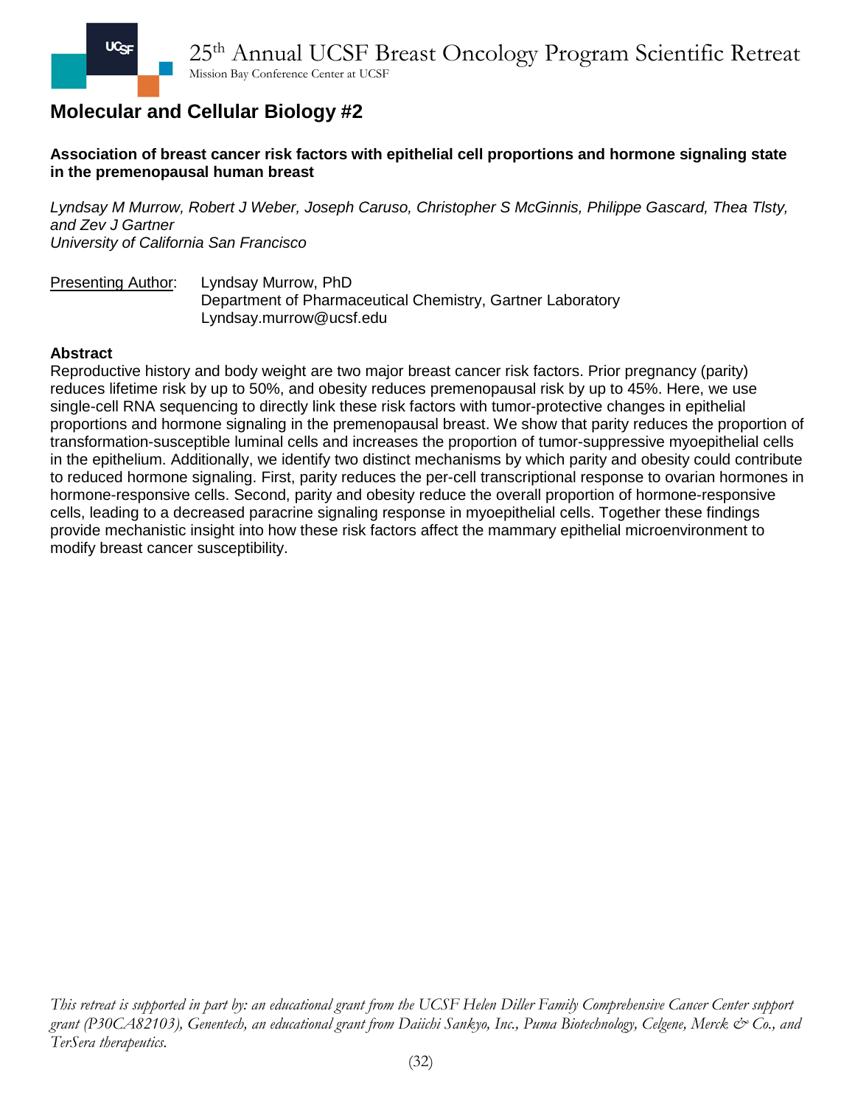**Association of breast cancer risk factors with epithelial cell proportions and hormone signaling state in the premenopausal human breast**

*Lyndsay M Murrow, Robert J Weber, Joseph Caruso, Christopher S McGinnis, Philippe Gascard, Thea Tlsty, and Zev J Gartner University of California San Francisco*

Presenting Author: Lyndsay Murrow, PhD Department of Pharmaceutical Chemistry, Gartner Laboratory Lyndsay.murrow@ucsf.edu

### **Abstract**

Reproductive history and body weight are two major breast cancer risk factors. Prior pregnancy (parity) reduces lifetime risk by up to 50%, and obesity reduces premenopausal risk by up to 45%. Here, we use single-cell RNA sequencing to directly link these risk factors with tumor-protective changes in epithelial proportions and hormone signaling in the premenopausal breast. We show that parity reduces the proportion of transformation-susceptible luminal cells and increases the proportion of tumor-suppressive myoepithelial cells in the epithelium. Additionally, we identify two distinct mechanisms by which parity and obesity could contribute to reduced hormone signaling. First, parity reduces the per-cell transcriptional response to ovarian hormones in hormone-responsive cells. Second, parity and obesity reduce the overall proportion of hormone-responsive cells, leading to a decreased paracrine signaling response in myoepithelial cells. Together these findings provide mechanistic insight into how these risk factors affect the mammary epithelial microenvironment to modify breast cancer susceptibility.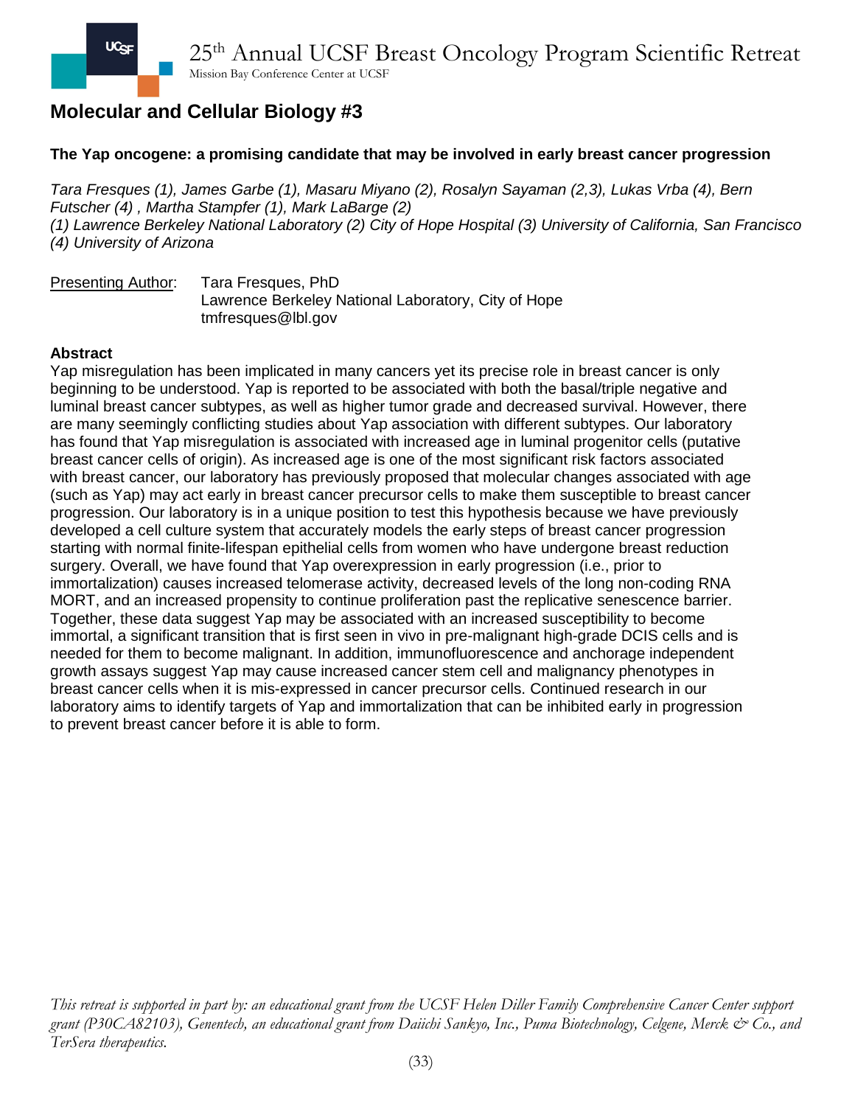### **The Yap oncogene: a promising candidate that may be involved in early breast cancer progression**

*Tara Fresques (1), James Garbe (1), Masaru Miyano (2), Rosalyn Sayaman (2,3), Lukas Vrba (4), Bern Futscher (4) , Martha Stampfer (1), Mark LaBarge (2) (1) Lawrence Berkeley National Laboratory (2) City of Hope Hospital (3) University of California, San Francisco (4) University of Arizona*

Presenting Author: Tara Fresques, PhD Lawrence Berkeley National Laboratory, City of Hope tmfresques@lbl.gov

#### **Abstract**

Yap misregulation has been implicated in many cancers yet its precise role in breast cancer is only beginning to be understood. Yap is reported to be associated with both the basal/triple negative and luminal breast cancer subtypes, as well as higher tumor grade and decreased survival. However, there are many seemingly conflicting studies about Yap association with different subtypes. Our laboratory has found that Yap misregulation is associated with increased age in luminal progenitor cells (putative breast cancer cells of origin). As increased age is one of the most significant risk factors associated with breast cancer, our laboratory has previously proposed that molecular changes associated with age (such as Yap) may act early in breast cancer precursor cells to make them susceptible to breast cancer progression. Our laboratory is in a unique position to test this hypothesis because we have previously developed a cell culture system that accurately models the early steps of breast cancer progression starting with normal finite-lifespan epithelial cells from women who have undergone breast reduction surgery. Overall, we have found that Yap overexpression in early progression (i.e., prior to immortalization) causes increased telomerase activity, decreased levels of the long non-coding RNA MORT, and an increased propensity to continue proliferation past the replicative senescence barrier. Together, these data suggest Yap may be associated with an increased susceptibility to become immortal, a significant transition that is first seen in vivo in pre-malignant high-grade DCIS cells and is needed for them to become malignant. In addition, immunofluorescence and anchorage independent growth assays suggest Yap may cause increased cancer stem cell and malignancy phenotypes in breast cancer cells when it is mis-expressed in cancer precursor cells. Continued research in our laboratory aims to identify targets of Yap and immortalization that can be inhibited early in progression to prevent breast cancer before it is able to form.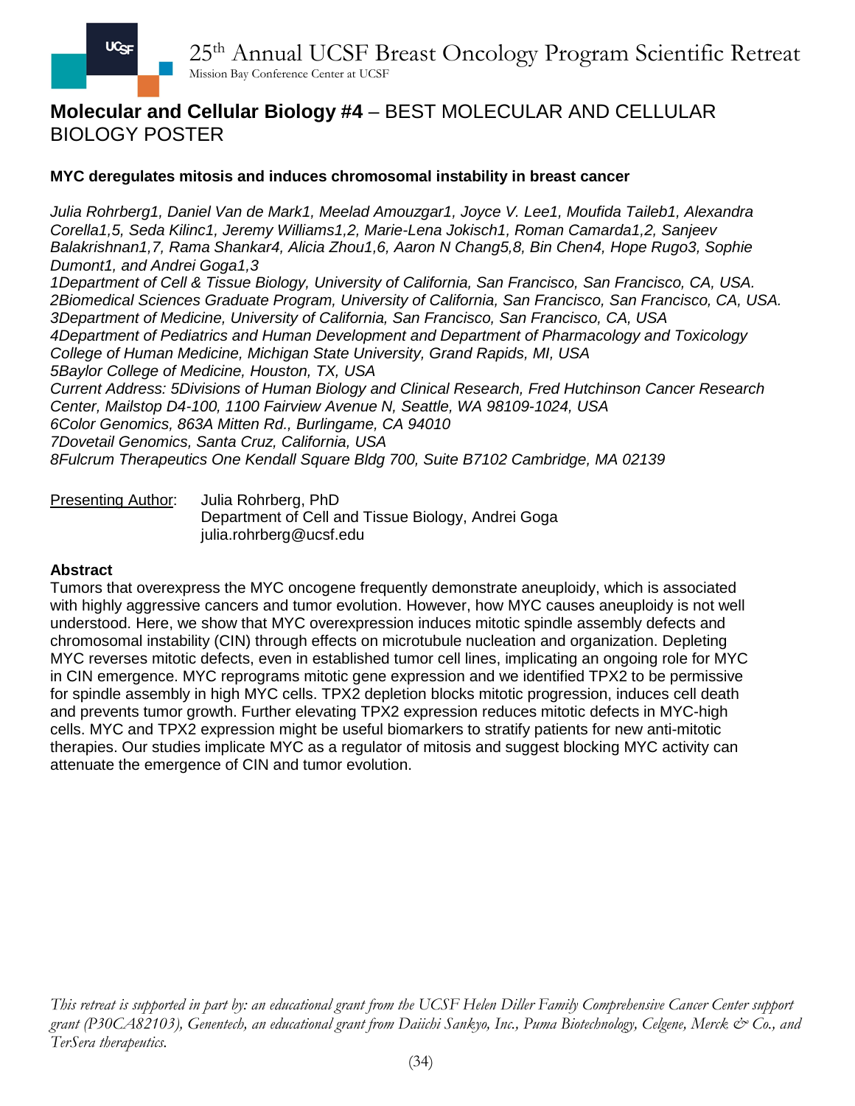## **Molecular and Cellular Biology #4** – BEST MOLECULAR AND CELLULAR BIOLOGY POSTER

## **MYC deregulates mitosis and induces chromosomal instability in breast cancer**

*Julia Rohrberg1, Daniel Van de Mark1, Meelad Amouzgar1, Joyce V. Lee1, Moufida Taileb1, Alexandra Corella1,5, Seda Kilinc1, Jeremy Williams1,2, Marie-Lena Jokisch1, Roman Camarda1,2, Sanjeev Balakrishnan1,7, Rama Shankar4, Alicia Zhou1,6, Aaron N Chang5,8, Bin Chen4, Hope Rugo3, Sophie Dumont1, and Andrei Goga1,3*

*1Department of Cell & Tissue Biology, University of California, San Francisco, San Francisco, CA, USA. 2Biomedical Sciences Graduate Program, University of California, San Francisco, San Francisco, CA, USA. 3Department of Medicine, University of California, San Francisco, San Francisco, CA, USA 4Department of Pediatrics and Human Development and Department of Pharmacology and Toxicology College of Human Medicine, Michigan State University, Grand Rapids, MI, USA 5Baylor College of Medicine, Houston, TX, USA Current Address: 5Divisions of Human Biology and Clinical Research, Fred Hutchinson Cancer Research Center, Mailstop D4-100, 1100 Fairview Avenue N, Seattle, WA 98109-1024, USA 6Color Genomics, 863A Mitten Rd., Burlingame, CA 94010 7Dovetail Genomics, Santa Cruz, California, USA 8Fulcrum Therapeutics One Kendall Square Bldg 700, Suite B7102 Cambridge, MA 02139*

Presenting Author: Julia Rohrberg, PhD Department of Cell and Tissue Biology, Andrei Goga julia.rohrberg@ucsf.edu

#### **Abstract**

Tumors that overexpress the MYC oncogene frequently demonstrate aneuploidy, which is associated with highly aggressive cancers and tumor evolution. However, how MYC causes aneuploidy is not well understood. Here, we show that MYC overexpression induces mitotic spindle assembly defects and chromosomal instability (CIN) through effects on microtubule nucleation and organization. Depleting MYC reverses mitotic defects, even in established tumor cell lines, implicating an ongoing role for MYC in CIN emergence. MYC reprograms mitotic gene expression and we identified TPX2 to be permissive for spindle assembly in high MYC cells. TPX2 depletion blocks mitotic progression, induces cell death and prevents tumor growth. Further elevating TPX2 expression reduces mitotic defects in MYC-high cells. MYC and TPX2 expression might be useful biomarkers to stratify patients for new anti-mitotic therapies. Our studies implicate MYC as a regulator of mitosis and suggest blocking MYC activity can attenuate the emergence of CIN and tumor evolution.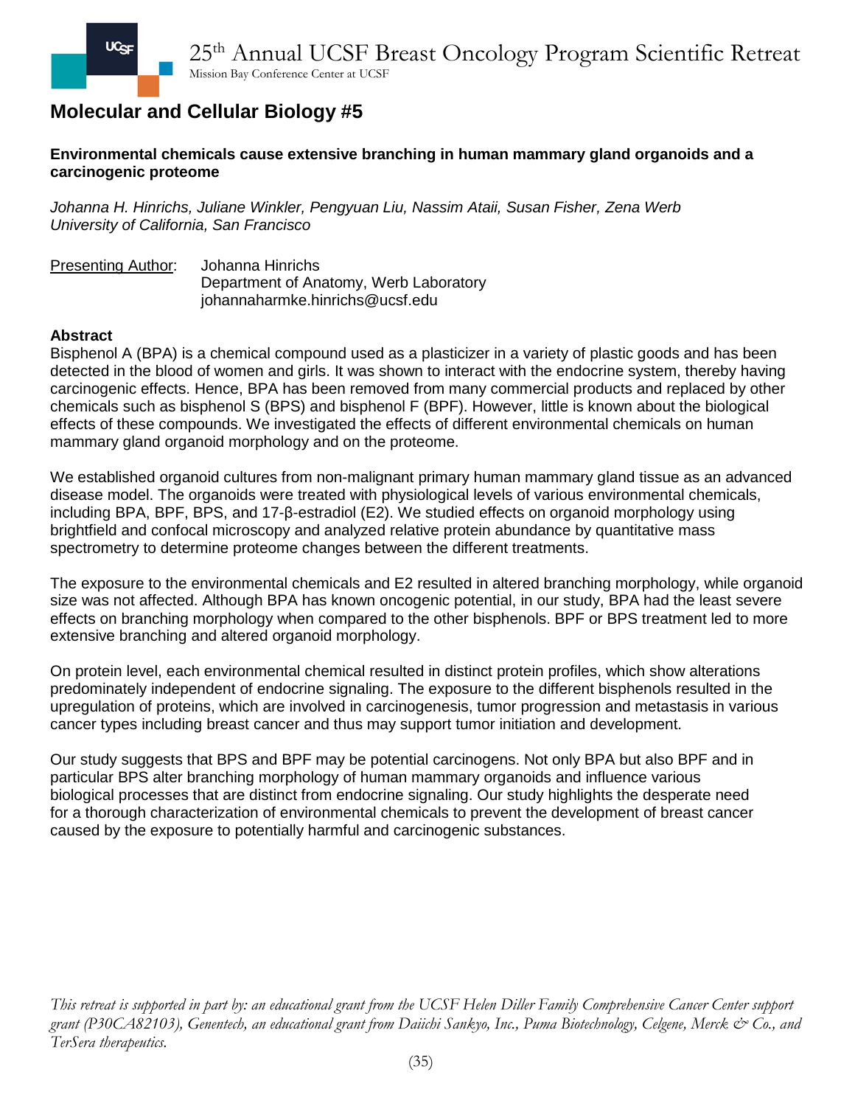### **Environmental chemicals cause extensive branching in human mammary gland organoids and a carcinogenic proteome**

*Johanna H. Hinrichs, Juliane Winkler, Pengyuan Liu, Nassim Ataii, Susan Fisher, Zena Werb University of California, San Francisco*

Presenting Author: Johanna Hinrichs Department of Anatomy, Werb Laboratory johannaharmke.hinrichs@ucsf.edu

### **Abstract**

Bisphenol A (BPA) is a chemical compound used as a plasticizer in a variety of plastic goods and has been detected in the blood of women and girls. It was shown to interact with the endocrine system, thereby having carcinogenic effects. Hence, BPA has been removed from many commercial products and replaced by other chemicals such as bisphenol S (BPS) and bisphenol F (BPF). However, little is known about the biological effects of these compounds. We investigated the effects of different environmental chemicals on human mammary gland organoid morphology and on the proteome.

We established organoid cultures from non-malignant primary human mammary gland tissue as an advanced disease model. The organoids were treated with physiological levels of various environmental chemicals, including BPA, BPF, BPS, and 17-β-estradiol (E2). We studied effects on organoid morphology using brightfield and confocal microscopy and analyzed relative protein abundance by quantitative mass spectrometry to determine proteome changes between the different treatments.

The exposure to the environmental chemicals and E2 resulted in altered branching morphology, while organoid size was not affected. Although BPA has known oncogenic potential, in our study, BPA had the least severe effects on branching morphology when compared to the other bisphenols. BPF or BPS treatment led to more extensive branching and altered organoid morphology.

On protein level, each environmental chemical resulted in distinct protein profiles, which show alterations predominately independent of endocrine signaling. The exposure to the different bisphenols resulted in the upregulation of proteins, which are involved in carcinogenesis, tumor progression and metastasis in various cancer types including breast cancer and thus may support tumor initiation and development.

Our study suggests that BPS and BPF may be potential carcinogens. Not only BPA but also BPF and in particular BPS alter branching morphology of human mammary organoids and influence various biological processes that are distinct from endocrine signaling. Our study highlights the desperate need for a thorough characterization of environmental chemicals to prevent the development of breast cancer caused by the exposure to potentially harmful and carcinogenic substances.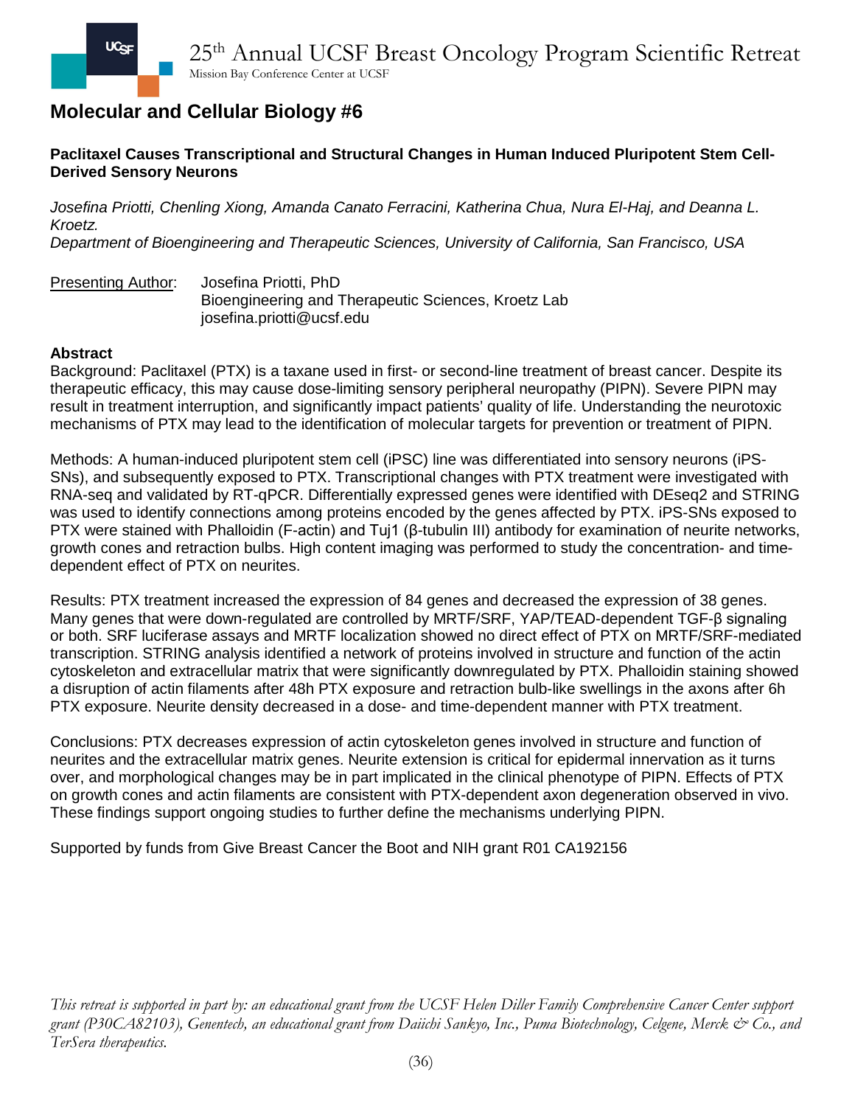## **Paclitaxel Causes Transcriptional and Structural Changes in Human Induced Pluripotent Stem Cell-Derived Sensory Neurons**

*Josefina Priotti, Chenling Xiong, Amanda Canato Ferracini, Katherina Chua, Nura El-Haj, and Deanna L. Kroetz.*

*Department of Bioengineering and Therapeutic Sciences, University of California, San Francisco, USA*

Presenting Author: Josefina Priotti, PhD Bioengineering and Therapeutic Sciences, Kroetz Lab josefina.priotti@ucsf.edu

### **Abstract**

Background: Paclitaxel (PTX) is a taxane used in first- or second-line treatment of breast cancer. Despite its therapeutic efficacy, this may cause dose-limiting sensory peripheral neuropathy (PIPN). Severe PIPN may result in treatment interruption, and significantly impact patients' quality of life. Understanding the neurotoxic mechanisms of PTX may lead to the identification of molecular targets for prevention or treatment of PIPN.

Methods: A human-induced pluripotent stem cell (iPSC) line was differentiated into sensory neurons (iPS-SNs), and subsequently exposed to PTX. Transcriptional changes with PTX treatment were investigated with RNA-seq and validated by RT-qPCR. Differentially expressed genes were identified with DEseq2 and STRING was used to identify connections among proteins encoded by the genes affected by PTX. iPS-SNs exposed to PTX were stained with Phalloidin (F-actin) and Tuj1 (β-tubulin III) antibody for examination of neurite networks, growth cones and retraction bulbs. High content imaging was performed to study the concentration- and timedependent effect of PTX on neurites.

Results: PTX treatment increased the expression of 84 genes and decreased the expression of 38 genes. Many genes that were down-regulated are controlled by MRTF/SRF, YAP/TEAD-dependent TGF-β signaling or both. SRF luciferase assays and MRTF localization showed no direct effect of PTX on MRTF/SRF-mediated transcription. STRING analysis identified a network of proteins involved in structure and function of the actin cytoskeleton and extracellular matrix that were significantly downregulated by PTX. Phalloidin staining showed a disruption of actin filaments after 48h PTX exposure and retraction bulb-like swellings in the axons after 6h PTX exposure. Neurite density decreased in a dose- and time-dependent manner with PTX treatment.

Conclusions: PTX decreases expression of actin cytoskeleton genes involved in structure and function of neurites and the extracellular matrix genes. Neurite extension is critical for epidermal innervation as it turns over, and morphological changes may be in part implicated in the clinical phenotype of PIPN. Effects of PTX on growth cones and actin filaments are consistent with PTX-dependent axon degeneration observed in vivo. These findings support ongoing studies to further define the mechanisms underlying PIPN.

Supported by funds from Give Breast Cancer the Boot and NIH grant R01 CA192156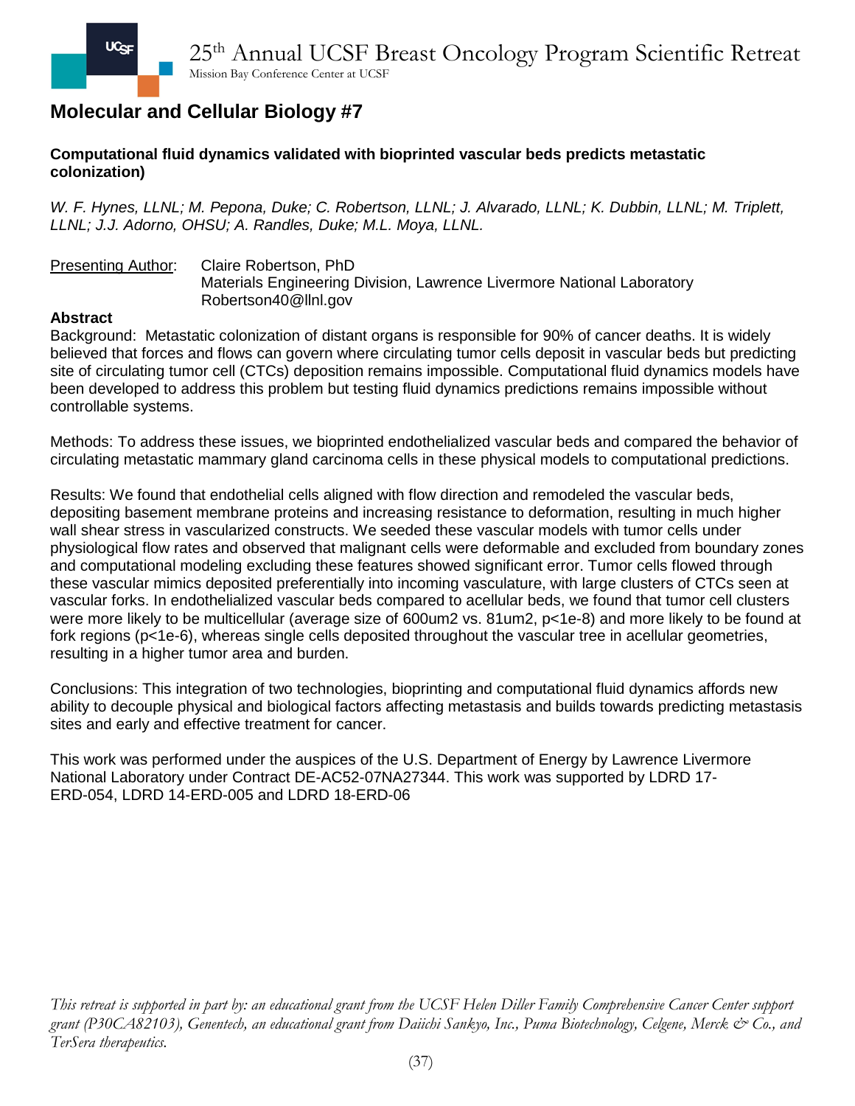### **Computational fluid dynamics validated with bioprinted vascular beds predicts metastatic colonization)**

*W. F. Hynes, LLNL; M. Pepona, Duke; C. Robertson, LLNL; J. Alvarado, LLNL; K. Dubbin, LLNL; M. Triplett, LLNL; J.J. Adorno, OHSU; A. Randles, Duke; M.L. Moya, LLNL.*

Presenting Author: Claire Robertson, PhD Materials Engineering Division, Lawrence Livermore National Laboratory Robertson40@llnl.gov

### **Abstract**

Background: Metastatic colonization of distant organs is responsible for 90% of cancer deaths. It is widely believed that forces and flows can govern where circulating tumor cells deposit in vascular beds but predicting site of circulating tumor cell (CTCs) deposition remains impossible. Computational fluid dynamics models have been developed to address this problem but testing fluid dynamics predictions remains impossible without controllable systems.

Methods: To address these issues, we bioprinted endothelialized vascular beds and compared the behavior of circulating metastatic mammary gland carcinoma cells in these physical models to computational predictions.

Results: We found that endothelial cells aligned with flow direction and remodeled the vascular beds, depositing basement membrane proteins and increasing resistance to deformation, resulting in much higher wall shear stress in vascularized constructs. We seeded these vascular models with tumor cells under physiological flow rates and observed that malignant cells were deformable and excluded from boundary zones and computational modeling excluding these features showed significant error. Tumor cells flowed through these vascular mimics deposited preferentially into incoming vasculature, with large clusters of CTCs seen at vascular forks. In endothelialized vascular beds compared to acellular beds, we found that tumor cell clusters were more likely to be multicellular (average size of 600um2 vs. 81um2, p<1e-8) and more likely to be found at fork regions (p<1e-6), whereas single cells deposited throughout the vascular tree in acellular geometries, resulting in a higher tumor area and burden.

Conclusions: This integration of two technologies, bioprinting and computational fluid dynamics affords new ability to decouple physical and biological factors affecting metastasis and builds towards predicting metastasis sites and early and effective treatment for cancer.

This work was performed under the auspices of the U.S. Department of Energy by Lawrence Livermore National Laboratory under Contract DE-AC52-07NA27344. This work was supported by LDRD 17- ERD-054, LDRD 14-ERD-005 and LDRD 18-ERD-06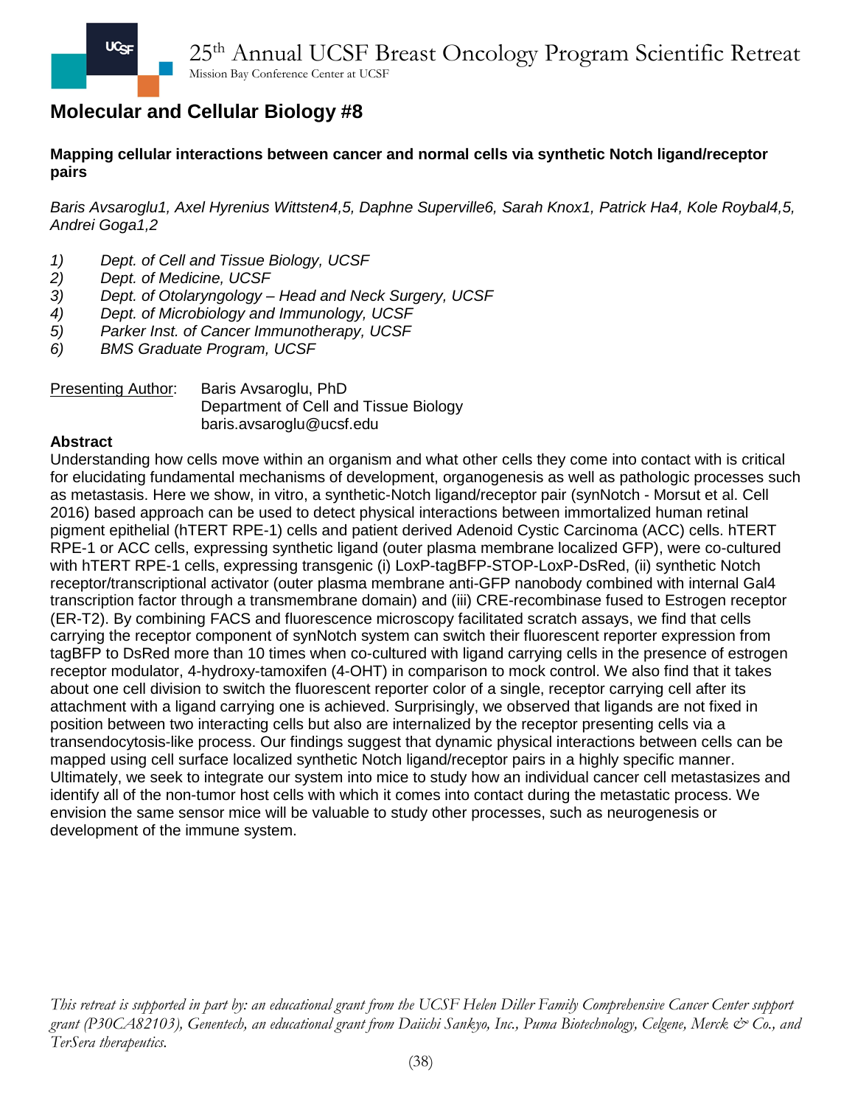### **Mapping cellular interactions between cancer and normal cells via synthetic Notch ligand/receptor pairs**

*Baris Avsaroglu1, Axel Hyrenius Wittsten4,5, Daphne Superville6, Sarah Knox1, Patrick Ha4, Kole Roybal4,5, Andrei Goga1,2*

- *1) Dept. of Cell and Tissue Biology, UCSF*
- 
- *2) Dept. of Medicine, UCSF 3) Dept. of Otolaryngology – Head and Neck Surgery, UCSF*
- *4) Dept. of Microbiology and Immunology, UCSF*
- *5) Parker Inst. of Cancer Immunotherapy, UCSF*
- *6) BMS Graduate Program, UCSF*

### Presenting Author: Baris Avsaroglu, PhD Department of Cell and Tissue Biology baris.avsaroglu@ucsf.edu

#### **Abstract**

Understanding how cells move within an organism and what other cells they come into contact with is critical for elucidating fundamental mechanisms of development, organogenesis as well as pathologic processes such as metastasis. Here we show, in vitro, a synthetic-Notch ligand/receptor pair (synNotch - Morsut et al. Cell 2016) based approach can be used to detect physical interactions between immortalized human retinal pigment epithelial (hTERT RPE-1) cells and patient derived Adenoid Cystic Carcinoma (ACC) cells. hTERT RPE-1 or ACC cells, expressing synthetic ligand (outer plasma membrane localized GFP), were co-cultured with hTERT RPE-1 cells, expressing transgenic (i) LoxP-tagBFP-STOP-LoxP-DsRed, (ii) synthetic Notch receptor/transcriptional activator (outer plasma membrane anti-GFP nanobody combined with internal Gal4 transcription factor through a transmembrane domain) and (iii) CRE-recombinase fused to Estrogen receptor (ER-T2). By combining FACS and fluorescence microscopy facilitated scratch assays, we find that cells carrying the receptor component of synNotch system can switch their fluorescent reporter expression from tagBFP to DsRed more than 10 times when co-cultured with ligand carrying cells in the presence of estrogen receptor modulator, 4-hydroxy-tamoxifen (4-OHT) in comparison to mock control. We also find that it takes about one cell division to switch the fluorescent reporter color of a single, receptor carrying cell after its attachment with a ligand carrying one is achieved. Surprisingly, we observed that ligands are not fixed in position between two interacting cells but also are internalized by the receptor presenting cells via a transendocytosis-like process. Our findings suggest that dynamic physical interactions between cells can be mapped using cell surface localized synthetic Notch ligand/receptor pairs in a highly specific manner. Ultimately, we seek to integrate our system into mice to study how an individual cancer cell metastasizes and identify all of the non-tumor host cells with which it comes into contact during the metastatic process. We envision the same sensor mice will be valuable to study other processes, such as neurogenesis or development of the immune system.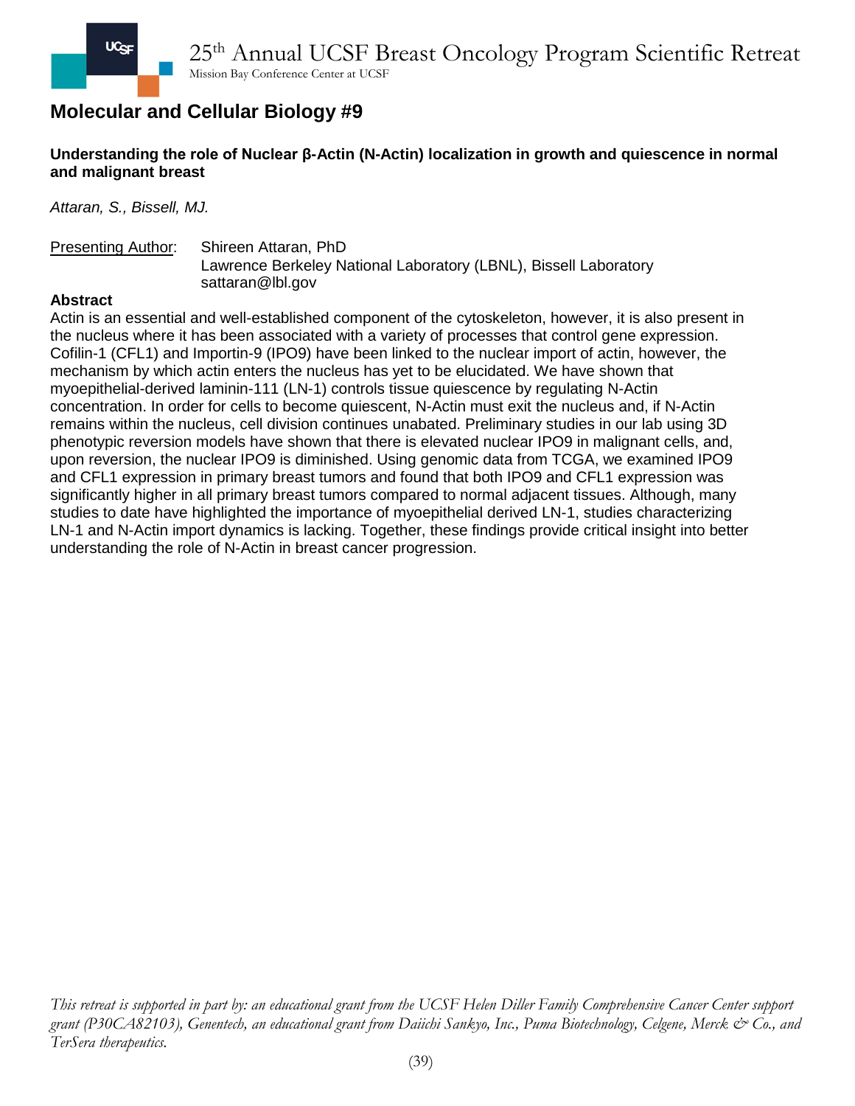## **Understanding the role of Nuclear β-Actin (N-Actin) localization in growth and quiescence in normal and malignant breast**

*Attaran, S., Bissell, MJ.*

#### Presenting Author: Shireen Attaran, PhD Lawrence Berkeley National Laboratory (LBNL), Bissell Laboratory sattaran@lbl.gov

### **Abstract**

Actin is an essential and well-established component of the cytoskeleton, however, it is also present in the nucleus where it has been associated with a variety of processes that control gene expression. Cofilin-1 (CFL1) and Importin-9 (IPO9) have been linked to the nuclear import of actin, however, the mechanism by which actin enters the nucleus has yet to be elucidated. We have shown that myoepithelial-derived laminin-111 (LN-1) controls tissue quiescence by regulating N-Actin concentration. In order for cells to become quiescent, N-Actin must exit the nucleus and, if N-Actin remains within the nucleus, cell division continues unabated. Preliminary studies in our lab using 3D phenotypic reversion models have shown that there is elevated nuclear IPO9 in malignant cells, and, upon reversion, the nuclear IPO9 is diminished. Using genomic data from TCGA, we examined IPO9 and CFL1 expression in primary breast tumors and found that both IPO9 and CFL1 expression was significantly higher in all primary breast tumors compared to normal adjacent tissues. Although, many studies to date have highlighted the importance of myoepithelial derived LN-1, studies characterizing LN-1 and N-Actin import dynamics is lacking. Together, these findings provide critical insight into better understanding the role of N-Actin in breast cancer progression.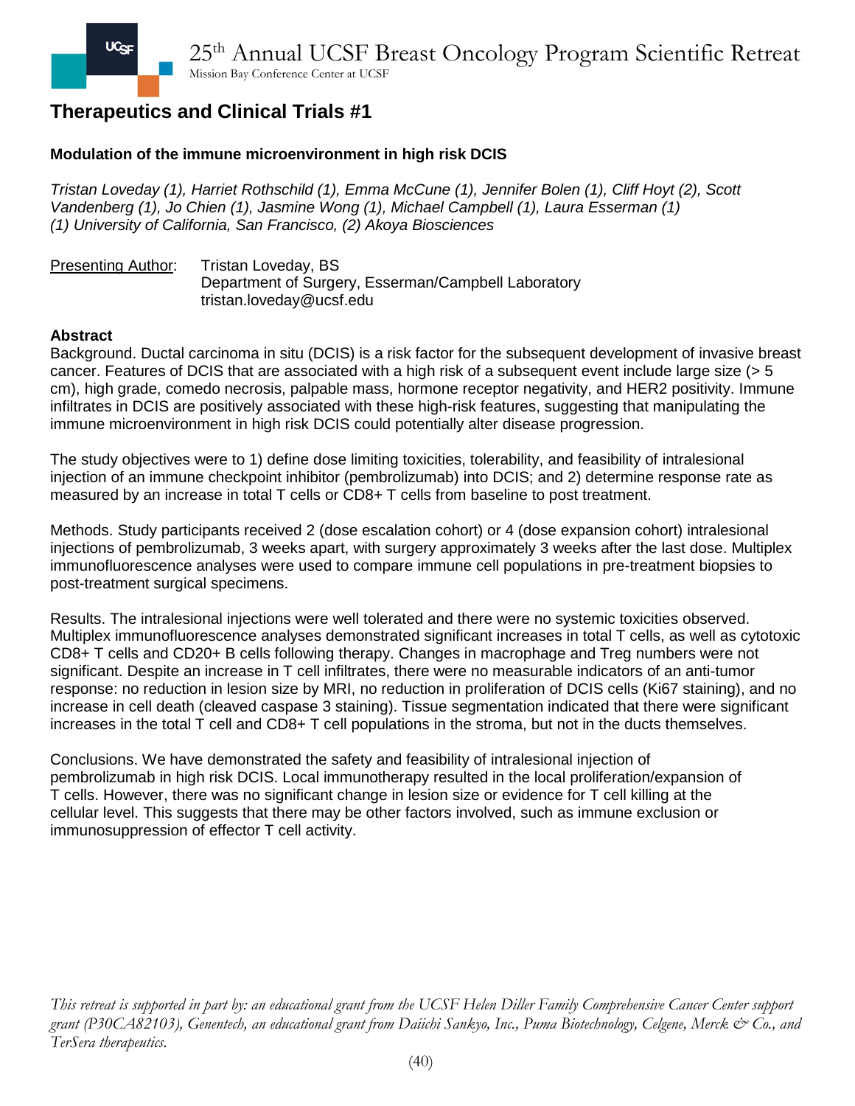## **Modulation of the immune microenvironment in high risk DCIS**

*Tristan Loveday (1), Harriet Rothschild (1), Emma McCune (1), Jennifer Bolen (1), Cliff Hoyt (2), Scott Vandenberg (1), Jo Chien (1), Jasmine Wong (1), Michael Campbell (1), Laura Esserman (1) (1) University of California, San Francisco, (2) Akoya Biosciences*

Presenting Author: Tristan Loveday, BS Department of Surgery, Esserman/Campbell Laboratory tristan.loveday@ucsf.edu

#### **Abstract**

Background. Ductal carcinoma in situ (DCIS) is a risk factor for the subsequent development of invasive breast cancer. Features of DCIS that are associated with a high risk of a subsequent event include large size (> 5 cm), high grade, comedo necrosis, palpable mass, hormone receptor negativity, and HER2 positivity. Immune infiltrates in DCIS are positively associated with these high-risk features, suggesting that manipulating the immune microenvironment in high risk DCIS could potentially alter disease progression.

The study objectives were to 1) define dose limiting toxicities, tolerability, and feasibility of intralesional injection of an immune checkpoint inhibitor (pembrolizumab) into DCIS; and 2) determine response rate as measured by an increase in total T cells or CD8+ T cells from baseline to post treatment.

Methods. Study participants received 2 (dose escalation cohort) or 4 (dose expansion cohort) intralesional injections of pembrolizumab, 3 weeks apart, with surgery approximately 3 weeks after the last dose. Multiplex immunofluorescence analyses were used to compare immune cell populations in pre-treatment biopsies to post-treatment surgical specimens.

Results. The intralesional injections were well tolerated and there were no systemic toxicities observed. Multiplex immunofluorescence analyses demonstrated significant increases in total T cells, as well as cytotoxic CD8+ T cells and CD20+ B cells following therapy. Changes in macrophage and Treg numbers were not significant. Despite an increase in T cell infiltrates, there were no measurable indicators of an anti-tumor response: no reduction in lesion size by MRI, no reduction in proliferation of DCIS cells (Ki67 staining), and no increase in cell death (cleaved caspase 3 staining). Tissue segmentation indicated that there were significant increases in the total T cell and CD8+ T cell populations in the stroma, but not in the ducts themselves.

Conclusions. We have demonstrated the safety and feasibility of intralesional injection of pembrolizumab in high risk DCIS. Local immunotherapy resulted in the local proliferation/expansion of T cells. However, there was no significant change in lesion size or evidence for T cell killing at the cellular level. This suggests that there may be other factors involved, such as immune exclusion or immunosuppression of effector T cell activity.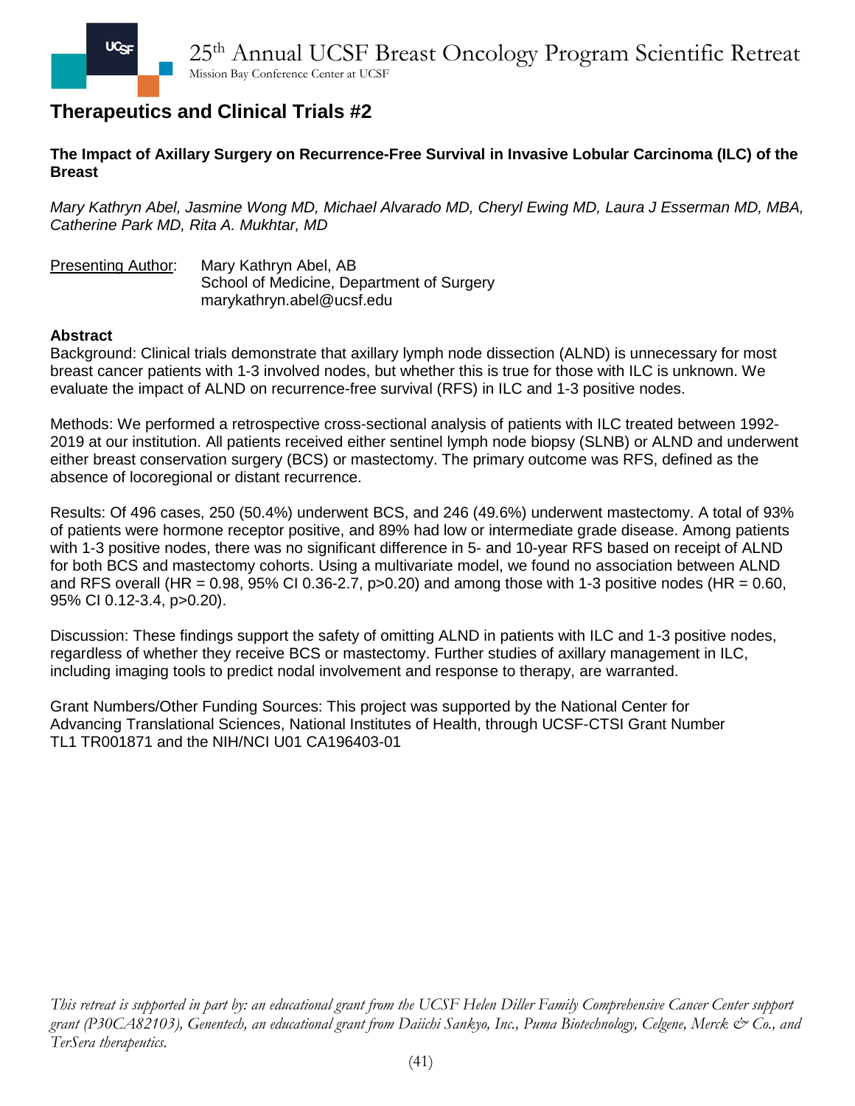### **The Impact of Axillary Surgery on Recurrence-Free Survival in Invasive Lobular Carcinoma (ILC) of the Breast**

*Mary Kathryn Abel, Jasmine Wong MD, Michael Alvarado MD, Cheryl Ewing MD, Laura J Esserman MD, MBA, Catherine Park MD, Rita A. Mukhtar, MD*

Presenting Author: Mary Kathryn Abel, AB School of Medicine, Department of Surgery marykathryn.abel@ucsf.edu

#### **Abstract**

Background: Clinical trials demonstrate that axillary lymph node dissection (ALND) is unnecessary for most breast cancer patients with 1-3 involved nodes, but whether this is true for those with ILC is unknown. We evaluate the impact of ALND on recurrence-free survival (RFS) in ILC and 1-3 positive nodes.

Methods: We performed a retrospective cross-sectional analysis of patients with ILC treated between 1992- 2019 at our institution. All patients received either sentinel lymph node biopsy (SLNB) or ALND and underwent either breast conservation surgery (BCS) or mastectomy. The primary outcome was RFS, defined as the absence of locoregional or distant recurrence.

Results: Of 496 cases, 250 (50.4%) underwent BCS, and 246 (49.6%) underwent mastectomy. A total of 93% of patients were hormone receptor positive, and 89% had low or intermediate grade disease. Among patients with 1-3 positive nodes, there was no significant difference in 5- and 10-year RFS based on receipt of ALND for both BCS and mastectomy cohorts. Using a multivariate model, we found no association between ALND and RFS overall (HR =  $0.98$ ,  $95\%$  CI 0.36-2.7,  $p>0.20$ ) and among those with 1-3 positive nodes (HR =  $0.60$ , 95% CI 0.12-3.4, p>0.20).

Discussion: These findings support the safety of omitting ALND in patients with ILC and 1-3 positive nodes, regardless of whether they receive BCS or mastectomy. Further studies of axillary management in ILC, including imaging tools to predict nodal involvement and response to therapy, are warranted.

Grant Numbers/Other Funding Sources: This project was supported by the National Center for Advancing Translational Sciences, National Institutes of Health, through UCSF-CTSI Grant Number TL1 TR001871 and the NIH/NCI U01 CA196403-01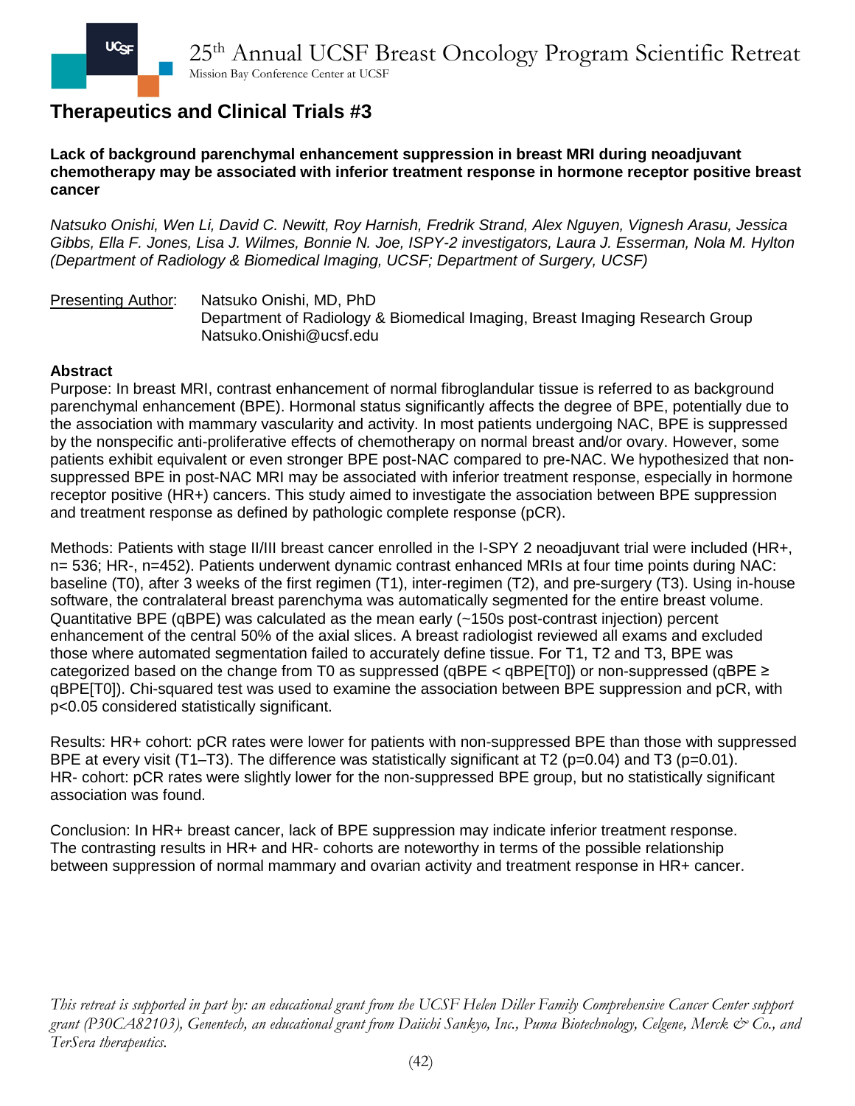**Lack of background parenchymal enhancement suppression in breast MRI during neoadjuvant chemotherapy may be associated with inferior treatment response in hormone receptor positive breast cancer**

*Natsuko Onishi, Wen Li, David C. Newitt, Roy Harnish, Fredrik Strand, Alex Nguyen, Vignesh Arasu, Jessica Gibbs, Ella F. Jones, Lisa J. Wilmes, Bonnie N. Joe, ISPY-2 investigators, Laura J. Esserman, Nola M. Hylton (Department of Radiology & Biomedical Imaging, UCSF; Department of Surgery, UCSF)*

Presenting Author: Natsuko Onishi, MD, PhD Department of Radiology & Biomedical Imaging, Breast Imaging Research Group Natsuko.Onishi@ucsf.edu

#### **Abstract**

Purpose: In breast MRI, contrast enhancement of normal fibroglandular tissue is referred to as background parenchymal enhancement (BPE). Hormonal status significantly affects the degree of BPE, potentially due to the association with mammary vascularity and activity. In most patients undergoing NAC, BPE is suppressed by the nonspecific anti-proliferative effects of chemotherapy on normal breast and/or ovary. However, some patients exhibit equivalent or even stronger BPE post-NAC compared to pre-NAC. We hypothesized that nonsuppressed BPE in post-NAC MRI may be associated with inferior treatment response, especially in hormone receptor positive (HR+) cancers. This study aimed to investigate the association between BPE suppression and treatment response as defined by pathologic complete response (pCR).

Methods: Patients with stage II/III breast cancer enrolled in the I-SPY 2 neoadjuvant trial were included (HR+, n= 536; HR-, n=452). Patients underwent dynamic contrast enhanced MRIs at four time points during NAC: baseline (T0), after 3 weeks of the first regimen (T1), inter-regimen (T2), and pre-surgery (T3). Using in-house software, the contralateral breast parenchyma was automatically segmented for the entire breast volume. Quantitative BPE (qBPE) was calculated as the mean early (~150s post-contrast injection) percent enhancement of the central 50% of the axial slices. A breast radiologist reviewed all exams and excluded those where automated segmentation failed to accurately define tissue. For T1, T2 and T3, BPE was categorized based on the change from T0 as suppressed (qBPE < qBPE[T0]) or non-suppressed (qBPE  $\geq$ qBPE[T0]). Chi-squared test was used to examine the association between BPE suppression and pCR, with p<0.05 considered statistically significant.

Results: HR+ cohort: pCR rates were lower for patients with non-suppressed BPE than those with suppressed BPE at every visit (T1–T3). The difference was statistically significant at T2 (p=0.04) and T3 (p=0.01). HR- cohort: pCR rates were slightly lower for the non-suppressed BPE group, but no statistically significant association was found.

Conclusion: In HR+ breast cancer, lack of BPE suppression may indicate inferior treatment response. The contrasting results in HR+ and HR- cohorts are noteworthy in terms of the possible relationship between suppression of normal mammary and ovarian activity and treatment response in HR+ cancer.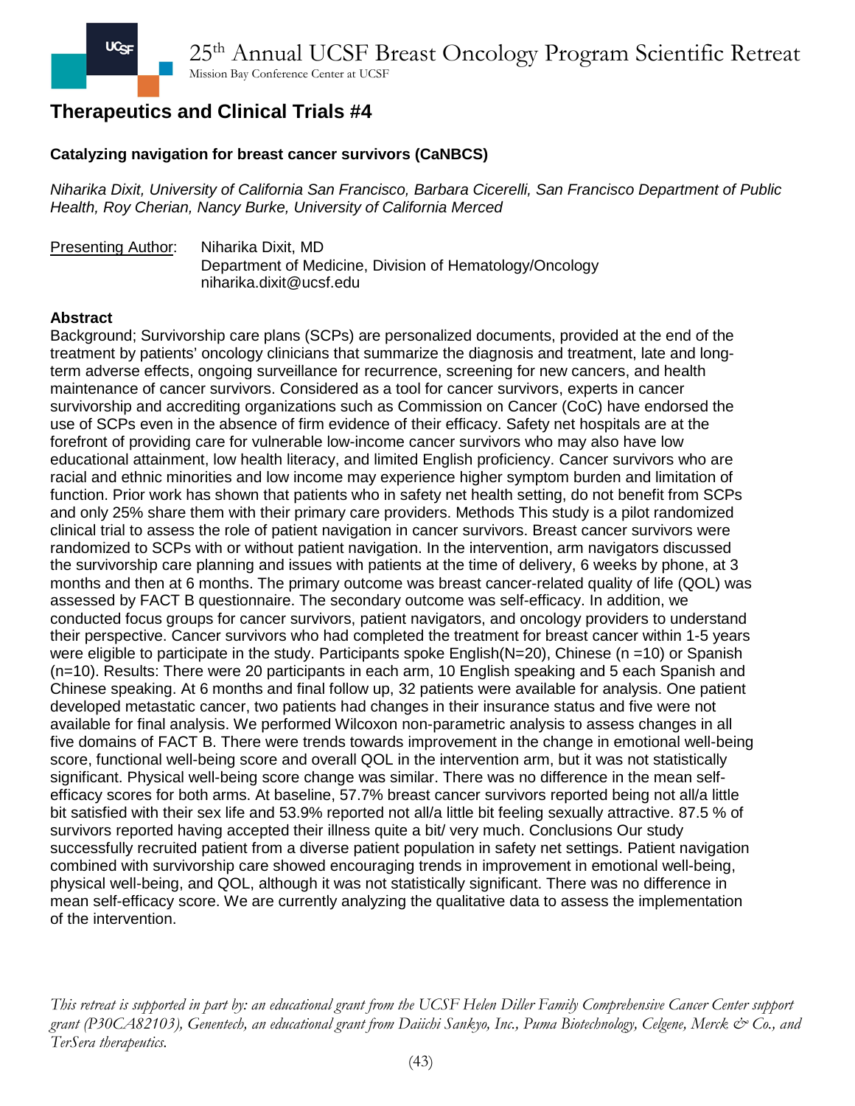### **Catalyzing navigation for breast cancer survivors (CaNBCS)**

*Niharika Dixit, University of California San Francisco, Barbara Cicerelli, San Francisco Department of Public Health, Roy Cherian, Nancy Burke, University of California Merced*

#### Presenting Author: Niharika Dixit, MD Department of Medicine, Division of Hematology/Oncology niharika.dixit@ucsf.edu

#### **Abstract**

Background; Survivorship care plans (SCPs) are personalized documents, provided at the end of the treatment by patients' oncology clinicians that summarize the diagnosis and treatment, late and longterm adverse effects, ongoing surveillance for recurrence, screening for new cancers, and health maintenance of cancer survivors. Considered as a tool for cancer survivors, experts in cancer survivorship and accrediting organizations such as Commission on Cancer (CoC) have endorsed the use of SCPs even in the absence of firm evidence of their efficacy. Safety net hospitals are at the forefront of providing care for vulnerable low-income cancer survivors who may also have low educational attainment, low health literacy, and limited English proficiency. Cancer survivors who are racial and ethnic minorities and low income may experience higher symptom burden and limitation of function. Prior work has shown that patients who in safety net health setting, do not benefit from SCPs and only 25% share them with their primary care providers. Methods This study is a pilot randomized clinical trial to assess the role of patient navigation in cancer survivors. Breast cancer survivors were randomized to SCPs with or without patient navigation. In the intervention, arm navigators discussed the survivorship care planning and issues with patients at the time of delivery, 6 weeks by phone, at 3 months and then at 6 months. The primary outcome was breast cancer-related quality of life (QOL) was assessed by FACT B questionnaire. The secondary outcome was self-efficacy. In addition, we conducted focus groups for cancer survivors, patient navigators, and oncology providers to understand their perspective. Cancer survivors who had completed the treatment for breast cancer within 1-5 years were eligible to participate in the study. Participants spoke English( $N=20$ ), Chinese (n =10) or Spanish (n=10). Results: There were 20 participants in each arm, 10 English speaking and 5 each Spanish and Chinese speaking. At 6 months and final follow up, 32 patients were available for analysis. One patient developed metastatic cancer, two patients had changes in their insurance status and five were not available for final analysis. We performed Wilcoxon non-parametric analysis to assess changes in all five domains of FACT B. There were trends towards improvement in the change in emotional well-being score, functional well-being score and overall QOL in the intervention arm, but it was not statistically significant. Physical well-being score change was similar. There was no difference in the mean selfefficacy scores for both arms. At baseline, 57.7% breast cancer survivors reported being not all/a little bit satisfied with their sex life and 53.9% reported not all/a little bit feeling sexually attractive. 87.5 % of survivors reported having accepted their illness quite a bit/ very much. Conclusions Our study successfully recruited patient from a diverse patient population in safety net settings. Patient navigation combined with survivorship care showed encouraging trends in improvement in emotional well-being, physical well-being, and QOL, although it was not statistically significant. There was no difference in mean self-efficacy score. We are currently analyzing the qualitative data to assess the implementation of the intervention.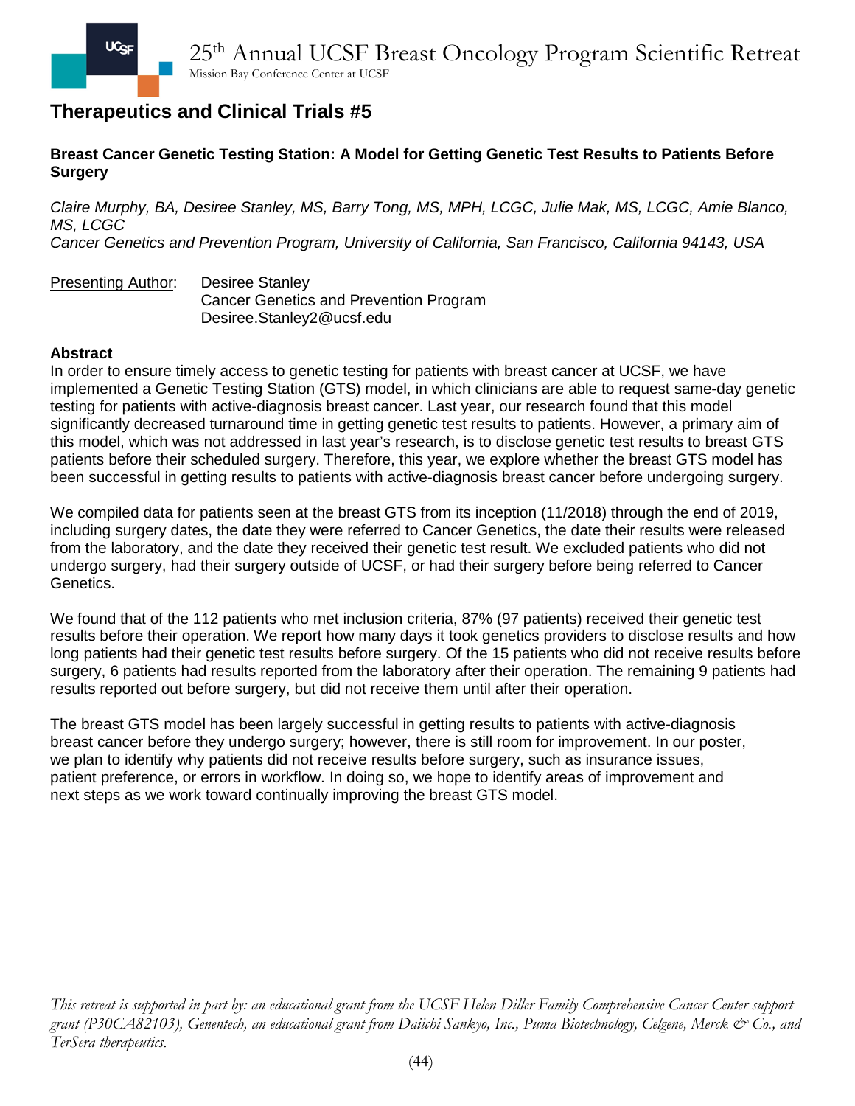**Breast Cancer Genetic Testing Station: A Model for Getting Genetic Test Results to Patients Before Surgery**

*Claire Murphy, BA, Desiree Stanley, MS, Barry Tong, MS, MPH, LCGC, Julie Mak, MS, LCGC, Amie Blanco, MS, LCGC* 

*Cancer Genetics and Prevention Program, University of California, San Francisco, California 94143, USA*

Presenting Author: Desiree Stanley Cancer Genetics and Prevention Program Desiree.Stanley2@ucsf.edu

### **Abstract**

In order to ensure timely access to genetic testing for patients with breast cancer at UCSF, we have implemented a Genetic Testing Station (GTS) model, in which clinicians are able to request same-day genetic testing for patients with active-diagnosis breast cancer. Last year, our research found that this model significantly decreased turnaround time in getting genetic test results to patients. However, a primary aim of this model, which was not addressed in last year's research, is to disclose genetic test results to breast GTS patients before their scheduled surgery. Therefore, this year, we explore whether the breast GTS model has been successful in getting results to patients with active-diagnosis breast cancer before undergoing surgery.

We compiled data for patients seen at the breast GTS from its inception (11/2018) through the end of 2019, including surgery dates, the date they were referred to Cancer Genetics, the date their results were released from the laboratory, and the date they received their genetic test result. We excluded patients who did not undergo surgery, had their surgery outside of UCSF, or had their surgery before being referred to Cancer Genetics.

We found that of the 112 patients who met inclusion criteria, 87% (97 patients) received their genetic test results before their operation. We report how many days it took genetics providers to disclose results and how long patients had their genetic test results before surgery. Of the 15 patients who did not receive results before surgery, 6 patients had results reported from the laboratory after their operation. The remaining 9 patients had results reported out before surgery, but did not receive them until after their operation.

The breast GTS model has been largely successful in getting results to patients with active-diagnosis breast cancer before they undergo surgery; however, there is still room for improvement. In our poster, we plan to identify why patients did not receive results before surgery, such as insurance issues, patient preference, or errors in workflow. In doing so, we hope to identify areas of improvement and next steps as we work toward continually improving the breast GTS model.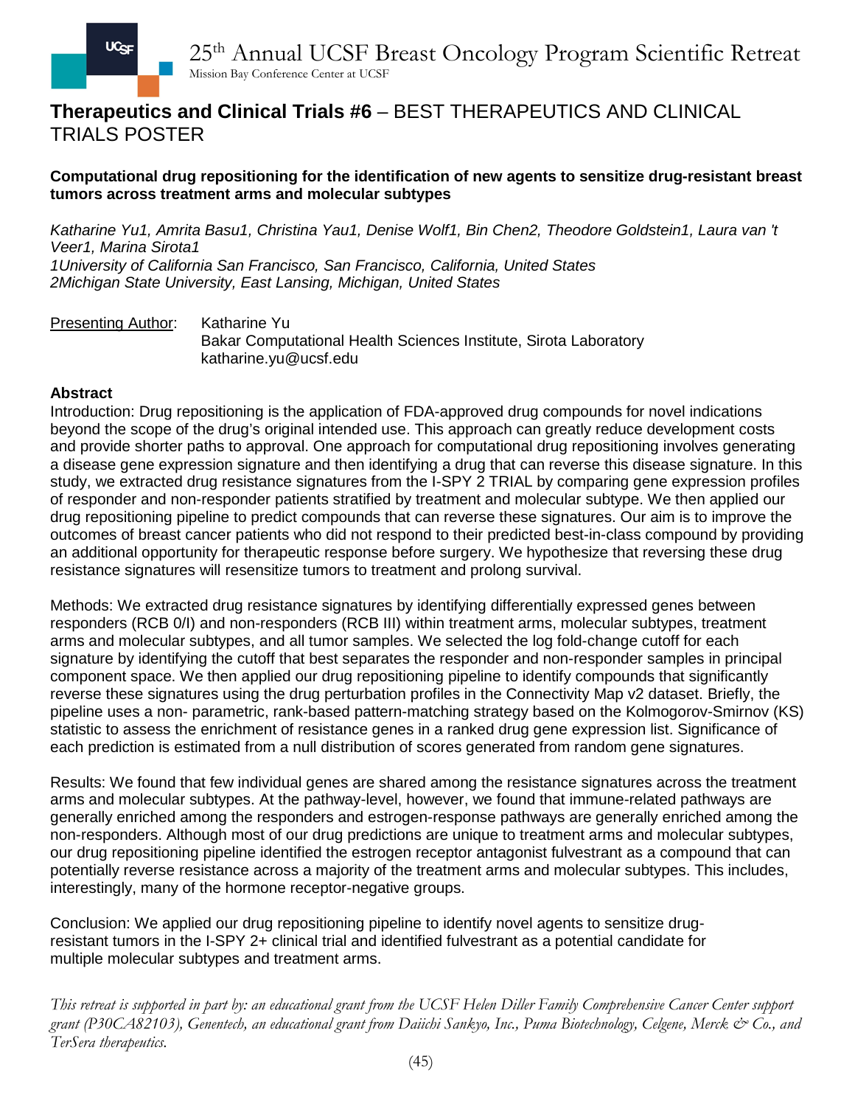## **Therapeutics and Clinical Trials #6** – BEST THERAPEUTICS AND CLINICAL TRIALS POSTER

### **Computational drug repositioning for the identification of new agents to sensitize drug-resistant breast tumors across treatment arms and molecular subtypes**

*Katharine Yu1, Amrita Basu1, Christina Yau1, Denise Wolf1, Bin Chen2, Theodore Goldstein1, Laura van 't Veer1, Marina Sirota1 1University of California San Francisco, San Francisco, California, United States 2Michigan State University, East Lansing, Michigan, United States*

Presenting Author: Katharine Yu Bakar Computational Health Sciences Institute, Sirota Laboratory katharine.yu@ucsf.edu

### **Abstract**

Introduction: Drug repositioning is the application of FDA-approved drug compounds for novel indications beyond the scope of the drug's original intended use. This approach can greatly reduce development costs and provide shorter paths to approval. One approach for computational drug repositioning involves generating a disease gene expression signature and then identifying a drug that can reverse this disease signature. In this study, we extracted drug resistance signatures from the I-SPY 2 TRIAL by comparing gene expression profiles of responder and non-responder patients stratified by treatment and molecular subtype. We then applied our drug repositioning pipeline to predict compounds that can reverse these signatures. Our aim is to improve the outcomes of breast cancer patients who did not respond to their predicted best-in-class compound by providing an additional opportunity for therapeutic response before surgery. We hypothesize that reversing these drug resistance signatures will resensitize tumors to treatment and prolong survival.

Methods: We extracted drug resistance signatures by identifying differentially expressed genes between responders (RCB 0/I) and non-responders (RCB III) within treatment arms, molecular subtypes, treatment arms and molecular subtypes, and all tumor samples. We selected the log fold-change cutoff for each signature by identifying the cutoff that best separates the responder and non-responder samples in principal component space. We then applied our drug repositioning pipeline to identify compounds that significantly reverse these signatures using the drug perturbation profiles in the Connectivity Map v2 dataset. Briefly, the pipeline uses a non- parametric, rank-based pattern-matching strategy based on the Kolmogorov-Smirnov (KS) statistic to assess the enrichment of resistance genes in a ranked drug gene expression list. Significance of each prediction is estimated from a null distribution of scores generated from random gene signatures.

Results: We found that few individual genes are shared among the resistance signatures across the treatment arms and molecular subtypes. At the pathway-level, however, we found that immune-related pathways are generally enriched among the responders and estrogen-response pathways are generally enriched among the non-responders. Although most of our drug predictions are unique to treatment arms and molecular subtypes, our drug repositioning pipeline identified the estrogen receptor antagonist fulvestrant as a compound that can potentially reverse resistance across a majority of the treatment arms and molecular subtypes. This includes, interestingly, many of the hormone receptor-negative groups.

Conclusion: We applied our drug repositioning pipeline to identify novel agents to sensitize drugresistant tumors in the I-SPY 2+ clinical trial and identified fulvestrant as a potential candidate for multiple molecular subtypes and treatment arms.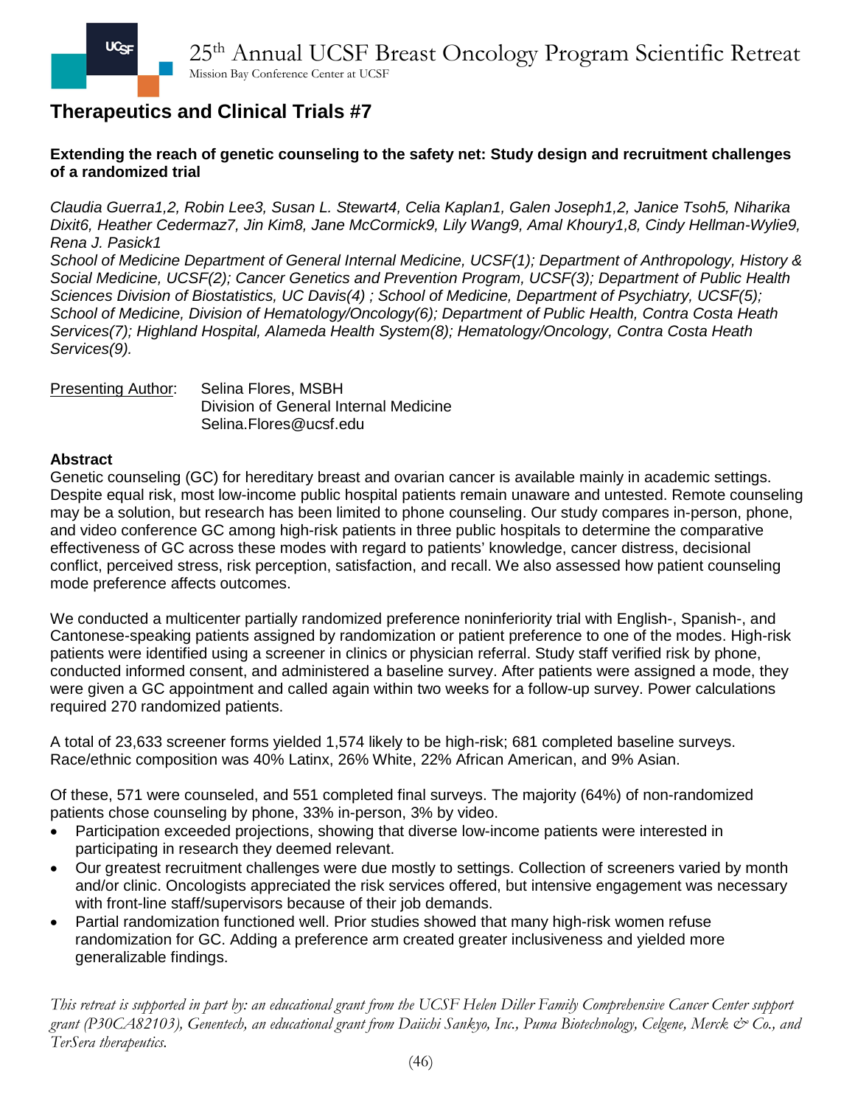## **Extending the reach of genetic counseling to the safety net: Study design and recruitment challenges of a randomized trial**

*Claudia Guerra1,2, Robin Lee3, Susan L. Stewart4, Celia Kaplan1, Galen Joseph1,2, Janice Tsoh5, Niharika Dixit6, Heather Cedermaz7, Jin Kim8, Jane McCormick9, Lily Wang9, Amal Khoury1,8, Cindy Hellman-Wylie9, Rena J. Pasick1*

*School of Medicine Department of General Internal Medicine, UCSF(1); Department of Anthropology, History & Social Medicine, UCSF(2); Cancer Genetics and Prevention Program, UCSF(3); Department of Public Health Sciences Division of Biostatistics, UC Davis(4) ; School of Medicine, Department of Psychiatry, UCSF(5); School of Medicine, Division of Hematology/Oncology(6); Department of Public Health, Contra Costa Heath Services(7); Highland Hospital, Alameda Health System(8); Hematology/Oncology, Contra Costa Heath Services(9).*

Presenting Author: Selina Flores, MSBH Division of General Internal Medicine Selina.Flores@ucsf.edu

### **Abstract**

Genetic counseling (GC) for hereditary breast and ovarian cancer is available mainly in academic settings. Despite equal risk, most low-income public hospital patients remain unaware and untested. Remote counseling may be a solution, but research has been limited to phone counseling. Our study compares in-person, phone, and video conference GC among high-risk patients in three public hospitals to determine the comparative effectiveness of GC across these modes with regard to patients' knowledge, cancer distress, decisional conflict, perceived stress, risk perception, satisfaction, and recall. We also assessed how patient counseling mode preference affects outcomes.

We conducted a multicenter partially randomized preference noninferiority trial with English-, Spanish-, and Cantonese-speaking patients assigned by randomization or patient preference to one of the modes. High-risk patients were identified using a screener in clinics or physician referral. Study staff verified risk by phone, conducted informed consent, and administered a baseline survey. After patients were assigned a mode, they were given a GC appointment and called again within two weeks for a follow-up survey. Power calculations required 270 randomized patients.

A total of 23,633 screener forms yielded 1,574 likely to be high-risk; 681 completed baseline surveys. Race/ethnic composition was 40% Latinx, 26% White, 22% African American, and 9% Asian.

Of these, 571 were counseled, and 551 completed final surveys. The majority (64%) of non-randomized patients chose counseling by phone, 33% in-person, 3% by video.

- Participation exceeded projections, showing that diverse low-income patients were interested in participating in research they deemed relevant.
- Our greatest recruitment challenges were due mostly to settings. Collection of screeners varied by month and/or clinic. Oncologists appreciated the risk services offered, but intensive engagement was necessary with front-line staff/supervisors because of their job demands.
- Partial randomization functioned well. Prior studies showed that many high-risk women refuse randomization for GC. Adding a preference arm created greater inclusiveness and yielded more generalizable findings.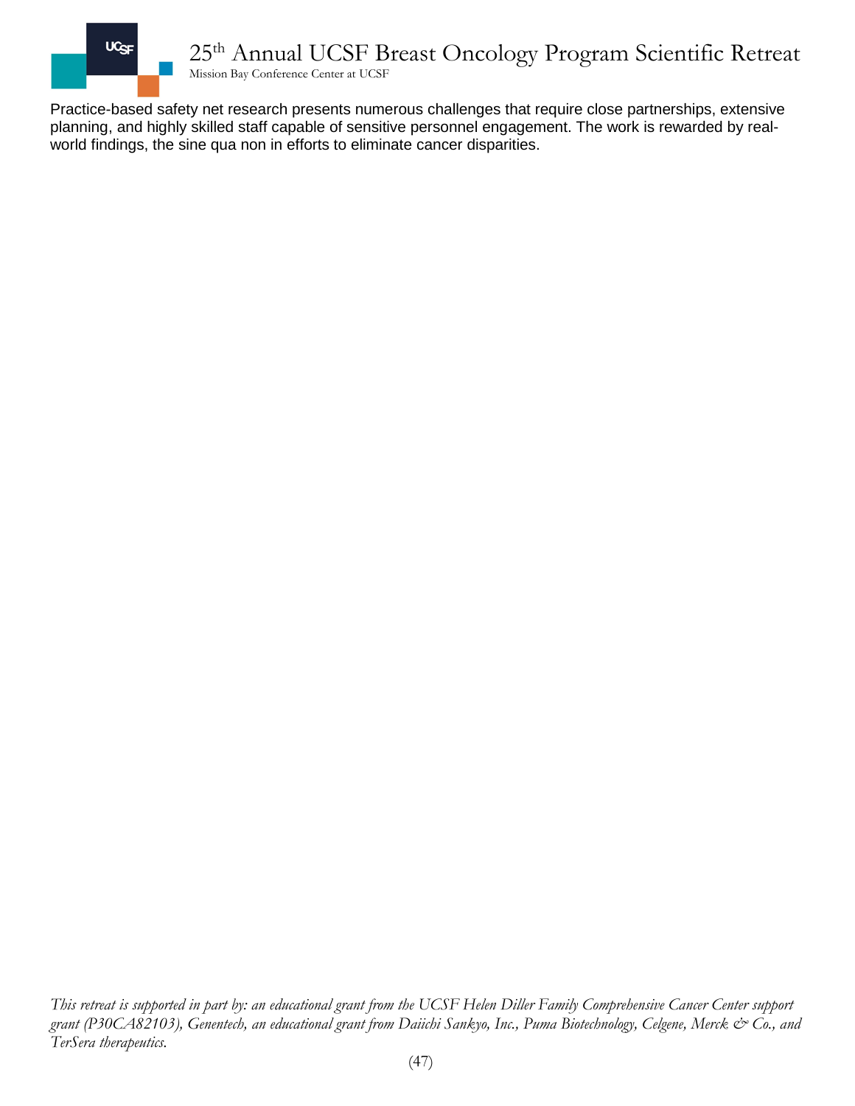

Practice-based safety net research presents numerous challenges that require close partnerships, extensive planning, and highly skilled staff capable of sensitive personnel engagement. The work is rewarded by realworld findings, the sine qua non in efforts to eliminate cancer disparities.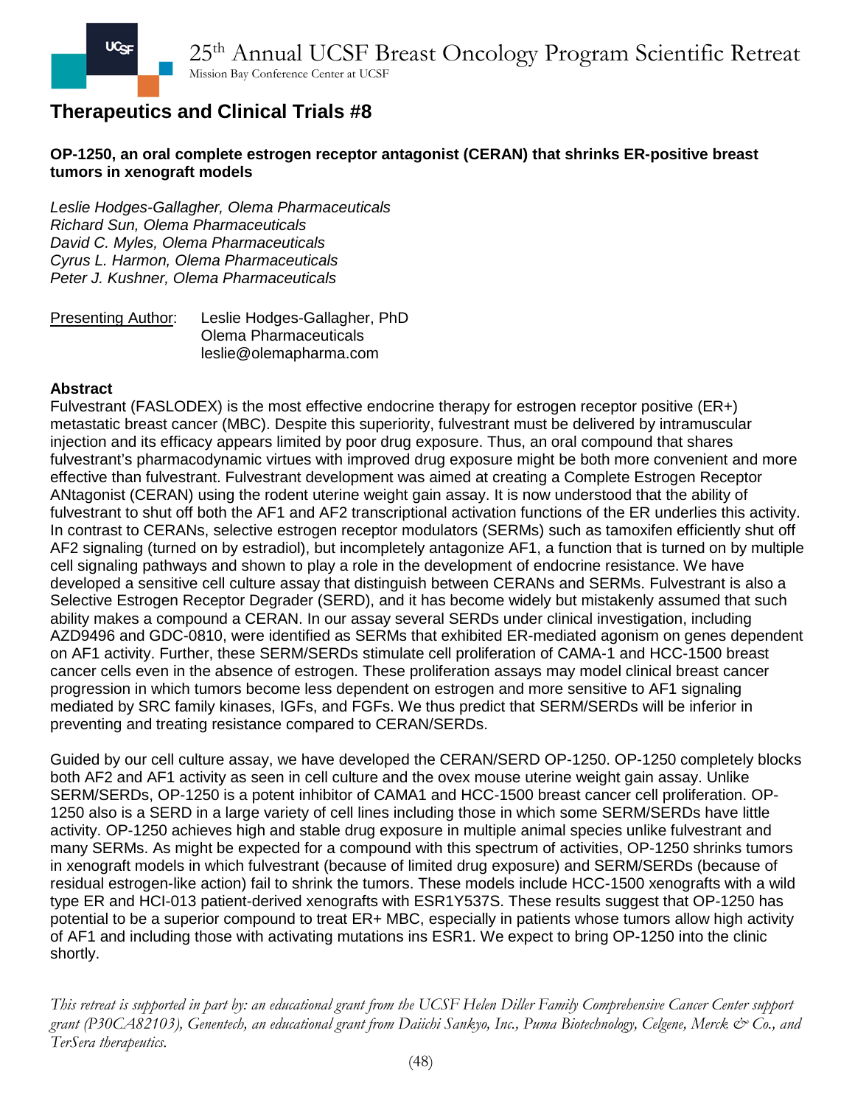## **OP-1250, an oral complete estrogen receptor antagonist (CERAN) that shrinks ER-positive breast tumors in xenograft models**

*Leslie Hodges-Gallagher, Olema Pharmaceuticals Richard Sun, Olema Pharmaceuticals David C. Myles, Olema Pharmaceuticals Cyrus L. Harmon, Olema Pharmaceuticals Peter J. Kushner, Olema Pharmaceuticals*

Presenting Author: Leslie Hodges-Gallagher, PhD Olema Pharmaceuticals leslie@olemapharma.com

### **Abstract**

Fulvestrant (FASLODEX) is the most effective endocrine therapy for estrogen receptor positive (ER+) metastatic breast cancer (MBC). Despite this superiority, fulvestrant must be delivered by intramuscular injection and its efficacy appears limited by poor drug exposure. Thus, an oral compound that shares fulvestrant's pharmacodynamic virtues with improved drug exposure might be both more convenient and more effective than fulvestrant. Fulvestrant development was aimed at creating a Complete Estrogen Receptor ANtagonist (CERAN) using the rodent uterine weight gain assay. It is now understood that the ability of fulvestrant to shut off both the AF1 and AF2 transcriptional activation functions of the ER underlies this activity. In contrast to CERANs, selective estrogen receptor modulators (SERMs) such as tamoxifen efficiently shut off AF2 signaling (turned on by estradiol), but incompletely antagonize AF1, a function that is turned on by multiple cell signaling pathways and shown to play a role in the development of endocrine resistance. We have developed a sensitive cell culture assay that distinguish between CERANs and SERMs. Fulvestrant is also a Selective Estrogen Receptor Degrader (SERD), and it has become widely but mistakenly assumed that such ability makes a compound a CERAN. In our assay several SERDs under clinical investigation, including AZD9496 and GDC-0810, were identified as SERMs that exhibited ER-mediated agonism on genes dependent on AF1 activity. Further, these SERM/SERDs stimulate cell proliferation of CAMA-1 and HCC-1500 breast cancer cells even in the absence of estrogen. These proliferation assays may model clinical breast cancer progression in which tumors become less dependent on estrogen and more sensitive to AF1 signaling mediated by SRC family kinases, IGFs, and FGFs. We thus predict that SERM/SERDs will be inferior in preventing and treating resistance compared to CERAN/SERDs.

Guided by our cell culture assay, we have developed the CERAN/SERD OP-1250. OP-1250 completely blocks both AF2 and AF1 activity as seen in cell culture and the ovex mouse uterine weight gain assay. Unlike SERM/SERDs, OP-1250 is a potent inhibitor of CAMA1 and HCC-1500 breast cancer cell proliferation. OP-1250 also is a SERD in a large variety of cell lines including those in which some SERM/SERDs have little activity. OP-1250 achieves high and stable drug exposure in multiple animal species unlike fulvestrant and many SERMs. As might be expected for a compound with this spectrum of activities, OP-1250 shrinks tumors in xenograft models in which fulvestrant (because of limited drug exposure) and SERM/SERDs (because of residual estrogen-like action) fail to shrink the tumors. These models include HCC-1500 xenografts with a wild type ER and HCI-013 patient-derived xenografts with ESR1Y537S. These results suggest that OP-1250 has potential to be a superior compound to treat ER+ MBC, especially in patients whose tumors allow high activity of AF1 and including those with activating mutations ins ESR1. We expect to bring OP-1250 into the clinic shortly.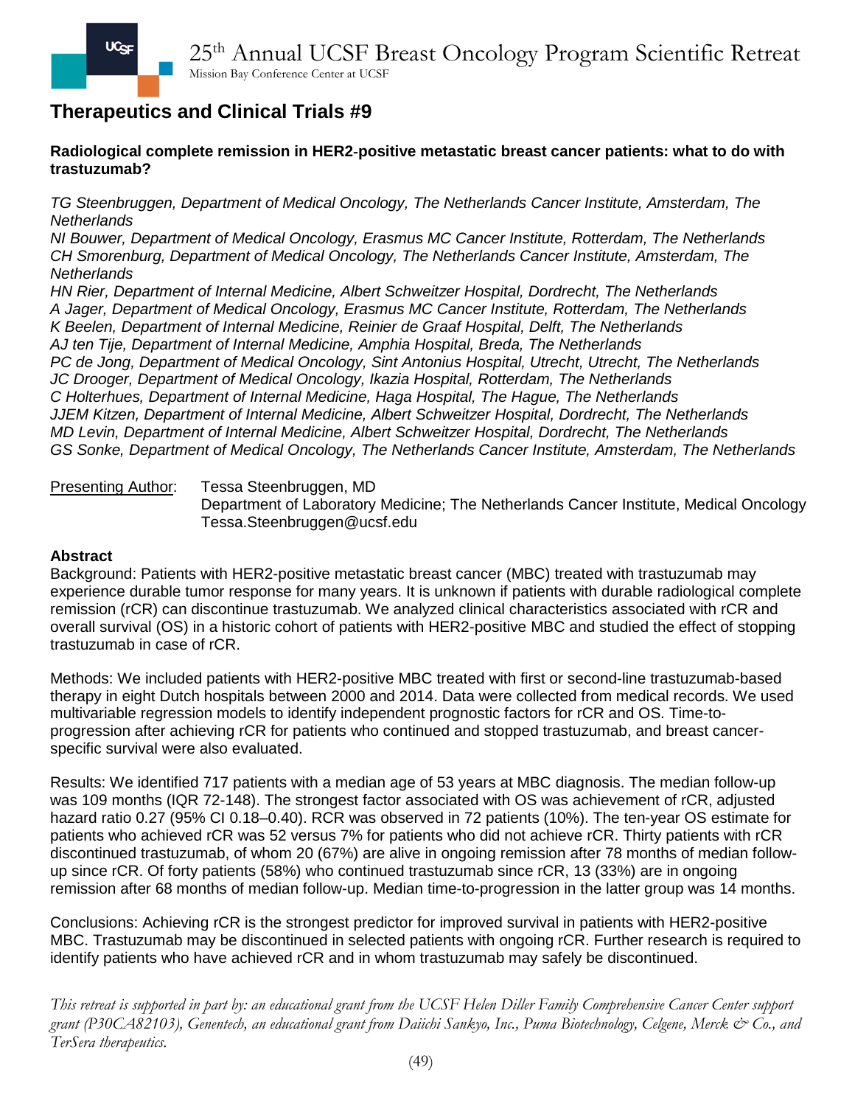**Radiological complete remission in HER2**‑**positive metastatic breast cancer patients: what to do with trastuzumab?**

*TG Steenbruggen, Department of Medical Oncology, The Netherlands Cancer Institute, Amsterdam, The Netherlands*

*NI Bouwer, Department of Medical Oncology, Erasmus MC Cancer Institute, Rotterdam, The Netherlands CH Smorenburg, Department of Medical Oncology, The Netherlands Cancer Institute, Amsterdam, The Netherlands*

*HN Rier, Department of Internal Medicine, Albert Schweitzer Hospital, Dordrecht, The Netherlands A Jager, Department of Medical Oncology, Erasmus MC Cancer Institute, Rotterdam, The Netherlands K Beelen, Department of Internal Medicine, Reinier de Graaf Hospital, Delft, The Netherlands AJ ten Tije, Department of Internal Medicine, Amphia Hospital, Breda, The Netherlands PC de Jong, Department of Medical Oncology, Sint Antonius Hospital, Utrecht, Utrecht, The Netherlands JC Drooger, Department of Medical Oncology, Ikazia Hospital, Rotterdam, The Netherlands C Holterhues, Department of Internal Medicine, Haga Hospital, The Hague, The Netherlands JJEM Kitzen, Department of Internal Medicine, Albert Schweitzer Hospital, Dordrecht, The Netherlands MD Levin, Department of Internal Medicine, Albert Schweitzer Hospital, Dordrecht, The Netherlands GS Sonke, Department of Medical Oncology, The Netherlands Cancer Institute, Amsterdam, The Netherlands*

Presenting Author: Tessa Steenbruggen, MD Department of Laboratory Medicine; The Netherlands Cancer Institute, Medical Oncology Tessa.Steenbruggen@ucsf.edu

#### **Abstract**

Background: Patients with HER2-positive metastatic breast cancer (MBC) treated with trastuzumab may experience durable tumor response for many years. It is unknown if patients with durable radiological complete remission (rCR) can discontinue trastuzumab. We analyzed clinical characteristics associated with rCR and overall survival (OS) in a historic cohort of patients with HER2-positive MBC and studied the effect of stopping trastuzumab in case of rCR.

Methods: We included patients with HER2-positive MBC treated with first or second-line trastuzumab-based therapy in eight Dutch hospitals between 2000 and 2014. Data were collected from medical records. We used multivariable regression models to identify independent prognostic factors for rCR and OS. Time-toprogression after achieving rCR for patients who continued and stopped trastuzumab, and breast cancerspecific survival were also evaluated.

Results: We identified 717 patients with a median age of 53 years at MBC diagnosis. The median follow-up was 109 months (IQR 72-148). The strongest factor associated with OS was achievement of rCR, adjusted hazard ratio 0.27 (95% CI 0.18–0.40). RCR was observed in 72 patients (10%). The ten-year OS estimate for patients who achieved rCR was 52 versus 7% for patients who did not achieve rCR. Thirty patients with rCR discontinued trastuzumab, of whom 20 (67%) are alive in ongoing remission after 78 months of median followup since rCR. Of forty patients (58%) who continued trastuzumab since rCR, 13 (33%) are in ongoing remission after 68 months of median follow-up. Median time-to-progression in the latter group was 14 months.

Conclusions: Achieving rCR is the strongest predictor for improved survival in patients with HER2-positive MBC. Trastuzumab may be discontinued in selected patients with ongoing rCR. Further research is required to identify patients who have achieved rCR and in whom trastuzumab may safely be discontinued.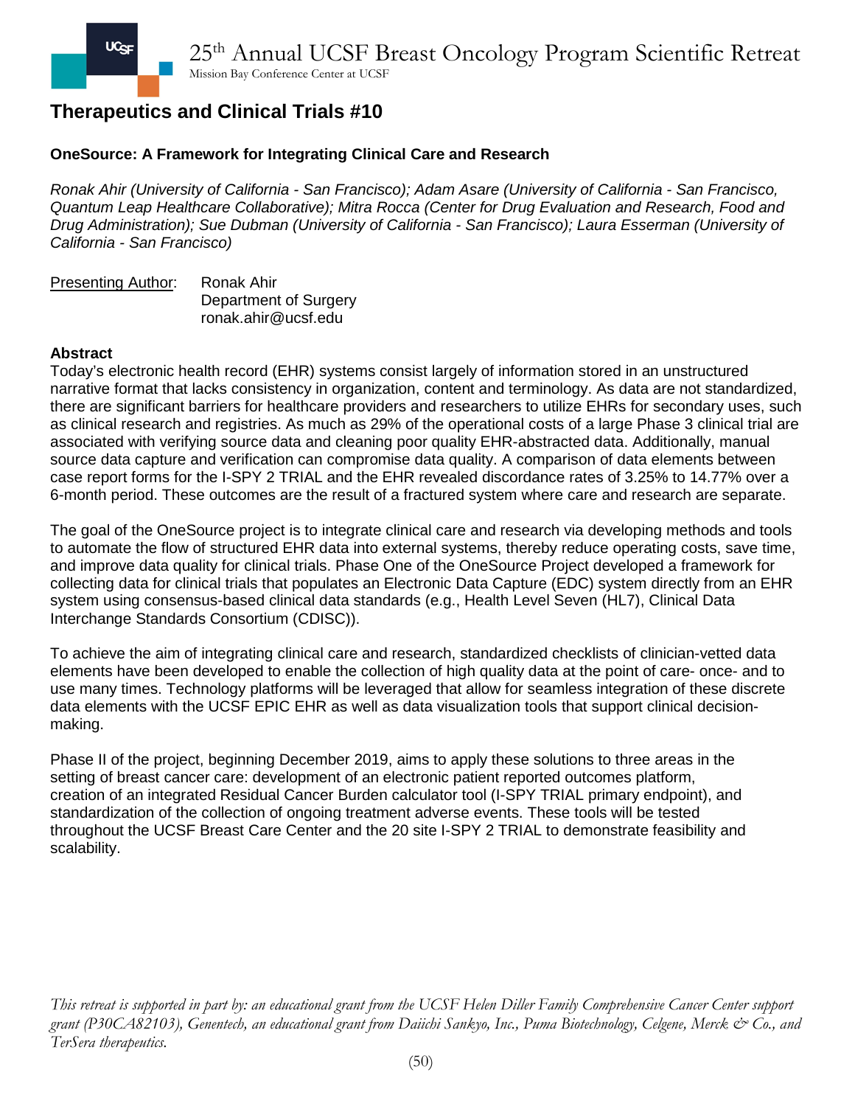## **OneSource: A Framework for Integrating Clinical Care and Research**

*Ronak Ahir (University of California - San Francisco); Adam Asare (University of California - San Francisco, Quantum Leap Healthcare Collaborative); Mitra Rocca (Center for Drug Evaluation and Research, Food and Drug Administration); Sue Dubman (University of California - San Francisco); Laura Esserman (University of California - San Francisco)*

| Presenting Author: | Ronak Ahir            |
|--------------------|-----------------------|
|                    | Department of Surgery |
|                    | ronak.ahir@ucsf.edu   |

#### **Abstract**

Today's electronic health record (EHR) systems consist largely of information stored in an unstructured narrative format that lacks consistency in organization, content and terminology. As data are not standardized, there are significant barriers for healthcare providers and researchers to utilize EHRs for secondary uses, such as clinical research and registries. As much as 29% of the operational costs of a large Phase 3 clinical trial are associated with verifying source data and cleaning poor quality EHR-abstracted data. Additionally, manual source data capture and verification can compromise data quality. A comparison of data elements between case report forms for the I-SPY 2 TRIAL and the EHR revealed discordance rates of 3.25% to 14.77% over a 6-month period. These outcomes are the result of a fractured system where care and research are separate.

The goal of the OneSource project is to integrate clinical care and research via developing methods and tools to automate the flow of structured EHR data into external systems, thereby reduce operating costs, save time, and improve data quality for clinical trials. Phase One of the OneSource Project developed a framework for collecting data for clinical trials that populates an Electronic Data Capture (EDC) system directly from an EHR system using consensus-based clinical data standards (e.g., Health Level Seven (HL7), Clinical Data Interchange Standards Consortium (CDISC)).

To achieve the aim of integrating clinical care and research, standardized checklists of clinician-vetted data elements have been developed to enable the collection of high quality data at the point of care- once- and to use many times. Technology platforms will be leveraged that allow for seamless integration of these discrete data elements with the UCSF EPIC EHR as well as data visualization tools that support clinical decisionmaking.

Phase II of the project, beginning December 2019, aims to apply these solutions to three areas in the setting of breast cancer care: development of an electronic patient reported outcomes platform, creation of an integrated Residual Cancer Burden calculator tool (I-SPY TRIAL primary endpoint), and standardization of the collection of ongoing treatment adverse events. These tools will be tested throughout the UCSF Breast Care Center and the 20 site I-SPY 2 TRIAL to demonstrate feasibility and scalability.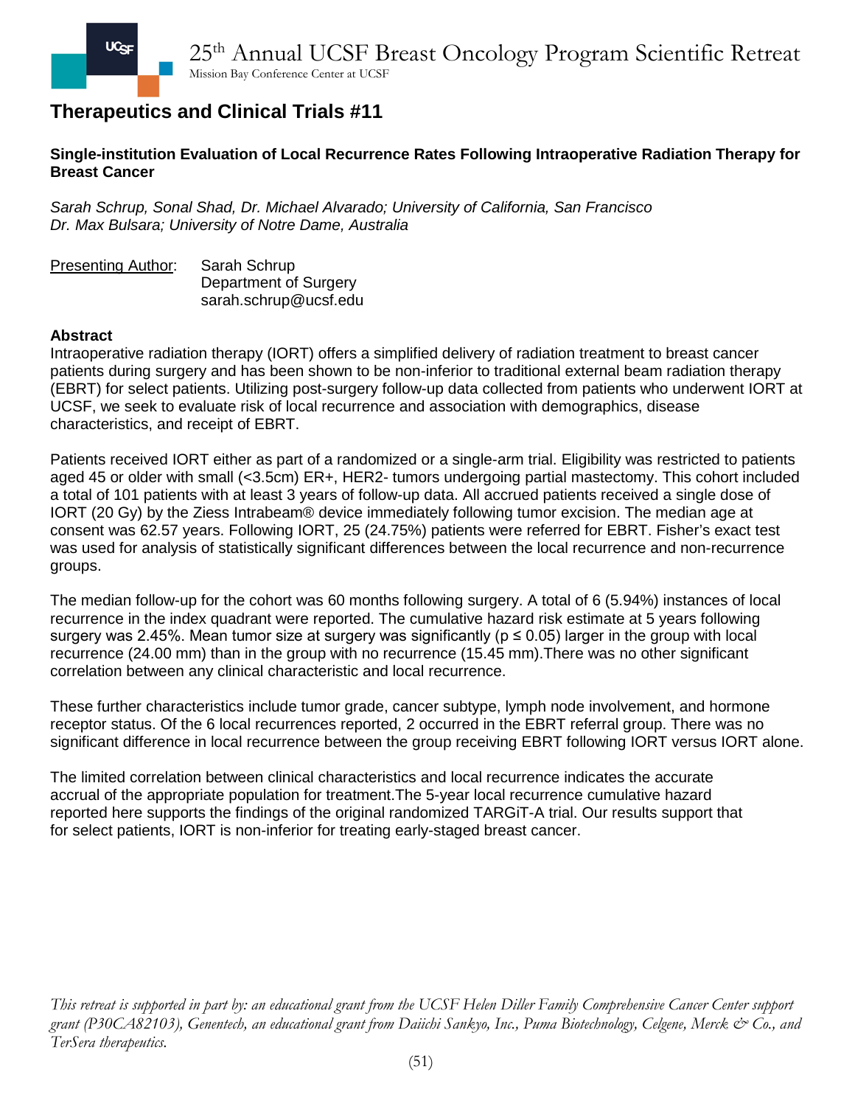

### **Single-institution Evaluation of Local Recurrence Rates Following Intraoperative Radiation Therapy for Breast Cancer**

*Sarah Schrup, Sonal Shad, Dr. Michael Alvarado; University of California, San Francisco Dr. Max Bulsara; University of Notre Dame, Australia* 

Presenting Author: Sarah Schrup Department of Surgery sarah.schrup@ucsf.edu

#### **Abstract**

Intraoperative radiation therapy (IORT) offers a simplified delivery of radiation treatment to breast cancer patients during surgery and has been shown to be non-inferior to traditional external beam radiation therapy (EBRT) for select patients. Utilizing post-surgery follow-up data collected from patients who underwent IORT at UCSF, we seek to evaluate risk of local recurrence and association with demographics, disease characteristics, and receipt of EBRT.

Patients received IORT either as part of a randomized or a single-arm trial. Eligibility was restricted to patients aged 45 or older with small (<3.5cm) ER+, HER2- tumors undergoing partial mastectomy. This cohort included a total of 101 patients with at least 3 years of follow-up data. All accrued patients received a single dose of IORT (20 Gy) by the Ziess Intrabeam® device immediately following tumor excision. The median age at consent was 62.57 years. Following IORT, 25 (24.75%) patients were referred for EBRT. Fisher's exact test was used for analysis of statistically significant differences between the local recurrence and non-recurrence groups.

The median follow-up for the cohort was 60 months following surgery. A total of 6 (5.94%) instances of local recurrence in the index quadrant were reported. The cumulative hazard risk estimate at 5 years following surgery was 2.45%. Mean tumor size at surgery was significantly ( $p \le 0.05$ ) larger in the group with local recurrence (24.00 mm) than in the group with no recurrence (15.45 mm).There was no other significant correlation between any clinical characteristic and local recurrence.

These further characteristics include tumor grade, cancer subtype, lymph node involvement, and hormone receptor status. Of the 6 local recurrences reported, 2 occurred in the EBRT referral group. There was no significant difference in local recurrence between the group receiving EBRT following IORT versus IORT alone.

The limited correlation between clinical characteristics and local recurrence indicates the accurate accrual of the appropriate population for treatment.The 5-year local recurrence cumulative hazard reported here supports the findings of the original randomized TARGiT-A trial. Our results support that for select patients, IORT is non-inferior for treating early-staged breast cancer.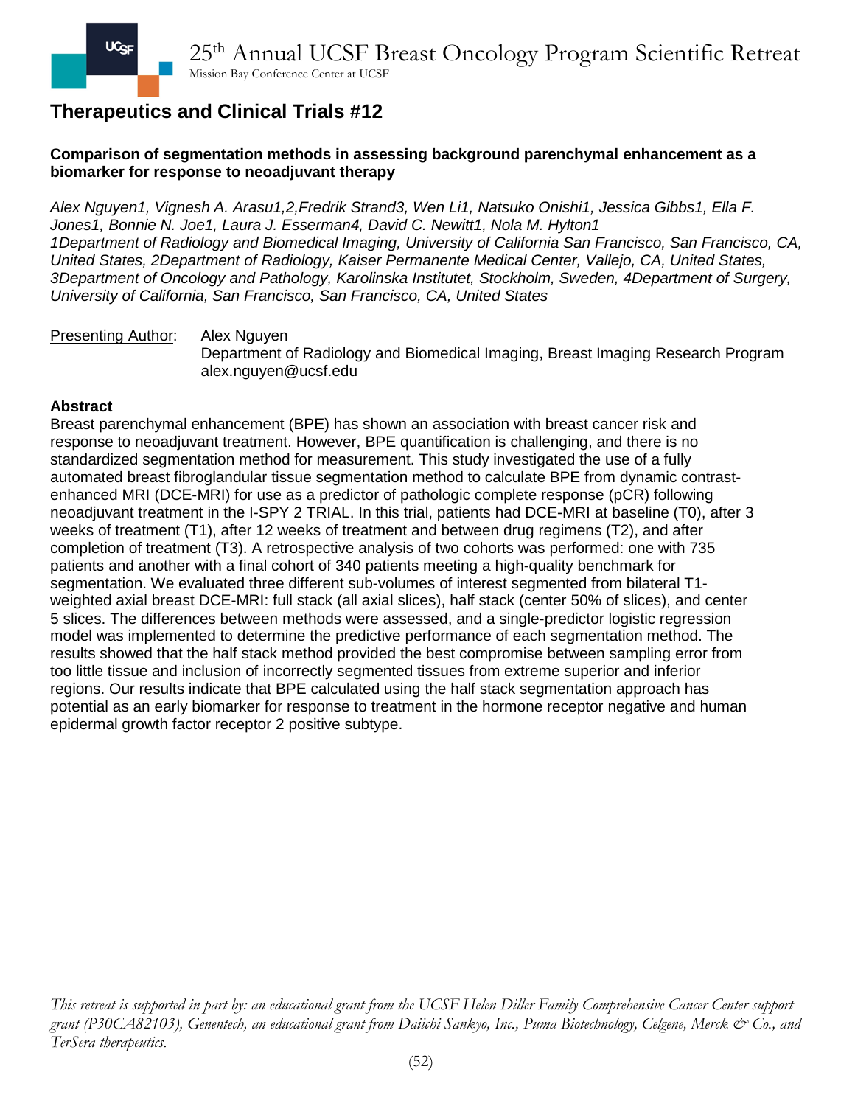## **Comparison of segmentation methods in assessing background parenchymal enhancement as a biomarker for response to neoadjuvant therapy**

*Alex Nguyen1, Vignesh A. Arasu1,2,Fredrik Strand3, Wen Li1, Natsuko Onishi1, Jessica Gibbs1, Ella F. Jones1, Bonnie N. Joe1, Laura J. Esserman4, David C. Newitt1, Nola M. Hylton1 1Department of Radiology and Biomedical Imaging, University of California San Francisco, San Francisco, CA, United States, 2Department of Radiology, Kaiser Permanente Medical Center, Vallejo, CA, United States, 3Department of Oncology and Pathology, Karolinska Institutet, Stockholm, Sweden, 4Department of Surgery, University of California, San Francisco, San Francisco, CA, United States*

#### **Presenting Author:** Alex Nguyen

Department of Radiology and Biomedical Imaging, Breast Imaging Research Program alex.nguyen@ucsf.edu

### **Abstract**

Breast parenchymal enhancement (BPE) has shown an association with breast cancer risk and response to neoadjuvant treatment. However, BPE quantification is challenging, and there is no standardized segmentation method for measurement. This study investigated the use of a fully automated breast fibroglandular tissue segmentation method to calculate BPE from dynamic contrastenhanced MRI (DCE-MRI) for use as a predictor of pathologic complete response (pCR) following neoadjuvant treatment in the I-SPY 2 TRIAL. In this trial, patients had DCE-MRI at baseline (T0), after 3 weeks of treatment (T1), after 12 weeks of treatment and between drug regimens (T2), and after completion of treatment (T3). A retrospective analysis of two cohorts was performed: one with 735 patients and another with a final cohort of 340 patients meeting a high-quality benchmark for segmentation. We evaluated three different sub-volumes of interest segmented from bilateral T1 weighted axial breast DCE-MRI: full stack (all axial slices), half stack (center 50% of slices), and center 5 slices. The differences between methods were assessed, and a single-predictor logistic regression model was implemented to determine the predictive performance of each segmentation method. The results showed that the half stack method provided the best compromise between sampling error from too little tissue and inclusion of incorrectly segmented tissues from extreme superior and inferior regions. Our results indicate that BPE calculated using the half stack segmentation approach has potential as an early biomarker for response to treatment in the hormone receptor negative and human epidermal growth factor receptor 2 positive subtype.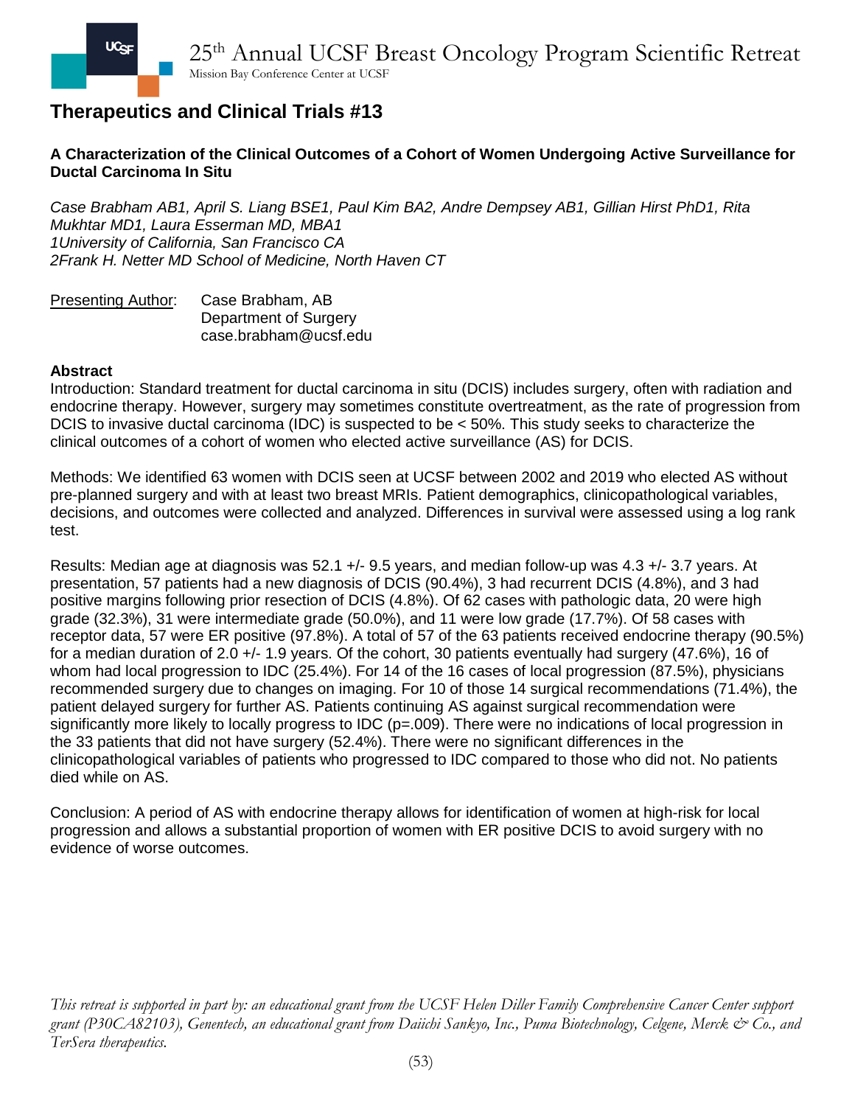## **A Characterization of the Clinical Outcomes of a Cohort of Women Undergoing Active Surveillance for Ductal Carcinoma In Situ**

*Case Brabham AB1, April S. Liang BSE1, Paul Kim BA2, Andre Dempsey AB1, Gillian Hirst PhD1, Rita Mukhtar MD1, Laura Esserman MD, MBA1 1University of California, San Francisco CA 2Frank H. Netter MD School of Medicine, North Haven CT*

| <b>Presenting Author:</b> | Case Brabham, AB      |
|---------------------------|-----------------------|
|                           | Department of Surgery |
|                           | case.brabham@ucsf.edu |

#### **Abstract**

Introduction: Standard treatment for ductal carcinoma in situ (DCIS) includes surgery, often with radiation and endocrine therapy. However, surgery may sometimes constitute overtreatment, as the rate of progression from DCIS to invasive ductal carcinoma (IDC) is suspected to be < 50%. This study seeks to characterize the clinical outcomes of a cohort of women who elected active surveillance (AS) for DCIS.

Methods: We identified 63 women with DCIS seen at UCSF between 2002 and 2019 who elected AS without pre-planned surgery and with at least two breast MRIs. Patient demographics, clinicopathological variables, decisions, and outcomes were collected and analyzed. Differences in survival were assessed using a log rank test.

Results: Median age at diagnosis was 52.1 +/- 9.5 years, and median follow-up was 4.3 +/- 3.7 years. At presentation, 57 patients had a new diagnosis of DCIS (90.4%), 3 had recurrent DCIS (4.8%), and 3 had positive margins following prior resection of DCIS (4.8%). Of 62 cases with pathologic data, 20 were high grade (32.3%), 31 were intermediate grade (50.0%), and 11 were low grade (17.7%). Of 58 cases with receptor data, 57 were ER positive (97.8%). A total of 57 of the 63 patients received endocrine therapy (90.5%) for a median duration of 2.0 +/- 1.9 years. Of the cohort, 30 patients eventually had surgery (47.6%), 16 of whom had local progression to IDC (25.4%). For 14 of the 16 cases of local progression (87.5%), physicians recommended surgery due to changes on imaging. For 10 of those 14 surgical recommendations (71.4%), the patient delayed surgery for further AS. Patients continuing AS against surgical recommendation were significantly more likely to locally progress to IDC (p=.009). There were no indications of local progression in the 33 patients that did not have surgery (52.4%). There were no significant differences in the clinicopathological variables of patients who progressed to IDC compared to those who did not. No patients died while on AS.

Conclusion: A period of AS with endocrine therapy allows for identification of women at high-risk for local progression and allows a substantial proportion of women with ER positive DCIS to avoid surgery with no evidence of worse outcomes.